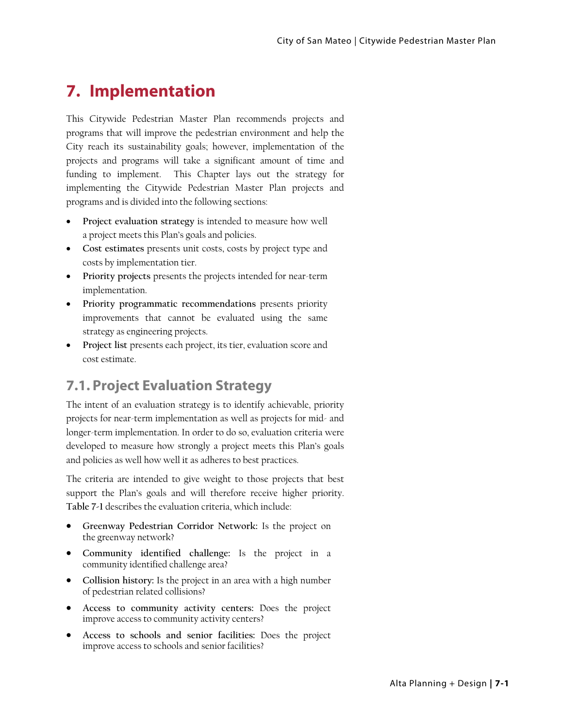# **7. Implementation**

This Citywide Pedestrian Master Plan recommends projects and programs that will improve the pedestrian environment and help the City reach its sustainability goals; however, implementation of the projects and programs will take a significant amount of time and funding to implement. This Chapter lays out the strategy for implementing the Citywide Pedestrian Master Plan projects and programs and is divided into the following sections:

- **Project evaluation strategy** is intended to measure how well a project meets this Plan's goals and policies.
- **Cost estimates** presents unit costs, costs by project type and costs by implementation tier.
- **Priority projects** presents the projects intended for near-term implementation.
- **Priority programmatic recommendations** presents priority improvements that cannot be evaluated using the same strategy as engineering projects.
- **Project list** presents each project, its tier, evaluation score and cost estimate.

# **7.1. Project Evaluation Strategy**

The intent of an evaluation strategy is to identify achievable, priority projects for near-term implementation as well as projects for mid- and longer-term implementation. In order to do so, evaluation criteria were developed to measure how strongly a project meets this Plan's goals and policies as well how well it as adheres to best practices.

The criteria are intended to give weight to those projects that best support the Plan's goals and will therefore receive higher priority. **Table 7-1** describes the evaluation criteria, which include:

- **Greenway Pedestrian Corridor Network:** Is the project on the greenway network?
- **Community identified challenge:** Is the project in a community identified challenge area?
- **Collision history:** Is the project in an area with a high number of pedestrian related collisions?
- **Access to community activity centers:** Does the project improve access to community activity centers?
- **Access to schools and senior facilities:** Does the project improve access to schools and senior facilities?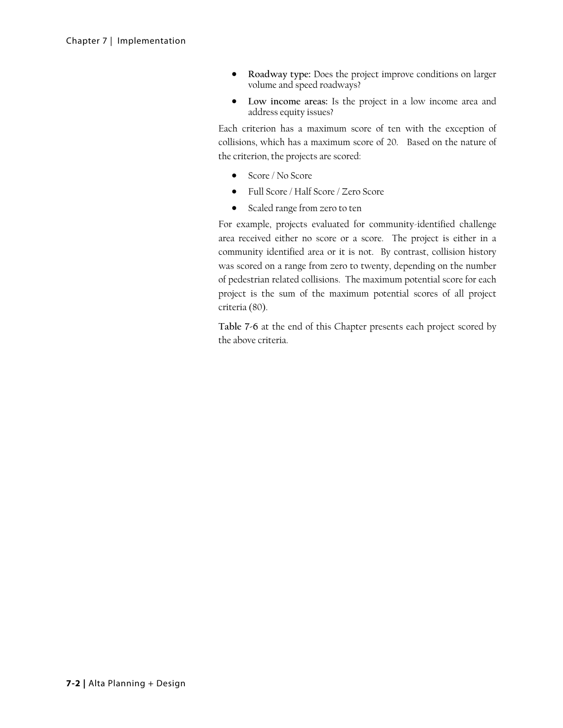- **Roadway type:** Does the project improve conditions on larger volume and speed roadways?
- **Low income areas:** Is the project in a low income area and address equity issues?

Each criterion has a maximum score of ten with the exception of collisions, which has a maximum score of 20. Based on the nature of the criterion, the projects are scored:

- Score / No Score
- Full Score / Half Score / Zero Score
- Scaled range from zero to ten

For example, projects evaluated for community-identified challenge area received either no score or a score. The project is either in a community identified area or it is not. By contrast, collision history was scored on a range from zero to twenty, depending on the number of pedestrian related collisions. The maximum potential score for each project is the sum of the maximum potential scores of all project criteria (80).

**Table 7-6** at the end of this Chapter presents each project scored by the above criteria.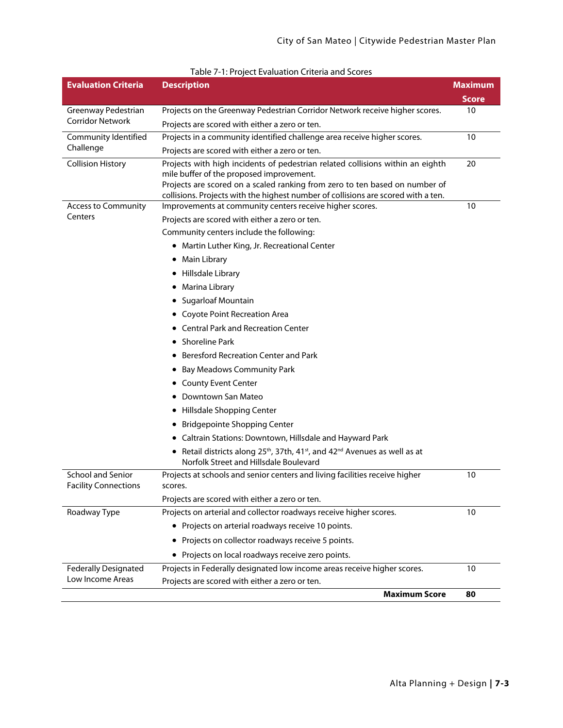| <b>Evaluation Criteria</b>                              | <b>Description</b>                                                                                                                              | <b>Maximum</b> |
|---------------------------------------------------------|-------------------------------------------------------------------------------------------------------------------------------------------------|----------------|
|                                                         |                                                                                                                                                 | <b>Score</b>   |
| Greenway Pedestrian                                     | Projects on the Greenway Pedestrian Corridor Network receive higher scores.                                                                     | 10             |
| <b>Corridor Network</b>                                 | Projects are scored with either a zero or ten.                                                                                                  |                |
| Community Identified                                    | Projects in a community identified challenge area receive higher scores.                                                                        | 10             |
| Challenge                                               | Projects are scored with either a zero or ten.                                                                                                  |                |
| <b>Collision History</b>                                | Projects with high incidents of pedestrian related collisions within an eighth                                                                  | 20             |
|                                                         | mile buffer of the proposed improvement.<br>Projects are scored on a scaled ranking from zero to ten based on number of                         |                |
|                                                         | collisions. Projects with the highest number of collisions are scored with a ten.                                                               |                |
| <b>Access to Community</b>                              | Improvements at community centers receive higher scores.                                                                                        | 10             |
| Centers                                                 | Projects are scored with either a zero or ten.                                                                                                  |                |
|                                                         | Community centers include the following:                                                                                                        |                |
|                                                         | • Martin Luther King, Jr. Recreational Center                                                                                                   |                |
|                                                         | • Main Library                                                                                                                                  |                |
|                                                         | • Hillsdale Library                                                                                                                             |                |
|                                                         | • Marina Library                                                                                                                                |                |
|                                                         | • Sugarloaf Mountain                                                                                                                            |                |
|                                                         | • Coyote Point Recreation Area                                                                                                                  |                |
|                                                         | • Central Park and Recreation Center                                                                                                            |                |
|                                                         | • Shoreline Park                                                                                                                                |                |
|                                                         | • Beresford Recreation Center and Park                                                                                                          |                |
|                                                         | • Bay Meadows Community Park                                                                                                                    |                |
|                                                         | • County Event Center                                                                                                                           |                |
|                                                         | Downtown San Mateo                                                                                                                              |                |
|                                                         | • Hillsdale Shopping Center                                                                                                                     |                |
|                                                         | • Bridgepointe Shopping Center                                                                                                                  |                |
|                                                         | • Caltrain Stations: Downtown, Hillsdale and Hayward Park                                                                                       |                |
|                                                         | • Retail districts along $25th$ , 37th, 41 <sup>st</sup> , and 42 <sup>nd</sup> Avenues as well as at<br>Norfolk Street and Hillsdale Boulevard |                |
| <b>School and Senior</b><br><b>Facility Connections</b> | Projects at schools and senior centers and living facilities receive higher<br>scores.                                                          | 10             |
|                                                         | Projects are scored with either a zero or ten.                                                                                                  |                |
| Roadway Type                                            | Projects on arterial and collector roadways receive higher scores.                                                                              | 10             |
|                                                         | • Projects on arterial roadways receive 10 points.                                                                                              |                |
|                                                         | • Projects on collector roadways receive 5 points.                                                                                              |                |
|                                                         | • Projects on local roadways receive zero points.                                                                                               |                |
| <b>Federally Designated</b>                             | Projects in Federally designated low income areas receive higher scores.                                                                        | 10             |
| Low Income Areas                                        | Projects are scored with either a zero or ten.                                                                                                  |                |
|                                                         | <b>Maximum Score</b>                                                                                                                            | 80             |

#### Table 7-1: Project Evaluation Criteria and Scores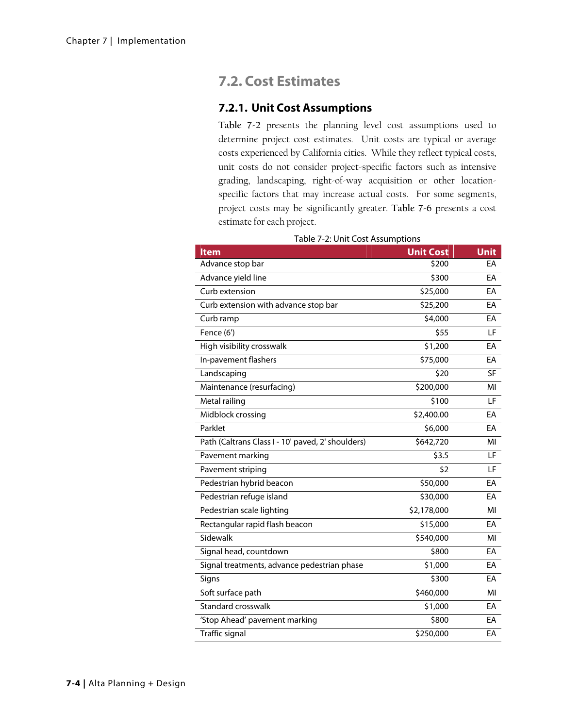### **7.2. Cost Estimates**

#### **7.2.1. Unit Cost Assumptions**

**Table 7-2** presents the planning level cost assumptions used to determine project cost estimates. Unit costs are typical or average costs experienced by California cities. While they reflect typical costs, unit costs do not consider project-specific factors such as intensive grading, landscaping, right-of-way acquisition or other locationspecific factors that may increase actual costs. For some segments, project costs may be significantly greater. **Table 7-6** presents a cost estimate for each project.

| <b>Item</b>                                       | <b>Unit Cost</b> | <b>Unit</b> |
|---------------------------------------------------|------------------|-------------|
| Advance stop bar                                  | \$200            | EA          |
| Advance yield line                                | \$300            | EA          |
| Curb extension                                    | \$25,000         | EA          |
| Curb extension with advance stop bar              | \$25,200         | EA          |
| Curb ramp                                         | \$4,000          | EA          |
| Fence (6')                                        | \$55             | LF          |
| High visibility crosswalk                         | \$1,200          | EA          |
| In-pavement flashers                              | \$75,000         | EA          |
| Landscaping                                       | \$20             | SF          |
| Maintenance (resurfacing)                         | \$200,000        | MI          |
| Metal railing                                     | \$100            | LF          |
| Midblock crossing                                 | \$2,400.00       | EA          |
| Parklet                                           | \$6,000          | EA          |
| Path (Caltrans Class I - 10' paved, 2' shoulders) | \$642,720        | MI          |
| Pavement marking                                  | \$3.5            | LF          |
| Pavement striping                                 | \$2              | LF          |
| Pedestrian hybrid beacon                          | \$50,000         | EA          |
| Pedestrian refuge island                          | \$30,000         | EA          |
| Pedestrian scale lighting                         | \$2,178,000      | MI          |
| Rectangular rapid flash beacon                    | \$15,000         | EA          |
| Sidewalk                                          | \$540,000        | MI          |
| Signal head, countdown                            | \$800            | EA          |
| Signal treatments, advance pedestrian phase       | \$1,000          | EA          |
| Signs                                             | \$300            | EA          |
| Soft surface path                                 | \$460,000        | MI          |
| Standard crosswalk                                | \$1,000          | EA          |
| 'Stop Ahead' pavement marking                     | \$800            | EA          |
| Traffic signal                                    | \$250,000        | EA          |

#### Table 7-2: Unit Cost Assumptions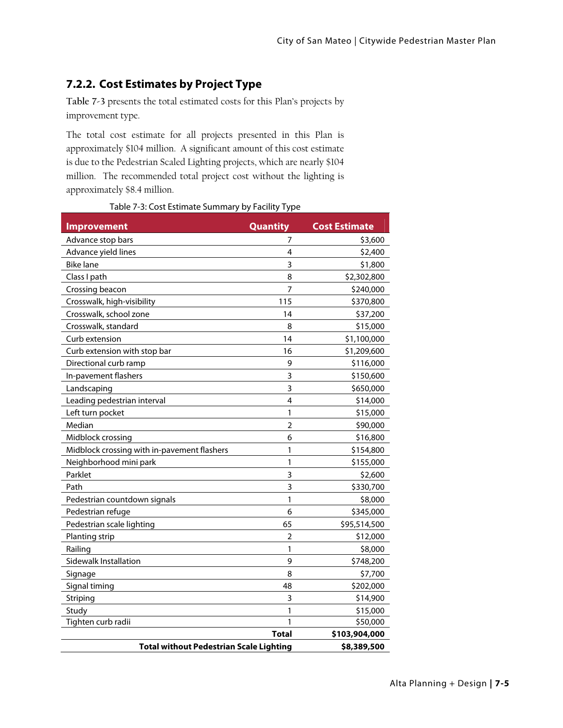#### **7.2.2. Cost Estimates by Project Type**

**Table 7-3** presents the total estimated costs for this Plan's projects by improvement type.

The total cost estimate for all projects presented in this Plan is approximately \$104 million. A significant amount of this cost estimate is due to the Pedestrian Scaled Lighting projects, which are nearly \$104 million. The recommended total project cost without the lighting is approximately \$8.4 million.

| <b>Improvement</b>                             | <b>Quantity</b> | <b>Cost Estimate</b> |
|------------------------------------------------|-----------------|----------------------|
| Advance stop bars                              | 7               | \$3,600              |
| Advance yield lines                            | 4               | \$2,400              |
| <b>Bike lane</b>                               | 3               | \$1,800              |
| Class I path                                   | 8               | \$2,302,800          |
| Crossing beacon                                | 7               | \$240,000            |
| Crosswalk, high-visibility                     | 115             | \$370,800            |
| Crosswalk, school zone                         | 14              | \$37,200             |
| Crosswalk, standard                            | 8               | \$15,000             |
| Curb extension                                 | 14              | \$1,100,000          |
| Curb extension with stop bar                   | 16              | \$1,209,600          |
| Directional curb ramp                          | 9               | \$116,000            |
| In-pavement flashers                           | 3               | \$150,600            |
| Landscaping                                    | 3               | \$650,000            |
| Leading pedestrian interval                    | 4               | \$14,000             |
| Left turn pocket                               | 1               | \$15,000             |
| Median                                         | $\overline{2}$  | \$90,000             |
| Midblock crossing                              | 6               | \$16,800             |
| Midblock crossing with in-pavement flashers    | 1               | \$154,800            |
| Neighborhood mini park                         | 1               | \$155,000            |
| Parklet                                        | 3               | \$2,600              |
| Path                                           | 3               | \$330,700            |
| Pedestrian countdown signals                   | 1               | \$8,000              |
| Pedestrian refuge                              | 6               | \$345,000            |
| Pedestrian scale lighting                      | 65              | \$95,514,500         |
| Planting strip                                 | $\overline{2}$  | \$12,000             |
| Railing                                        | 1               | \$8,000              |
| Sidewalk Installation                          | 9               | \$748,200            |
| Signage                                        | 8               | \$7,700              |
| Signal timing                                  | 48              | \$202,000            |
| Striping                                       | 3               | \$14,900             |
| Study                                          | 1               | \$15,000             |
| Tighten curb radii                             | 1               | \$50,000             |
|                                                | <b>Total</b>    | \$103,904,000        |
| <b>Total without Pedestrian Scale Lighting</b> |                 | \$8,389,500          |

| Table 7-3: Cost Estimate Summary by Facility Type |  |
|---------------------------------------------------|--|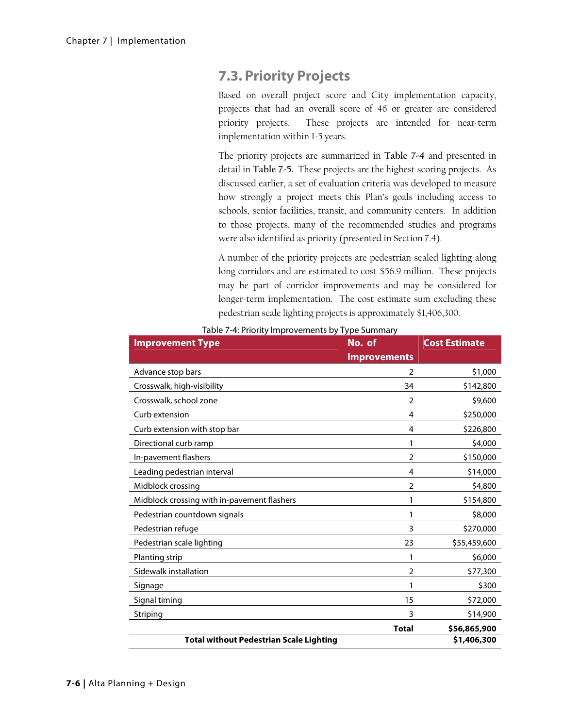## **7.3. Priority Projects**

Based on overall project score and City implementation capacity, projects that had an overall score of 46 or greater are considered priority projects. These projects are intended for near-term implementation within 1-5 years.

The priority projects are summarized in **Table 7-4** and presented in detail in **Table 7-5.** These projects are the highest scoring projects. As discussed earlier, a set of evaluation criteria was developed to measure how strongly a project meets this Plan's goals including access to schools, senior facilities, transit, and community centers. In addition to those projects, many of the recommended studies and programs were also identified as priority (presented in Section 7.4).

A number of the priority projects are pedestrian scaled lighting along long corridors and are estimated to cost \$56.9 million. These projects may be part of corridor improvements and may be considered for longer-term implementation. The cost estimate sum excluding these pedestrian scale lighting projects is approximately \$1,406,300.

| <b>Improvement Type</b>                        | No. of              | <b>Cost Estimate</b> |
|------------------------------------------------|---------------------|----------------------|
|                                                | <b>Improvements</b> |                      |
| Advance stop bars                              | 2                   | \$1,000              |
| Crosswalk, high-visibility                     | 34                  | \$142,800            |
| Crosswalk, school zone                         | $\overline{2}$      | \$9,600              |
| Curb extension                                 | 4                   | \$250,000            |
| Curb extension with stop bar                   | 4                   | \$226,800            |
| Directional curb ramp                          | 1                   | \$4,000              |
| In-pavement flashers                           | $\overline{2}$      | \$150,000            |
| Leading pedestrian interval                    | 4                   | \$14,000             |
| Midblock crossing                              | $\overline{2}$      | \$4,800              |
| Midblock crossing with in-pavement flashers    | 1                   | \$154,800            |
| Pedestrian countdown signals                   | 1                   | \$8,000              |
| Pedestrian refuge                              | 3                   | \$270,000            |
| Pedestrian scale lighting                      | 23                  | \$55,459,600         |
| Planting strip                                 | 1                   | \$6,000              |
| Sidewalk installation                          | $\overline{2}$      | \$77,300             |
| Signage                                        | 1                   | \$300                |
| Signal timing                                  | 15                  | \$72,000             |
| Striping                                       | 3                   | \$14,900             |
|                                                | <b>Total</b>        | \$56,865,900         |
| <b>Total without Pedestrian Scale Lighting</b> |                     | \$1,406,300          |

#### Table 7-4: Priority Improvements by Type Summary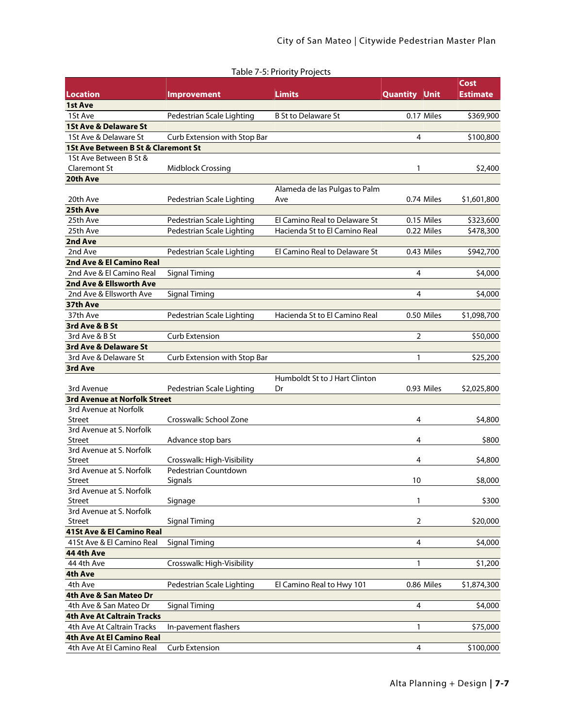| Table 7-5: Priority Projects |  |
|------------------------------|--|
|------------------------------|--|

|                                     |                              |                               |                      |            | Cost            |
|-------------------------------------|------------------------------|-------------------------------|----------------------|------------|-----------------|
| <b>Location</b>                     | <b>Improvement</b>           | <b>Limits</b>                 | <b>Quantity Unit</b> |            | <b>Estimate</b> |
| <b>1st Ave</b>                      |                              |                               |                      |            |                 |
| 1St Ave                             | Pedestrian Scale Lighting    | <b>B St to Delaware St</b>    |                      | 0.17 Miles | \$369,900       |
| <b>1St Ave &amp; Delaware St</b>    |                              |                               |                      |            |                 |
| 1St Ave & Delaware St               | Curb Extension with Stop Bar |                               | 4                    |            | \$100,800       |
| 1St Ave Between B St & Claremont St |                              |                               |                      |            |                 |
| 1St Ave Between B St &              |                              |                               |                      |            |                 |
| <b>Claremont St</b>                 | <b>Midblock Crossing</b>     |                               | 1                    |            | \$2,400         |
| 20th Ave                            |                              |                               |                      |            |                 |
|                                     |                              | Alameda de las Pulgas to Palm |                      |            |                 |
| 20th Ave                            | Pedestrian Scale Lighting    | Ave                           |                      | 0.74 Miles | \$1,601,800     |
| 25th Ave                            |                              |                               |                      |            |                 |
| 25th Ave                            | Pedestrian Scale Lighting    | El Camino Real to Delaware St |                      | 0.15 Miles | \$323,600       |
| 25th Ave                            | Pedestrian Scale Lighting    | Hacienda St to El Camino Real |                      | 0.22 Miles | \$478,300       |
| 2nd Ave                             |                              |                               |                      |            |                 |
| 2nd Ave                             | Pedestrian Scale Lighting    | El Camino Real to Delaware St |                      | 0.43 Miles | \$942,700       |
| 2nd Ave & El Camino Real            |                              |                               |                      |            |                 |
| 2nd Ave & El Camino Real            | Signal Timing                |                               | 4                    |            | \$4,000         |
| 2nd Ave & Ellsworth Ave             |                              |                               |                      |            |                 |
| 2nd Ave & Ellsworth Ave             | Signal Timing                |                               | 4                    |            | \$4,000         |
| 37th Ave                            |                              |                               |                      |            |                 |
| 37th Ave                            | Pedestrian Scale Lighting    | Hacienda St to El Camino Real |                      | 0.50 Miles | \$1,098,700     |
| 3rd Ave & B St                      |                              |                               |                      |            |                 |
| 3rd Ave & B St                      | <b>Curb Extension</b>        |                               | $\overline{2}$       |            | \$50,000        |
| 3rd Ave & Delaware St               |                              |                               |                      |            |                 |
| 3rd Ave & Delaware St               | Curb Extension with Stop Bar |                               | 1                    |            | \$25,200        |
| 3rd Ave                             |                              |                               |                      |            |                 |
|                                     |                              | Humboldt St to J Hart Clinton |                      |            |                 |
| 3rd Avenue                          | Pedestrian Scale Lighting    | Dr                            |                      | 0.93 Miles | \$2,025,800     |
| <b>3rd Avenue at Norfolk Street</b> |                              |                               |                      |            |                 |
| 3rd Avenue at Norfolk               |                              |                               |                      |            |                 |
| Street                              | Crosswalk: School Zone       |                               | 4                    |            | \$4,800         |
| 3rd Avenue at S. Norfolk            |                              |                               |                      |            |                 |
| Street                              | Advance stop bars            |                               | 4                    |            | \$800           |
| 3rd Avenue at S. Norfolk            |                              |                               |                      |            |                 |
| <b>Street</b>                       | Crosswalk: High-Visibility   |                               | 4                    |            | \$4,800         |
| 3rd Avenue at S. Norfolk            | Pedestrian Countdown         |                               |                      |            |                 |
| Street                              | Signals                      |                               | 10                   |            | \$8,000         |
| 3rd Avenue at S. Norfolk            |                              |                               |                      |            |                 |
| <b>Street</b>                       | Signage                      |                               | 1                    |            | \$300           |
| 3rd Avenue at S. Norfolk            |                              |                               |                      |            |                 |
| <b>Street</b>                       | <b>Signal Timing</b>         |                               | $\overline{2}$       |            | \$20,000        |
| 41St Ave & El Camino Real           |                              |                               |                      |            |                 |
| 41St Ave & El Camino Real           | <b>Signal Timing</b>         |                               | 4                    |            | \$4,000         |
| 44 4th Ave                          |                              |                               |                      |            |                 |
| 44 4th Ave                          | Crosswalk: High-Visibility   |                               | 1                    |            | \$1,200         |
| 4th Ave                             |                              |                               |                      |            |                 |
| 4th Ave                             | Pedestrian Scale Lighting    | El Camino Real to Hwy 101     |                      | 0.86 Miles | \$1,874,300     |
| 4th Ave & San Mateo Dr              |                              |                               |                      |            |                 |
| 4th Ave & San Mateo Dr              | Signal Timing                |                               | 4                    |            | \$4,000         |
| <b>4th Ave At Caltrain Tracks</b>   |                              |                               |                      |            |                 |
| 4th Ave At Caltrain Tracks          | In-pavement flashers         |                               | 1                    |            | \$75,000        |
| 4th Ave At El Camino Real           |                              |                               |                      |            |                 |
| 4th Ave At El Camino Real           | <b>Curb Extension</b>        |                               | 4                    |            | \$100,000       |
|                                     |                              |                               |                      |            |                 |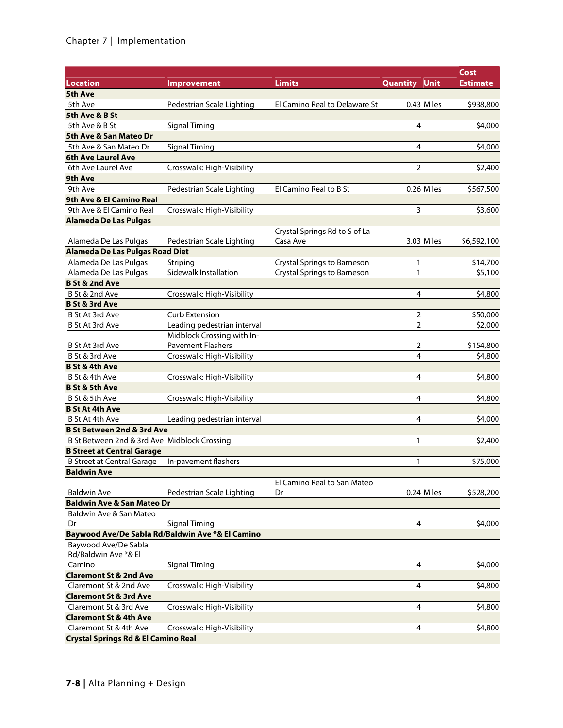#### Chapter 7 | Implementation

|                                                |                                                  |                                    |                      |            | Cost            |
|------------------------------------------------|--------------------------------------------------|------------------------------------|----------------------|------------|-----------------|
| <b>Location</b>                                | <b>Improvement</b>                               | <b>Limits</b>                      | <b>Quantity Unit</b> |            | <b>Estimate</b> |
| 5th Ave                                        |                                                  |                                    |                      |            |                 |
| 5th Ave                                        | Pedestrian Scale Lighting                        | El Camino Real to Delaware St      |                      | 0.43 Miles | \$938,800       |
| 5th Ave & B St                                 |                                                  |                                    |                      |            |                 |
| 5th Ave & B St                                 | <b>Signal Timing</b>                             |                                    | 4                    |            | \$4,000         |
| 5th Ave & San Mateo Dr                         |                                                  |                                    |                      |            |                 |
| 5th Ave & San Mateo Dr                         | <b>Signal Timing</b>                             |                                    | 4                    |            | \$4,000         |
| <b>6th Ave Laurel Ave</b>                      |                                                  |                                    |                      |            |                 |
| 6th Ave Laurel Ave                             | Crosswalk: High-Visibility                       |                                    | 2                    |            | \$2,400         |
| 9th Ave                                        |                                                  |                                    |                      |            |                 |
| 9th Ave                                        | Pedestrian Scale Lighting                        | El Camino Real to B St             |                      | 0.26 Miles | \$567,500       |
| 9th Ave & El Camino Real                       |                                                  |                                    |                      |            |                 |
| 9th Ave & El Camino Real                       | Crosswalk: High-Visibility                       |                                    | 3                    |            | \$3,600         |
| <b>Alameda De Las Pulgas</b>                   |                                                  |                                    |                      |            |                 |
|                                                |                                                  | Crystal Springs Rd to S of La      |                      |            |                 |
| Alameda De Las Pulgas                          | Pedestrian Scale Lighting                        | Casa Ave                           |                      | 3.03 Miles | \$6,592,100     |
| <b>Alameda De Las Pulgas Road Diet</b>         |                                                  |                                    |                      |            |                 |
| Alameda De Las Pulgas                          | Striping                                         | <b>Crystal Springs to Barneson</b> | 1                    |            | \$14,700        |
| Alameda De Las Pulgas                          | Sidewalk Installation                            | <b>Crystal Springs to Barneson</b> | 1                    |            | \$5,100         |
| <b>B St &amp; 2nd Ave</b>                      |                                                  |                                    |                      |            |                 |
| B St & 2nd Ave                                 | Crosswalk: High-Visibility                       |                                    | 4                    |            | \$4,800         |
| <b>B St &amp; 3rd Ave</b>                      |                                                  |                                    |                      |            |                 |
| B St At 3rd Ave                                | <b>Curb Extension</b>                            |                                    | 2                    |            | \$50,000        |
| B St At 3rd Ave                                | Leading pedestrian interval                      |                                    | $\overline{2}$       |            | \$2,000         |
|                                                | Midblock Crossing with In-                       |                                    |                      |            |                 |
| B St At 3rd Ave                                | <b>Pavement Flashers</b>                         |                                    | 2                    |            | \$154,800       |
| B St & 3rd Ave                                 | Crosswalk: High-Visibility                       |                                    | 4                    |            | \$4,800         |
| <b>B St &amp; 4th Ave</b>                      |                                                  |                                    |                      |            |                 |
| B St & 4th Ave                                 | Crosswalk: High-Visibility                       |                                    | 4                    |            | \$4,800         |
| <b>B St &amp; 5th Ave</b>                      |                                                  |                                    |                      |            |                 |
| B St & 5th Ave                                 | Crosswalk: High-Visibility                       |                                    | 4                    |            | \$4,800         |
| <b>B St At 4th Ave</b>                         |                                                  |                                    |                      |            |                 |
| B St At 4th Ave                                | Leading pedestrian interval                      |                                    | 4                    |            | \$4,000         |
| <b>B St Between 2nd &amp; 3rd Ave</b>          |                                                  |                                    |                      |            |                 |
| B St Between 2nd & 3rd Ave Midblock Crossing   |                                                  |                                    | 1                    |            | \$2,400         |
| <b>B Street at Central Garage</b>              |                                                  |                                    |                      |            |                 |
| <b>B Street at Central Garage</b>              | In-pavement flashers                             |                                    | 1                    |            | \$75,000        |
| <b>Baldwin Ave</b>                             |                                                  |                                    |                      |            |                 |
|                                                |                                                  | El Camino Real to San Mateo        |                      |            |                 |
| <b>Baldwin Ave</b>                             | Pedestrian Scale Lighting                        | Dr                                 |                      | 0.24 Miles | \$528,200       |
| <b>Baldwin Ave &amp; San Mateo Dr</b>          |                                                  |                                    |                      |            |                 |
| Baldwin Ave & San Mateo                        |                                                  |                                    |                      |            |                 |
| Dr                                             | <b>Signal Timing</b>                             |                                    | 4                    |            | \$4,000         |
|                                                | Baywood Ave/De Sabla Rd/Baldwin Ave *& El Camino |                                    |                      |            |                 |
| Baywood Ave/De Sabla                           |                                                  |                                    |                      |            |                 |
| Rd/Baldwin Ave *& El                           |                                                  |                                    |                      |            |                 |
| Camino                                         | Signal Timing                                    |                                    | 4                    |            | \$4,000         |
| <b>Claremont St &amp; 2nd Ave</b>              |                                                  |                                    |                      |            |                 |
| Claremont St & 2nd Ave                         | Crosswalk: High-Visibility                       |                                    | 4                    |            | \$4,800         |
| <b>Claremont St &amp; 3rd Ave</b>              |                                                  |                                    |                      |            |                 |
| Claremont St & 3rd Ave                         | Crosswalk: High-Visibility                       |                                    | 4                    |            | \$4,800         |
| <b>Claremont St &amp; 4th Ave</b>              |                                                  |                                    |                      |            |                 |
| Claremont St & 4th Ave                         | Crosswalk: High-Visibility                       |                                    | 4                    |            | \$4,800         |
| <b>Crystal Springs Rd &amp; El Camino Real</b> |                                                  |                                    |                      |            |                 |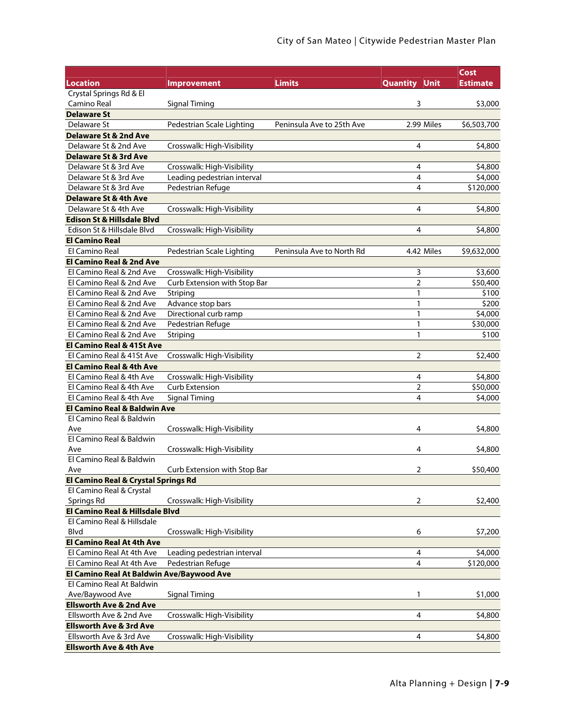|                                           |                              |                           |                          |            | Cost            |
|-------------------------------------------|------------------------------|---------------------------|--------------------------|------------|-----------------|
| <b>Location</b>                           | <b>Improvement</b>           | <b>Limits</b>             | <b>Quantity Unit</b>     |            | <b>Estimate</b> |
| Crystal Springs Rd & El                   |                              |                           |                          |            |                 |
| Camino Real                               | <b>Signal Timing</b>         |                           | 3                        |            | \$3,000         |
| <b>Delaware St</b>                        |                              |                           |                          |            |                 |
| Delaware St                               | Pedestrian Scale Lighting    | Peninsula Ave to 25th Ave |                          | 2.99 Miles | \$6,503,700     |
| <b>Delaware St &amp; 2nd Ave</b>          |                              |                           |                          |            |                 |
| Delaware St & 2nd Ave                     | Crosswalk: High-Visibility   |                           | 4                        |            | \$4,800         |
| <b>Delaware St &amp; 3rd Ave</b>          |                              |                           |                          |            |                 |
| Delaware St & 3rd Ave                     | Crosswalk: High-Visibility   |                           | $\overline{4}$           |            | \$4,800         |
| Delaware St & 3rd Ave                     | Leading pedestrian interval  |                           | 4                        |            | \$4,000         |
| Delaware St & 3rd Ave                     | Pedestrian Refuge            |                           | 4                        |            | \$120,000       |
| <b>Delaware St &amp; 4th Ave</b>          |                              |                           |                          |            |                 |
| Delaware St & 4th Ave                     | Crosswalk: High-Visibility   |                           | 4                        |            | \$4,800         |
| <b>Edison St &amp; Hillsdale Blvd</b>     |                              |                           |                          |            |                 |
| Edison St & Hillsdale Blvd                | Crosswalk: High-Visibility   |                           | 4                        |            | \$4,800         |
| <b>El Camino Real</b>                     |                              |                           |                          |            |                 |
| El Camino Real                            | Pedestrian Scale Lighting    | Peninsula Ave to North Rd |                          | 4.42 Miles | \$9,632,000     |
| <b>El Camino Real &amp; 2nd Ave</b>       |                              |                           |                          |            |                 |
| El Camino Real & 2nd Ave                  | Crosswalk: High-Visibility   |                           | 3                        |            | \$3,600         |
| El Camino Real & 2nd Ave                  | Curb Extension with Stop Bar |                           | $\overline{2}$           |            | \$50,400        |
| El Camino Real & 2nd Ave                  | Striping                     |                           | 1                        |            | \$100           |
| El Camino Real & 2nd Ave                  | Advance stop bars            |                           | 1                        |            | \$200           |
| El Camino Real & 2nd Ave                  | Directional curb ramp        |                           | 1                        |            | \$4,000         |
| El Camino Real & 2nd Ave                  | Pedestrian Refuge            |                           | 1                        |            | \$30,000        |
| El Camino Real & 2nd Ave                  | Striping                     |                           | 1                        |            | \$100           |
| <b>El Camino Real &amp; 41St Ave</b>      |                              |                           |                          |            |                 |
| El Camino Real & 41St Ave                 | Crosswalk: High-Visibility   |                           | $\overline{2}$           |            | \$2,400         |
| El Camino Real & 4th Ave                  |                              |                           |                          |            |                 |
| El Camino Real & 4th Ave                  | Crosswalk: High-Visibility   |                           | $\overline{\mathcal{A}}$ |            | \$4,800         |
| El Camino Real & 4th Ave                  | Curb Extension               |                           | 2                        |            | \$50,000        |
| El Camino Real & 4th Ave                  | <b>Signal Timing</b>         |                           | 4                        |            | \$4,000         |
| <b>El Camino Real &amp; Baldwin Ave</b>   |                              |                           |                          |            |                 |
| El Camino Real & Baldwin                  |                              |                           |                          |            |                 |
| Ave                                       | Crosswalk: High-Visibility   |                           | 4                        |            | \$4,800         |
| El Camino Real & Baldwin                  |                              |                           |                          |            |                 |
| Ave                                       | Crosswalk: High-Visibility   |                           | 4                        |            | \$4,800         |
| El Camino Real & Baldwin                  |                              |                           |                          |            |                 |
| Ave                                       | Curb Extension with Stop Bar |                           | 2                        |            | \$50,400        |
| El Camino Real & Crystal Springs Rd       |                              |                           |                          |            |                 |
| El Camino Real & Crystal                  |                              |                           |                          |            |                 |
| Springs Rd                                | Crosswalk: High-Visibility   |                           | 2                        |            | \$2,400         |
| El Camino Real & Hillsdale Blvd           |                              |                           |                          |            |                 |
| El Camino Real & Hillsdale                |                              |                           |                          |            |                 |
| Blvd                                      | Crosswalk: High-Visibility   |                           | 6                        |            | \$7,200         |
| <b>El Camino Real At 4th Ave</b>          |                              |                           |                          |            |                 |
| El Camino Real At 4th Ave                 | Leading pedestrian interval  |                           | 4                        |            | \$4,000         |
| El Camino Real At 4th Ave                 | Pedestrian Refuge            |                           | 4                        |            | \$120,000       |
| El Camino Real At Baldwin Ave/Baywood Ave |                              |                           |                          |            |                 |
| El Camino Real At Baldwin                 |                              |                           |                          |            |                 |
| Ave/Baywood Ave                           | Signal Timing                |                           | 1                        |            | \$1,000         |
| <b>Ellsworth Ave &amp; 2nd Ave</b>        |                              |                           |                          |            |                 |
| Ellsworth Ave & 2nd Ave                   | Crosswalk: High-Visibility   |                           | $\overline{4}$           |            | \$4,800         |
| <b>Ellsworth Ave &amp; 3rd Ave</b>        |                              |                           |                          |            |                 |
| Ellsworth Ave & 3rd Ave                   | Crosswalk: High-Visibility   |                           | 4                        |            | \$4,800         |
| <b>Ellsworth Ave &amp; 4th Ave</b>        |                              |                           |                          |            |                 |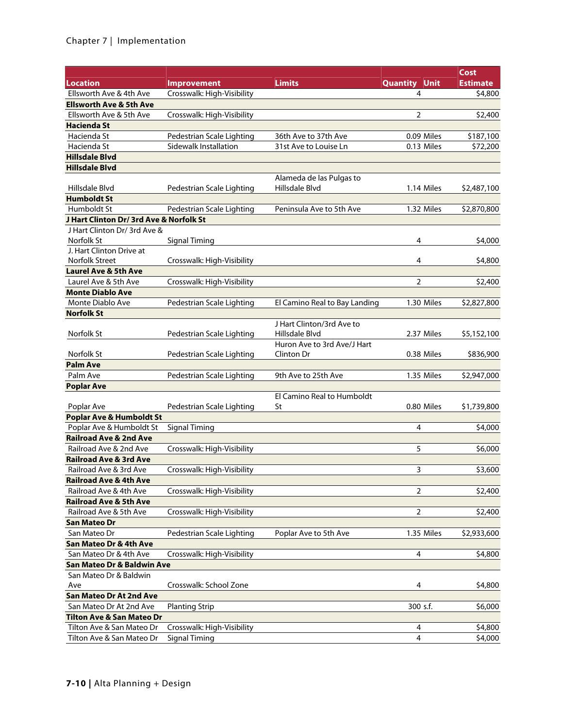#### Chapter 7 | Implementation

|                                         |                            |                               |                      |            | Cost            |
|-----------------------------------------|----------------------------|-------------------------------|----------------------|------------|-----------------|
| <b>Location</b>                         | <b>Improvement</b>         | <b>Limits</b>                 | <b>Quantity Unit</b> |            | <b>Estimate</b> |
| Ellsworth Ave & 4th Ave                 | Crosswalk: High-Visibility |                               | 4                    |            | \$4,800         |
| <b>Ellsworth Ave &amp; 5th Ave</b>      |                            |                               |                      |            |                 |
| Ellsworth Ave & 5th Ave                 | Crosswalk: High-Visibility |                               | $\overline{2}$       |            | \$2,400         |
| <b>Hacienda St</b>                      |                            |                               |                      |            |                 |
| Hacienda St                             | Pedestrian Scale Lighting  | 36th Ave to 37th Ave          |                      | 0.09 Miles | \$187,100       |
| Hacienda St                             | Sidewalk Installation      | 31st Ave to Louise Ln         |                      | 0.13 Miles | \$72,200        |
| <b>Hillsdale Blvd</b>                   |                            |                               |                      |            |                 |
| <b>Hillsdale Blvd</b>                   |                            |                               |                      |            |                 |
|                                         |                            | Alameda de las Pulgas to      |                      |            |                 |
| Hillsdale Blvd                          | Pedestrian Scale Lighting  | Hillsdale Blvd                |                      | 1.14 Miles | \$2,487,100     |
| <b>Humboldt St</b>                      |                            |                               |                      |            |                 |
| Humboldt St                             | Pedestrian Scale Lighting  | Peninsula Ave to 5th Ave      |                      | 1.32 Miles | \$2,870,800     |
| J Hart Clinton Dr/ 3rd Ave & Norfolk St |                            |                               |                      |            |                 |
| J Hart Clinton Dr/ 3rd Ave &            |                            |                               |                      |            |                 |
| Norfolk St                              | Signal Timing              |                               | 4                    |            | \$4,000         |
| J. Hart Clinton Drive at                |                            |                               |                      |            |                 |
| <b>Norfolk Street</b>                   | Crosswalk: High-Visibility |                               | 4                    |            | \$4,800         |
| <b>Laurel Ave &amp; 5th Ave</b>         |                            |                               |                      |            |                 |
| Laurel Ave & 5th Ave                    | Crosswalk: High-Visibility |                               | $\overline{2}$       |            | \$2,400         |
| <b>Monte Diablo Ave</b>                 |                            |                               |                      |            |                 |
| Monte Diablo Ave                        | Pedestrian Scale Lighting  | El Camino Real to Bay Landing |                      | 1.30 Miles | \$2,827,800     |
| <b>Norfolk St</b>                       |                            |                               |                      |            |                 |
|                                         |                            | J Hart Clinton/3rd Ave to     |                      |            |                 |
| Norfolk St                              | Pedestrian Scale Lighting  | Hillsdale Blvd                |                      | 2.37 Miles | \$5,152,100     |
|                                         |                            | Huron Ave to 3rd Ave/J Hart   |                      |            |                 |
| Norfolk St                              | Pedestrian Scale Lighting  | Clinton Dr                    |                      | 0.38 Miles | \$836,900       |
| <b>Palm Ave</b>                         |                            |                               |                      |            |                 |
| Palm Ave                                | Pedestrian Scale Lighting  | 9th Ave to 25th Ave           |                      | 1.35 Miles | \$2,947,000     |
| <b>Poplar Ave</b>                       |                            |                               |                      |            |                 |
|                                         |                            | El Camino Real to Humboldt    |                      |            |                 |
| Poplar Ave                              | Pedestrian Scale Lighting  | St                            |                      | 0.80 Miles | \$1,739,800     |
| <b>Poplar Ave &amp; Humboldt St</b>     |                            |                               |                      |            |                 |
| Poplar Ave & Humboldt St                | <b>Signal Timing</b>       |                               | 4                    |            | \$4,000         |
| <b>Railroad Ave &amp; 2nd Ave</b>       |                            |                               |                      |            |                 |
| Railroad Ave & 2nd Ave                  | Crosswalk: High-Visibility |                               | 5                    |            | \$6,000         |
| <b>Railroad Ave &amp; 3rd Ave</b>       |                            |                               |                      |            |                 |
| Railroad Ave & 3rd Ave                  | Crosswalk: High-Visibility |                               | 3                    |            | \$3,600         |
| <b>Railroad Ave &amp; 4th Ave</b>       |                            |                               |                      |            |                 |
| Railroad Ave & 4th Ave                  | Crosswalk: High-Visibility |                               | 2                    |            | \$2,400         |
| <b>Railroad Ave &amp; 5th Ave</b>       |                            |                               |                      |            |                 |
| Railroad Ave & 5th Ave                  | Crosswalk: High-Visibility |                               | 2                    |            | \$2,400         |
| <b>San Mateo Dr</b>                     |                            |                               |                      |            |                 |
| San Mateo Dr                            | Pedestrian Scale Lighting  | Poplar Ave to 5th Ave         |                      | 1.35 Miles | \$2,933,600     |
| San Mateo Dr & 4th Ave                  |                            |                               |                      |            |                 |
| San Mateo Dr & 4th Ave                  | Crosswalk: High-Visibility |                               | 4                    |            | \$4,800         |
| San Mateo Dr & Baldwin Ave              |                            |                               |                      |            |                 |
| San Mateo Dr & Baldwin                  |                            |                               |                      |            |                 |
| Ave                                     | Crosswalk: School Zone     |                               | 4                    |            | \$4,800         |
| <b>San Mateo Dr At 2nd Ave</b>          |                            |                               |                      |            |                 |
| San Mateo Dr At 2nd Ave                 | <b>Planting Strip</b>      |                               | 300 s.f.             |            | \$6,000         |
| <b>Tilton Ave &amp; San Mateo Dr</b>    |                            |                               |                      |            |                 |
| Tilton Ave & San Mateo Dr               | Crosswalk: High-Visibility |                               | 4                    |            | \$4,800         |
| Tilton Ave & San Mateo Dr               | <b>Signal Timing</b>       |                               | $\overline{4}$       |            | \$4,000         |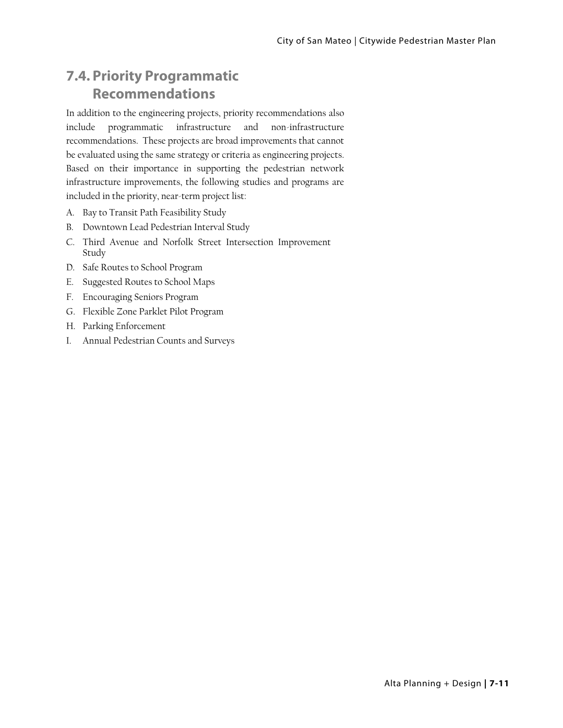# **7.4. Priority Programmatic Recommendations**

In addition to the engineering projects, priority recommendations also include programmatic infrastructure and non-infrastructure recommendations. These projects are broad improvements that cannot be evaluated using the same strategy or criteria as engineering projects. Based on their importance in supporting the pedestrian network infrastructure improvements, the following studies and programs are included in the priority, near-term project list:

- A. Bay to Transit Path Feasibility Study
- B. Downtown Lead Pedestrian Interval Study
- C. Third Avenue and Norfolk Street Intersection Improvement Study
- D. Safe Routes to School Program
- E. Suggested Routes to School Maps
- F. Encouraging Seniors Program
- G. Flexible Zone Parklet Pilot Program
- H. Parking Enforcement
- I. Annual Pedestrian Counts and Surveys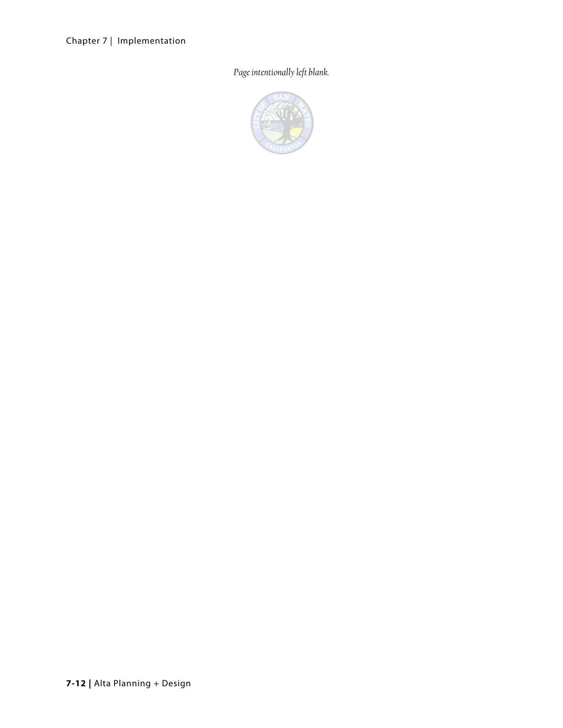Chapter 7 | Implementation

#### *Page intentionally left blank.*

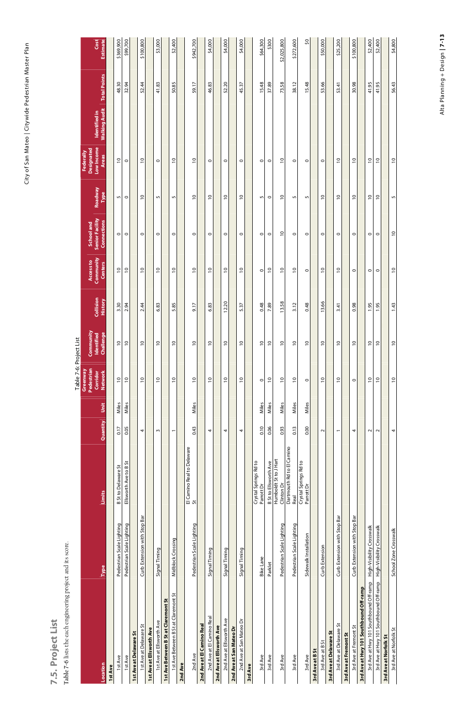Alta Planning + Design | 7-13 Alta Planning + Design **| 7-13** 

7.5. Project List<br>Table 7-6 lists the each engineering project and its score. **Table 7-6** lists the each engineering project and its score.

# **7.5. Project List**

|                                        |                                 |                                     |                          |       | Table 7-6: Project List    |                         |                             |                             |                                       |                 |                            |                                       |                     |                           |
|----------------------------------------|---------------------------------|-------------------------------------|--------------------------|-------|----------------------------|-------------------------|-----------------------------|-----------------------------|---------------------------------------|-----------------|----------------------------|---------------------------------------|---------------------|---------------------------|
|                                        |                                 |                                     |                          |       | Pedestrian<br>Greenway     | Community               |                             | Access to                   | School and                            |                 | Designated<br>Federally    |                                       |                     |                           |
| Location                               | Type                            | Limits                              | Quantity                 | Unit  | Corridor<br><b>Network</b> | Identified<br>Challenge | Collision<br><b>History</b> | Community<br><b>Centers</b> | <b>Senior Facility</b><br>Connections | Roadway<br>Type | Low Income<br><b>Areas</b> | <b>Walking Audit</b><br>Identified in | <b>Total Points</b> | Cost<br><b>Estimate</b>   |
| 1st Ave                                |                                 |                                     |                          |       |                            |                         |                             |                             |                                       |                 |                            |                                       |                     |                           |
| 1st Ave                                | Pedestrian Scale Lighting       | <b>B St to Delaware St</b>          | 0.17                     | Miles | $\overline{C}$             | $\overline{C}$          | 3.30                        | $\overline{c}$              | $\circ$                               | 5               | $\overline{0}$             |                                       | 48.30               | \$369,900                 |
| 1st Ave                                | Pedestrian Scale Lighting       | Ellsworth Ave to B St               | 0.05                     | Miles | $\overline{C}$             | $\overline{c}$          | 2.94                        | $\overline{C}$              | $\circ$                               | $\circ$         | $\circ$                    |                                       | 32.94               | \$99,700                  |
| 1st Ave at Delaware St                 |                                 |                                     |                          |       |                            |                         |                             |                             |                                       |                 |                            |                                       |                     |                           |
| 1st Ave at Delaware St                 | Extension with Stop Bar<br>Curb |                                     | 4                        |       | $\overline{C}$             | $\tilde{=}$             | 2.44                        | $\tilde{=}$                 | $\circ$                               | $\overline{c}$  | $\tilde{=}$                |                                       | 52.44               | \$100,800                 |
| 1st Ave at Ellsworth Ave               |                                 |                                     |                          |       |                            |                         |                             |                             |                                       |                 |                            |                                       |                     |                           |
| 1st Ave at Ellsworth Ave               | Signal Timing                   |                                     | $\sim$                   |       | $\overline{0}$             | $\overline{0}$          | 6.83                        | $\overline{0}$              | $\circ$                               | 5               | $\circ$                    |                                       | 41.83               | \$3,000                   |
| 1st Ave Between B St at Claremont St   |                                 |                                     |                          |       |                            |                         |                             |                             |                                       |                 |                            |                                       |                     |                           |
| 1st Ave Between B St at Claremont St   | Midblock Crossing               |                                     | $\overline{\phantom{0}}$ |       | $\overline{0}$             | $\overline{c}$          | 5.85                        | $\overline{c}$              | $\circ$                               | $\overline{5}$  | $\overline{c}$             |                                       | 50.85               | \$2,400                   |
| 2nd Ave                                |                                 |                                     |                          |       |                            |                         |                             |                             |                                       |                 |                            |                                       |                     |                           |
| 2nd Ave                                | Pedestrian Scale Lighting       | El Camino Real to Delaware<br>St    | 0.43                     | Miles | $\overline{a}$             | $\approx$               | 9.17                        | $\approx$                   | $\circ$                               | $\overline{0}$  | $\approx$                  |                                       | 59.17               | \$942,700                 |
| 2nd Ave at El Camino Real              |                                 |                                     |                          |       |                            |                         |                             |                             |                                       |                 |                            |                                       |                     |                           |
| 2nd Ave at El Camino Real              | Signal Timing                   |                                     | 4                        |       | $\approx$                  | $\approx$               | 6.83                        | $\approx$                   | $\circ$                               | $\approx$       | $\circ$                    |                                       | 46.83               | \$4,000                   |
| 2nd Ave at Ellsworth Ave               |                                 |                                     |                          |       |                            |                         |                             |                             |                                       |                 |                            |                                       |                     |                           |
| 2nd Ave at Ellsworth Ave               | Signal Timing                   |                                     | 4                        |       | $\overline{0}$             | $\overline{0}$          | 12.20                       | $\approx$                   | $\circ$                               | $\overline{0}$  | $\circ$                    |                                       | 52.20               | \$4,000                   |
| 2nd Ave at San Mateo Dr                |                                 |                                     |                          |       |                            |                         |                             |                             |                                       |                 |                            |                                       |                     |                           |
| 2nd Ave at San Mateo Dr                | Signal Timing                   |                                     | 4                        |       | $\overline{0}$             | $\overline{0}$          | 5.37                        | $\overline{c}$              | $\circ$                               | $\overline{0}$  | $\circ$                    |                                       | 45.37               | \$4,000                   |
| 3rd Ave                                |                                 |                                     |                          |       |                            |                         |                             |                             |                                       |                 |                            |                                       |                     |                           |
| 3rd Ave                                | Bike Lane                       | Crystal Springs Rd to<br>Parrott Dr | 0.10                     | Miles | $\circ$                    | $\overline{c}$          | 0.48                        | $\circ$                     | $\circ$                               | S               | $\circ$                    |                                       | 15.48               | \$64,300                  |
| 3rd Ave                                | Parklet                         | <b>B St to Ellsworth Ave</b>        | 0.06                     | Miles | $\overline{c}$             | $\overline{0}$          | 7.89                        | $\overline{c}$              | $\circ$                               | $\circ$         | $\circ$                    |                                       | 37.89               | \$300                     |
| 3rd Ave                                | Pedestrian Scale Lighting       | Humboldt St to J Hart<br>Clinton Dr | 0.93                     | Miles | $\overline{0}$             | $\overline{0}$          | 13.58                       | $\overline{0}$              | $\overline{0}$                        | $\overline{0}$  | $\overline{0}$             |                                       | 73.58               | \$2,025,800               |
| 3rd Ave                                | Pedestrian Scale Lighting       | Dartmouth Rd to El Camino<br>Real   | 0.13                     | Miles | $\overline{a}$             | $\overline{a}$          | 3.12                        | $\overline{a}$              | $\circ$                               | 5               | $\circ$                    |                                       | 38.12               | \$272,600                 |
| 3rd Ave                                | Sidewalk Installation           | Crystal Springs Rd to<br>Parrott Dr | 0.00                     | Miles | $\circ$                    | $\overline{0}$          | 0.48                        | $\circ$                     | $\circ$                               | 5               | $\circ$                    |                                       | 15.48               | $\mathsf{S}^{\mathsf{O}}$ |
| 3rd Ave at B St                        |                                 |                                     |                          |       |                            |                         |                             |                             |                                       |                 |                            |                                       |                     |                           |
| 3rd Ave at B St                        | Extension<br>Curb               |                                     | $\sim$                   |       | $\overline{C}$             | $\overline{C}$          | 13.66                       | $\overline{C}$              | $\circ$                               | $\overline{C}$  | $\circ$                    |                                       | 53.66               | \$50,000                  |
| 3rd Ave at Delaware St                 |                                 |                                     |                          |       |                            |                         |                             |                             |                                       |                 |                            |                                       |                     |                           |
| 3rd Ave at Delaware St                 | Extension with Stop Bar<br>Curb |                                     |                          |       | $\overline{0}$             | $\overline{0}$          | 3.41                        | $\overline{0}$              | $\circ$                               | $\overline{0}$  | $\overline{0}$             |                                       | 53.41               | \$25,200                  |
| 3rd Ave at Fremont St                  |                                 |                                     |                          |       |                            |                         |                             |                             |                                       |                 |                            |                                       |                     |                           |
| 3rd Ave at Fremont St                  | Extension with Stop Bar<br>Curb |                                     | 4                        |       | $\circ$                    | $\overline{0}$          | 0.98                        | $\circ$                     | $\circ$                               | $\overline{0}$  | $\overline{0}$             |                                       | 30.98               | \$100,800                 |
| 3rd Ave at Hwy 101 Southbound Off-ramp |                                 |                                     |                          |       |                            |                         |                             |                             |                                       |                 |                            |                                       |                     |                           |
| 3rd Ave at Hwy 101 Southbound Off-ramp | High-Visibility Crosswalk       |                                     | $\sim$                   |       | $\overline{0}$             | $\overline{c}$          | 1.95                        | $\circ$                     | $\circ$                               | $\approx$       | $\overline{0}$             |                                       | 41.95               | \$2,400                   |
| 3rd Ave at Hwy 101 Southbound Off-ramp | High-Visibility Crosswalk       |                                     | $\sim$                   |       | $\overline{0}$             | $\overline{0}$          | 1.95                        | $\circ$                     | $\circ$                               | $\overline{0}$  | $\overline{0}$             |                                       | 41.95               | \$2,400                   |
| 3rd Ave at Norfolk St                  |                                 |                                     |                          |       |                            |                         |                             |                             |                                       |                 |                            |                                       |                     |                           |
| 3rd Ave at Norfolk St                  | School Zone Crosswalk           |                                     | 4                        |       | $\overline{0}$             | $\overline{C}$          | 1.43                        | $\overline{c}$              | $\overline{0}$                        | 5               | $\overline{0}$             |                                       | 56.43               | \$4,800                   |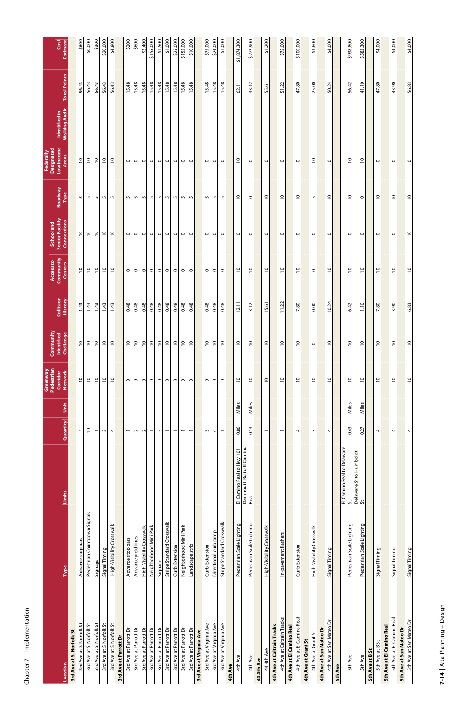# 7-14 | Alta Planning + Design **7-14 |** Alta Planning + Design

|                            |                              |                                                                |                          | Greenway                 |                                |                  |                        |                                             |                  | Federally                |                      |                     |                 |
|----------------------------|------------------------------|----------------------------------------------------------------|--------------------------|--------------------------|--------------------------------|------------------|------------------------|---------------------------------------------|------------------|--------------------------|----------------------|---------------------|-----------------|
|                            |                              |                                                                |                          | Pedestrian<br>Corridor   | <b>Community</b><br>Identified | Collision        | Access to<br>Community | <b>Senior Facility</b><br><b>School and</b> | Roadway          | Low Income<br>Designated | Identified in        |                     | Cost            |
| Location                   | Type                         | Limits                                                         | Unit<br>Quantity         | <b>Network</b>           | Challenge                      | <b>History</b>   | <b>Centers</b>         | Connections                                 |                  | <b>Areas</b>             | <b>Walking Audit</b> | <b>Total Points</b> | <b>Estimate</b> |
| 3rd Ave at S. Norfolk St   |                              |                                                                |                          |                          |                                |                  |                        |                                             |                  |                          |                      |                     |                 |
| 3rd Ave at S. Norfolk St   | Advance stop bars            |                                                                | 4                        | $\overline{a}$           | $\overline{0}$                 | $\frac{4}{4}$    | $\overline{0}$         | $\overline{a}$                              | 5                | $\overline{a}$           |                      | 56.43               | \$600           |
| 3rd Ave at S. Norfolk St   | Pedestrian Countdown Signals |                                                                | $\overline{c}$           | $\tilde{0}$              | $\tilde{0}$                    | $\frac{43}{5}$   | $\overline{c}$         | $\overline{c}$                              | $\overline{5}$   | $\overline{\phantom{0}}$ |                      | 56.43               | \$0,000         |
| 3rd Ave at S. Norfolk St   | Signage                      |                                                                | $\overline{\phantom{0}}$ | $\overline{c}$           | $\overline{c}$                 | 1.43             | $\overline{c}$         | $\overline{c}$                              | $\mathsf{L}$     | $\overline{c}$           |                      | 56.43               | \$300           |
| 3rd Ave at S. Norfolk St   | Signal Timing                |                                                                | $\sim$                   | $\overline{\phantom{0}}$ | $\overline{c}$                 | $\frac{43}{7}$   | $\overline{c}$         | $\overline{c}$                              | $\overline{5}$   | $\overline{c}$           |                      | 56.43               | \$20,000        |
| 3rd Ave at S. Norfolk St   | High-Visibility Crosswalk    |                                                                | $\overline{4}$           | $\overline{c}$           | $\overline{c}$                 | $\frac{43}{5}$   | $\overline{c}$         | $\overline{c}$                              | LO <sub>1</sub>  | $\overline{C}$           |                      | 56.43               | \$4,800         |
| 3rd Ave at Parrott Dr      |                              |                                                                |                          |                          |                                |                  |                        |                                             |                  |                          |                      |                     |                 |
| 3rd Ave at Parrott Dr      | Advance stop bars            |                                                                | $\overline{\phantom{0}}$ | $\circ$                  | $\overline{0}$                 | 0.48             | $\circ$                | $\circ$                                     | 5                | $\circ$                  |                      | 15.48               | \$200           |
| 3rd Ave at Parrott Dr      | Advance yield lines          |                                                                | $\sim$                   | $\circ$                  | $\tilde{c}$                    | 348              | $\circ$                | $\circ$                                     | S                | $\circ$                  |                      | 15.48               | \$600           |
| 3rd Ave at Parrott Dr      | High-Visibility Crosswalk    |                                                                | $\sim$                   | $\circ$                  | $\overline{c}$                 | 348              | $\circ$                | $\circ$                                     | 5                | $\circ$                  |                      | 15.48               | \$2,400         |
| 3rd Ave at Parrott Dr      | Neighborhood Mini Park       |                                                                | $\overline{\phantom{m}}$ | $\circ$                  | $\overline{c}$                 | 0.48             | $\circ$                | $\circ$                                     | $\mathsf{L}\cap$ | $\circ$                  |                      | 15.48               | \$155,000       |
| 3rd Ave at Parrott Dr      | Signage                      |                                                                | S                        | $\circ$                  | $\overline{0}$                 | 0.48             | $\circ$                | $\circ$                                     | LO <sub>1</sub>  | $\circ$                  |                      | 15.48               | \$1,500         |
| 3rd Ave at Parrott Dr      | Stripe Standard Crosswalk    |                                                                | $\overline{\phantom{0}}$ | $\circ$                  | $\overline{0}$                 | 6.48             | $\circ$                | $\circ$                                     | LN,              | $\circ$                  |                      | 15.48               | \$1,000         |
| 3rd Ave at Parrott Dr      | Curb Extension               |                                                                | $\overline{ }$           | $\circ$                  | $\overline{0}$                 | 0.48             | $\circ$                | $\circ$                                     | 5                | $\circ$                  |                      | 15.48               | \$25,000        |
| 3rd Ave at Parrott Dr      | Neighborhood Mini Park       |                                                                | $\overline{\phantom{0}}$ | $\circ$                  | $\overline{c}$                 | 348              | $\circ$                | $\circ$                                     | 5                | $\circ$                  |                      | 15.48               | \$155,000       |
| 3rd Ave at Parrott Dr      | Landscape strip              |                                                                | $\overline{\phantom{0}}$ | $\circ$                  | $\overline{C}$                 | 0.48             | $\circ$                | $\circ$                                     | S                | $\circ$                  |                      | 15.48               | \$10,000        |
| 3rd Ave at Virginia Ave    |                              |                                                                |                          |                          |                                |                  |                        |                                             |                  |                          |                      |                     |                 |
| 3rd Ave at Virginia Ave    | Curb Extension               |                                                                | $\sim$                   | $\circ$                  | $\overline{0}$                 | 0.48             | $\circ$                | $\circ$                                     | S                | $\circ$                  |                      | 15.48               | \$75,000        |
| 3rd Ave at Virginia Ave    | Directional curb ramp        |                                                                | $\circ$                  | $\circ$                  | $\overline{c}$                 | 348              | $\circ$                | $\circ$                                     | 5                | $\circ$                  |                      | 15.48               | \$24,000        |
| 3rd Ave at Virginia Ave    | Stripe Standard Crosswalk    |                                                                | $\overline{ }$           | $\circ$                  | $\overline{0}$                 | 348              | $\circ$                | $\circ$                                     | S                | $\circ$                  |                      | 15.48               | \$1,000         |
| <b>4th Ave</b>             |                              |                                                                |                          |                          |                                |                  |                        |                                             |                  |                          |                      |                     |                 |
| 4th Ave                    | Pedestrian Scale Lighting    |                                                                | 0.86                     | $\overline{0}$<br>Miles  | $\approx$                      | 12.1             | $\overline{c}$         | $\circ$                                     | $\overline{0}$   | $\overline{0}$           |                      | 62.11               | \$1,874,300     |
| 4th Ave                    | Pedestrian Scale Lighting    | El Camino Real to Hwy 101<br>Dartmouth Rd to El Camino<br>Real | 0.13                     | $\overline{0}$<br>Miles  | $\overline{c}$                 | 3.12             | $\overline{c}$         | $\circ$                                     | $\circ$          | $\circ$                  |                      | 33.12               | \$272,900       |
| 44 4th Ave                 |                              |                                                                |                          |                          |                                |                  |                        |                                             |                  |                          |                      |                     |                 |
| 44 4th Ave                 | High-Visibility Crosswalk    |                                                                | $\overline{\phantom{0}}$ | $\overline{0}$           | $\overline{c}$                 | 15.61            | $\overline{0}$         | $\circ$                                     | $\overline{0}$   | $\circ$                  |                      | 55.61               | \$1,200         |
| 4th Ave at Caltrain Tracks |                              |                                                                |                          |                          |                                |                  |                        |                                             |                  |                          |                      |                     |                 |
| 4th Ave at Caltrain Tracks | In-pavement flashers         |                                                                | $\overline{ }$           | $\overline{0}$           | $\overline{0}$                 | 11.22            | $\overline{0}$         | $\circ$                                     | $\overline{0}$   | $\circ$                  |                      | 51.22               | \$75,000        |
| 4th Ave at El Camino Real  |                              |                                                                |                          |                          |                                |                  |                        |                                             |                  |                          |                      |                     |                 |
| 4th Ave at El Camino Real  | Curb Extension               |                                                                | 4                        | $\overline{C}$           | $\overline{C}$                 | 7.8 <sub>0</sub> | $\overline{C}$         | $\circ$                                     | $\overline{C}$   | $\circ$                  |                      | 47.80               | \$100,000       |
| 4th Ave at Grant St        |                              |                                                                |                          |                          |                                |                  |                        |                                             |                  |                          |                      |                     |                 |
| 4th Ave at Grant St        | High-Visibility Crosswalk    |                                                                | $\sim$                   | $\approx$                | $\circ$                        | 0.00             | $\circ$                | $\circ$                                     | 5                | $\overline{0}$           |                      | 25.00               | \$3,600         |
| 4th Ave at San Mateo Dr    |                              |                                                                |                          |                          |                                |                  |                        |                                             |                  |                          |                      |                     |                 |
| 4th Ave at San Mateo Dr    | Signal Timing                |                                                                | 4                        | $\overline{0}$           | $\overline{0}$                 | 10.24            | $\overline{0}$         | $\circ$                                     | $\overline{c}$   | $\circ$                  |                      | 50.24               | \$4,000         |
| <b>Sth Ave</b>             |                              |                                                                |                          |                          |                                |                  |                        |                                             |                  |                          |                      |                     |                 |
| 5th Ave                    | Pedestrian Scale Lighting    | El Camino Real to Delaware<br>5                                | 0.43                     | $\overline{C}$<br>Miles  | $\overline{a}$                 | 6.42             | $\approx$              | $\circ$                                     | $\overline{0}$   | $\overline{0}$           |                      | 56.42               | \$938,800       |
| 5th Ave                    | Pedestrian Scale Lighting    | Delaware St to Humboldt<br>St                                  | 0.27                     | $\overline{c}$<br>Miles  | $\overline{c}$                 | $\frac{1}{1}$    | $\overline{c}$         | $\circ$                                     | $\circ$          | $\overline{c}$           |                      | 41.10               | \$582,300       |
| 5th Ave at B St            |                              |                                                                |                          |                          |                                |                  |                        |                                             |                  |                          |                      |                     |                 |
| 5th Ave at B St            | Signal Timing                |                                                                | 4                        | $\overline{C}$           | $\overline{c}$                 | 7.80             | $\overline{C}$         | $\circ$                                     | $\overline{C}$   | $\circ$                  |                      | 47.80               | \$4,000         |
| 5th Ave at El Camino Real  |                              |                                                                |                          |                          |                                |                  |                        |                                             |                  |                          |                      |                     |                 |
| 5th Ave at El Camino Real  | Signal Timing                |                                                                | 4                        | $\overline{0}$           | $\overline{C}$                 | 3.90             | $\overline{c}$         | $\circ$                                     | $\overline{C}$   | $\circ$                  |                      | 43.90               | \$4,000         |
| 5th Ave at San Mateo Dr    |                              |                                                                |                          |                          |                                |                  |                        |                                             |                  |                          |                      |                     |                 |
| 5th Ave at San Mateo Dr    | Signal Timing                |                                                                | 4                        | $\overline{c}$           | $\overline{C}$                 | 6.83             | $\overline{0}$         | $\overline{C}$                              | $\overline{c}$   | $\circ$                  |                      | 56.83               | \$4,000         |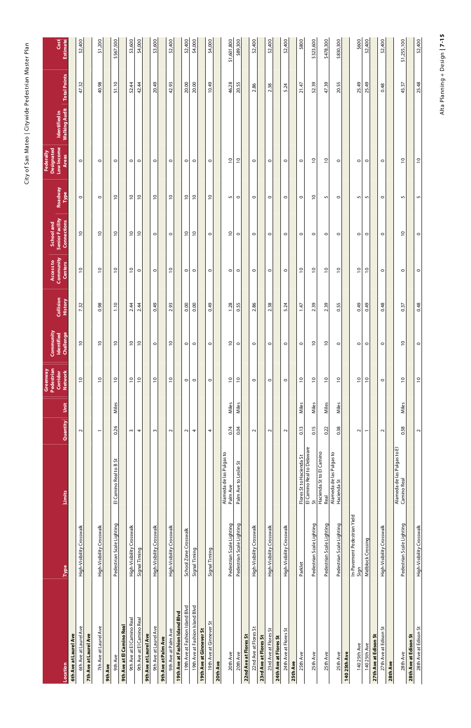| aster Plan<br>)<br>}<br>}<br>hrian N<br>$\overline{a}$<br>うりりし<br>ide Pedest |  |
|------------------------------------------------------------------------------|--|
| )<br>)<br>latan<br>r<br>Can<br>$\frac{1}{\zeta}$                             |  |

Alta Planning + Design | 7-15 Alta Planning + Design **| 7-15** 

|                                 |                                      |                                            |                          |       | Greenway<br>Pedestrian     |                                                    |                      |                                          |                                                     |                          | Federally                                |                                                      |       |                  |
|---------------------------------|--------------------------------------|--------------------------------------------|--------------------------|-------|----------------------------|----------------------------------------------------|----------------------|------------------------------------------|-----------------------------------------------------|--------------------------|------------------------------------------|------------------------------------------------------|-------|------------------|
| Location                        | <b>Type</b>                          | Limits                                     | Quantity                 | Unit  | Corridor<br><b>Network</b> | <b>Community</b><br>Identified<br><b>Challenge</b> | Collision<br>History | Community<br>Access to<br><b>Centers</b> | <b>Senior Facility</b><br>Connections<br>School and | Roadway<br>Type          | Low Income<br>Designated<br><b>Areas</b> | <b>Walking Audit</b>   Total Points<br>Identified in |       | Estimate<br>Cost |
| 6th Ave at Laurel Ave           |                                      |                                            |                          |       |                            |                                                    |                      |                                          |                                                     |                          |                                          |                                                      |       |                  |
| 6th Ave at Laurel Ave           | High-Visibility Crosswalk            |                                            | $\sim$                   |       | $\overline{0}$             | $\overline{c}$                                     | 7.32                 | $\overline{c}$                           | $\overline{c}$                                      | $\circ$                  | $\circ$                                  |                                                      | 47.32 | \$2,400          |
| 7th Ave at Laurel Ave           |                                      |                                            |                          |       |                            |                                                    |                      |                                          |                                                     |                          |                                          |                                                      |       |                  |
| 7th Ave at Laurel Ave           | High-Visibility Crosswalk            |                                            | $\overline{\phantom{0}}$ |       | $\overline{C}$             | $\overline{C}$                                     | 0.98                 | $\overline{C}$                           | $\overline{C}$                                      | $\circ$                  | $\circ$                                  |                                                      | 40.98 | \$1,200          |
| 9th Ave                         |                                      |                                            |                          |       |                            |                                                    |                      |                                          |                                                     |                          |                                          |                                                      |       |                  |
| 9th Ave                         | Pedestrian Scale Lighting            | El Camino Real to B St                     | 0.26                     | Miles | $\overline{c}$             | $\overline{c}$                                     | 1.10                 | $\overline{c}$                           | $\overline{0}$                                      | $\overline{c}$           | $\circ$                                  |                                                      | 51.10 | \$567,500        |
| 9th Ave at El Camino Real       |                                      |                                            |                          |       |                            |                                                    |                      |                                          |                                                     |                          |                                          |                                                      |       |                  |
| 9th Ave at El Camino Real       | High-Visibility Crosswalk            |                                            | $\sim$                   |       | $\overline{C}$             | $\overline{c}$                                     | 2.44                 | $\overline{C}$                           | $\overline{C}$                                      | $\overline{C}$           | $\circ$                                  |                                                      | 52.44 | \$3,600          |
| 9th Ave at El Camino Real       | Signal Timing                        |                                            | 4                        |       | $\overline{C}$             | $\overline{C}$                                     | 2.44                 | $\circ$                                  | $\overline{C}$                                      | $\overline{C}$           | $\circ$                                  |                                                      | 42.44 | \$4,000          |
| 9th Ave at Laurel Ave           |                                      |                                            |                          |       |                            |                                                    |                      |                                          |                                                     |                          |                                          |                                                      |       |                  |
| 9th Ave at Laurel Ave           | High-Visibility Crosswalk            |                                            | $\sim$                   |       | $\overline{\phantom{0}}$   | $\circ$                                            | 0.49                 | $\circ$                                  | $\circ$                                             | $\overline{\phantom{0}}$ | $\circ$                                  |                                                      | 20.49 | \$3,600          |
| 9th Ave at Palm Ave             |                                      |                                            |                          |       |                            |                                                    |                      |                                          |                                                     |                          |                                          |                                                      |       |                  |
| 9th Ave at Palm Ave             | High-Visibility Crosswalk            |                                            | $\sim$                   |       | $\overline{0}$             | $\overline{c}$                                     | 2.93                 | $\approx$                                | $\circ$                                             | $\overline{0}$           | $\circ$                                  |                                                      | 42.93 | \$2,400          |
| 19th Ave at Fashion Island Blvd |                                      |                                            |                          |       |                            |                                                    |                      |                                          |                                                     |                          |                                          |                                                      |       |                  |
| 19th Ave at Fashion Island Blvd | School Zone Crosswalk                |                                            | $\sim$                   |       | $\circ$                    | $\circ$                                            | 0.00                 | $\circ$                                  | $\overline{C}$                                      | $\overline{0}$           | $\circ$                                  |                                                      | 20.00 | \$2,400          |
| 19th Ave at Fashion Island Blvd | Signal Timing                        |                                            | 4                        |       | $\circ$                    | $\circ$                                            | 0.00                 | $\circ$                                  | $\overline{0}$                                      | $\approx$                | $\circ$                                  |                                                      | 20.00 | \$4,000          |
| 19th Ave at Ginnever St         |                                      |                                            |                          |       |                            |                                                    |                      |                                          |                                                     |                          |                                          |                                                      |       |                  |
| 19th Ave at Ginnever St         | Signal Timing                        |                                            | 4                        |       | $\circ$                    | $\circ$                                            | 0.49                 | $\circ$                                  | 0                                                   | $\overline{0}$           | 0                                        |                                                      | 10.49 | \$4,000          |
| 20th Ave                        |                                      |                                            |                          |       |                            |                                                    |                      |                                          |                                                     |                          |                                          |                                                      |       |                  |
|                                 |                                      | Alameda de las Pulgas to                   | 0.74                     | Miles | $\overline{c}$             | $\overline{0}$                                     |                      | $\circ$                                  | $\overline{0}$                                      |                          | $\overline{0}$                           |                                                      | 46.28 |                  |
| 20th Ave                        | Pedestrian Scale Lighting            | Palm Ave                                   |                          |       |                            |                                                    | 1.28                 |                                          |                                                     | 5                        |                                          |                                                      |       | \$1,601,800      |
| 20th Ave                        | Pedestrian Scale Lighting            | Palm Ave to Leslie St                      | 0.04                     | Miles | $\overline{c}$             | $\circ$                                            | 0.55                 | $\circ$                                  | $\circ$                                             | $\circ$                  | $\overline{0}$                           |                                                      | 20.55 | \$89,300         |
| 22nd Ave at Flores St           |                                      |                                            |                          |       |                            |                                                    |                      |                                          |                                                     |                          |                                          |                                                      |       |                  |
| 22nd Ave at Flores St           | High-Visibility Crosswalk            |                                            | $\sim$                   |       | $\circ$                    | $\circ$                                            | 2.86                 | $\circ$                                  | $\circ$                                             | $\circ$                  | $\circ$                                  |                                                      | 2.86  | \$2,400          |
| 23rd Ave at Flores St           |                                      |                                            |                          |       |                            |                                                    |                      |                                          |                                                     |                          |                                          |                                                      |       |                  |
| 23rd Ave at Flores St           | High-Visibility Crosswalk            |                                            | $\sim$                   |       | $\circ$                    | $\circ$                                            | 2.38                 | $\circ$                                  | $\circ$                                             | $\circ$                  | $\circ$                                  |                                                      | 2.38  | \$2,400          |
| 24th Ave at Flores St           |                                      |                                            |                          |       |                            |                                                    |                      |                                          |                                                     |                          |                                          |                                                      |       |                  |
| 24th Ave at Flores St           | High-Visibility Crosswalk            |                                            | $\sim$                   |       | $\circ$                    | $\circ$                                            | 5.24                 | $\circ$                                  | $\circ$                                             | $\circ$                  | $\circ$                                  |                                                      | 5.24  | \$2,400          |
| 25th Ave                        |                                      |                                            |                          |       |                            |                                                    |                      |                                          |                                                     |                          |                                          |                                                      |       |                  |
| 25th Ave                        | Parklet                              | Flores St to Hacienda St                   | 0.13                     | Miles | $\overline{C}$             | $\circ$                                            | 1.47                 | $\overline{C}$                           | $\circ$                                             | $\circ$                  | $\circ$                                  |                                                      | 21.47 | \$800            |
| 25th Ave                        | Pedestrian Scale Lighting            | El Camino Real to Delaware<br>5f           | 0.15                     | Miles | $\overline{c}$             | $\overline{c}$                                     | 2.39                 | $\overline{c}$                           | $\circ$                                             | $\overline{c}$           | $\overline{c}$                           |                                                      | 52.39 | \$323,600        |
| 25th Ave                        |                                      | Hacienda St to El Camino<br>Real           | 0.22                     |       | $\overline{c}$             | $\overline{c}$                                     | 2.39                 | $\overline{c}$                           | $\circ$                                             | S                        | $\overline{c}$                           |                                                      | 47.39 | \$478,300        |
|                                 | Pedestrian Scale Lighting            | Alameda de las Pulgas to                   |                          | Miles |                            |                                                    |                      |                                          |                                                     |                          |                                          |                                                      |       |                  |
| 25th Ave                        | Pedestrian Scale Lighting            | Hacienda St                                | 0.38                     | Miles | $\overline{0}$             | $\circ$                                            | 0.55                 | $\overline{0}$                           | $\circ$                                             | $\circ$                  | $\circ$                                  |                                                      | 20.55 | \$830,300        |
| 140 25th Ave                    |                                      |                                            |                          |       |                            |                                                    |                      |                                          |                                                     |                          |                                          |                                                      |       |                  |
| 140 25th Ave                    | In-Pavement Pedestrian Yield<br>Sign |                                            | $\sim$                   |       | $\overline{C}$             | $\circ$                                            | 0.49                 | $\overline{C}$                           | $\circ$                                             | 5                        | $\circ$                                  |                                                      | 25.49 | \$600            |
| 140 25th Ave                    | Midblock Crossing                    |                                            | $\overline{\phantom{m}}$ |       | $\overline{c}$             | $\circ$                                            | 0.49                 | $\overline{c}$                           | $\circ$                                             | S                        | $\circ$                                  |                                                      | 25.49 | \$2,400          |
| 27th Ave at Edison St           |                                      |                                            |                          |       |                            |                                                    |                      |                                          |                                                     |                          |                                          |                                                      |       |                  |
| 27th Ave at Edison St           | High-Visibility Crosswalk            |                                            | $\sim$                   |       | $\circ$                    | $\circ$                                            | 0.48                 | $\circ$                                  | $\circ$                                             | $\circ$                  | $\circ$                                  |                                                      | 0.48  | \$2,400          |
| 28th Ave                        |                                      |                                            |                          |       |                            |                                                    |                      |                                          |                                                     |                          |                                          |                                                      |       |                  |
| 28th Ave                        | Pedestrian Scale Lighting            | Alameda de las Pulgas to El<br>Camino Real | 0.58                     | Miles | $\overline{0}$             | $\overline{0}$                                     | 0.37                 | $\circ$                                  | $\overline{0}$                                      | Ln                       | $\overline{0}$                           |                                                      | 45.37 | \$1,255,100      |
| 28th Ave at Edison St           |                                      |                                            |                          |       |                            |                                                    |                      |                                          |                                                     |                          |                                          |                                                      |       |                  |
| 28th Ave at Edison St           | High-Visibility Crosswalk            |                                            | $\mathbf{\Omega}$        |       | $\overline{c}$             | $\circ$                                            | 0.48                 | $\circ$                                  | $\circ$                                             | S                        | $\overline{0}$                           |                                                      | 25.48 | \$2,400          |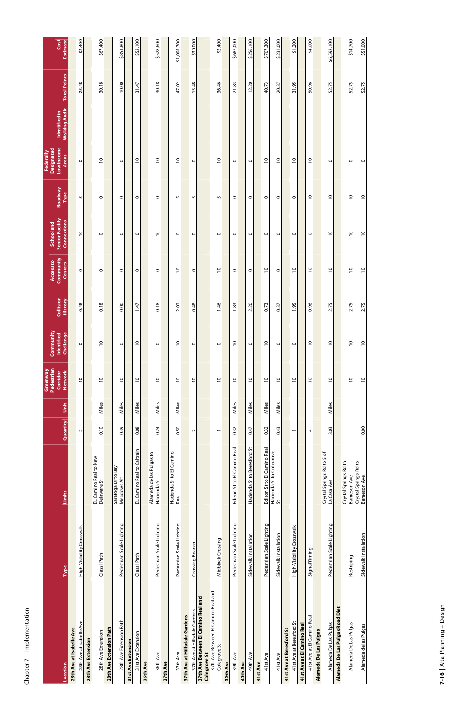|                                                     |                           |                                            |                          |       | Pedestrian<br>Greenway<br>Corridor | Community<br>Identified | Collision                  | Community<br>Access to | <b>Senior Facility</b><br>School and | Roadway        | Low Income<br><b>Designated</b><br>Federally | Identified in        |                     | Cost        |
|-----------------------------------------------------|---------------------------|--------------------------------------------|--------------------------|-------|------------------------------------|-------------------------|----------------------------|------------------------|--------------------------------------|----------------|----------------------------------------------|----------------------|---------------------|-------------|
| Location                                            | <b>Type</b>               | Limits                                     | Quantity                 | Jnit  | <b>Network</b>                     | <b>Challenge</b>        | <b>Vic</b><br><b>Histo</b> | <b>Centers</b>         | <b>Connections</b>                   | Type           | <b>Areas</b>                                 | <b>Walking Audit</b> | <b>Total Points</b> | Estimate    |
| 28th Ave at Isabelle Ave                            |                           |                                            |                          |       |                                    |                         |                            |                        |                                      |                |                                              |                      |                     |             |
| 28th Ave at Isabelle Ave                            | High-Visibility Crosswalk |                                            | $\sim$                   |       | $\overline{0}$                     | $\circ$                 | 0.48                       | $\circ$                | $\overline{c}$                       | 5              | $\circ$                                      |                      | 25.48               | \$2,400     |
| <b>28th Ave Extension</b>                           |                           |                                            |                          |       |                                    |                         |                            |                        |                                      |                |                                              |                      |                     |             |
| 28th Ave Extension                                  | Class I Path              | EL Camino Real to New<br>Delaware St       | 0.10                     | Miles | $\overline{a}$                     | $\approx$               | $\infty$<br>$\overline{c}$ | $\circ$                | 0                                    | 0              | $\approx$                                    |                      | 30.18               | \$67,400    |
| 28th Ave Extension Path                             |                           |                                            |                          |       |                                    |                         |                            |                        |                                      |                |                                              |                      |                     |             |
| 28th Ave Extension Path                             | Pedestrian Scale Lighting | Saratoga Dr to Bay<br>Meadows Alt          | 0.39                     | Miles | $\overline{0}$                     | $\circ$                 | 0.00                       | $\circ$                | $\circ$                              | $\circ$        | $\circ$                                      |                      | 10.00               | \$853,800   |
| 31st Ave Extension                                  |                           |                                            |                          |       |                                    |                         |                            |                        |                                      |                |                                              |                      |                     |             |
| 31st Ave Extension                                  | Class I Path              | EL Camino Real to Caltrain                 | 0.08                     | Miles | $\overline{0}$                     | $\overline{c}$          | 1.47                       | $\circ$                | $\circ$                              | $\circ$        | $\overline{a}$                               |                      | 31.47               | \$52,100    |
| 36th Ave                                            |                           |                                            |                          |       |                                    |                         |                            |                        |                                      |                |                                              |                      |                     |             |
| 36th Ave                                            | Pedestrian Scale Lighting | Alameda de las Pulgas to<br>Hacienda St    | 0.24                     | Miles | $\overline{C}$                     | $\circ$                 | $\infty$<br>$\overline{5}$ | $\circ$                | $\approx$                            | $\circ$        | $\approx$                                    |                      | 30.18               | \$528,600   |
| 37th Ave                                            |                           |                                            |                          |       |                                    |                         |                            |                        |                                      |                |                                              |                      |                     |             |
| 37th Ave                                            | Pedestrian Scale Lighting | Hacienda St to El Camino<br><b>Real</b>    | 0.50                     | Miles | $\overline{0}$                     | $\overline{a}$          | 2.02                       | $\approx$              | $\circ$                              | 5              | $\overline{0}$                               |                      | 47.02               | \$1,098,700 |
| 37th Ave at Hillsdale Gardens                       |                           |                                            |                          |       |                                    |                         |                            |                        |                                      |                |                                              |                      |                     |             |
| 37th Ave at Hillsdale Gardens                       | Crossing Beacon           |                                            | $\sim$                   |       | $\approx$                          | $\circ$                 | 0.48                       | $\circ$                | $\circ$                              | 5              | $\circ$                                      |                      | 15.48               | \$30,000    |
| 37th Ave Between El Camino Real and<br>Colegrove St |                           |                                            |                          |       |                                    |                         |                            |                        |                                      |                |                                              |                      |                     |             |
| 37th Ave Between El Camino Real and<br>Colegrove St | Midblock Crossing         |                                            | $\overline{\phantom{0}}$ |       | $\overline{0}$                     | $\circ$                 | 1.46                       | $\overline{0}$         | $\circ$                              | S              | $\overline{0}$                               |                      | 36.46               | \$2,400     |
| 39th Ave                                            |                           |                                            |                          |       |                                    |                         |                            |                        |                                      |                |                                              |                      |                     |             |
| 39th Ave                                            | Pedestrian Scale Lighting | Edison St to El Camino Real                | 0.32                     | Miles | $\approx$                          | $\approx$               | 1.83                       | $\circ$                | $\circ$                              | $\circ$        | $\circ$                                      |                      | 21.83               | \$687,000   |
| <b>40th Ave</b>                                     |                           |                                            |                          |       |                                    |                         |                            |                        |                                      |                |                                              |                      |                     |             |
| 40th Ave                                            | Sidewalk Installation     | Hacienda St to Beresford St                | (1, 0)                   | Miles | $\overline{a}$                     | $\circ$                 | 2.20                       | $\circ$                | $\circ$                              | $\circ$        | $\circ$                                      |                      | 12.20               | \$256,100   |
| 41st Ave                                            |                           |                                            |                          |       |                                    |                         |                            |                        |                                      |                |                                              |                      |                     |             |
| 41st Ave                                            | Pedestrian Scale Lighting | Edison St to El Camino Real                | 0.32                     | Miles | $\overline{C}$                     | $\overline{C}$          | $\sim$<br>$\overline{0}$   | $\approx$              | $\circ$                              | $\circ$        | $\approx$                                    |                      | 40.73               | \$707,300   |
| 41st Ave                                            | Sidewalk Installation     | Hacienda St to Colegrove<br>$\mathfrak{r}$ | 0.43                     | Miles | $\overline{a}$                     | $\circ$                 | 0.37                       | $\circ$                | $\circ$                              | $\circ$        | $\overline{c}$                               |                      | 20.37               | \$231,000   |
| 41st Ave at Beresford St                            |                           |                                            |                          |       |                                    |                         |                            |                        |                                      |                |                                              |                      |                     |             |
| 41st Ave at Beresford St                            | High-Visibility Crosswalk |                                            | $\overline{\phantom{0}}$ |       | $\overline{0}$                     | $\circ$                 | 1.95                       | $\overline{C}$         | $\circ$                              | $\circ$        | $\overline{0}$                               |                      | 31.95               | \$1,200     |
| 41st Ave at El Camino Real                          |                           |                                            |                          |       |                                    |                         |                            |                        |                                      |                |                                              |                      |                     |             |
| 41st Ave at El Camino Real                          | Signal Timing             |                                            | 4                        |       | $\overline{0}$                     | $\overline{0}$          | 0.98                       | $\overline{a}$         | $\circ$                              | $\overline{0}$ | $\overline{a}$                               |                      | 50.98               | \$4,000     |
| Alameda De Las Pulgas                               |                           |                                            |                          |       |                                    |                         |                            |                        |                                      |                |                                              |                      |                     |             |
| Alameda De Las Pulgas                               | Pedestrian Scale Lighting | Crystal Springs Rd to S of<br>La Casa Ave  | 3.03                     | Miles | $\tilde{0}$                        | $\approx$               | 2.75                       | $\overline{0}$         | $\frac{0}{1}$                        | $\frac{0}{1}$  | $\circ$                                      |                      | 52.75               | \$6,592,100 |
| Alameda De Las Pulgas Road Diet                     |                           |                                            |                          |       |                                    |                         |                            |                        |                                      |                |                                              |                      |                     |             |
| Alameda De Las Pulgas                               | Restriping                | Crystal Springs Rd to<br>Barneson Ave      |                          |       | $\overline{0}$                     | $\overline{C}$          | 2.75                       | $\approx$              | $\overline{c}$                       | $\overline{C}$ | $\circ$                                      |                      | 52.75               | \$14,700    |
| Alameda de las Pulgas                               | Sidewalk Installation     | Crystal Springs Rd to<br>Barneson Ave      | 0.00                     |       | $\overline{0}$                     | $\overline{0}$          | 2.75                       | $\overline{0}$         | $\overline{0}$                       | $\overline{0}$ | $\circ$                                      |                      | 52.75               | \$51,000    |
|                                                     |                           |                                            |                          |       |                                    |                         |                            |                        |                                      |                |                                              |                      |                     |             |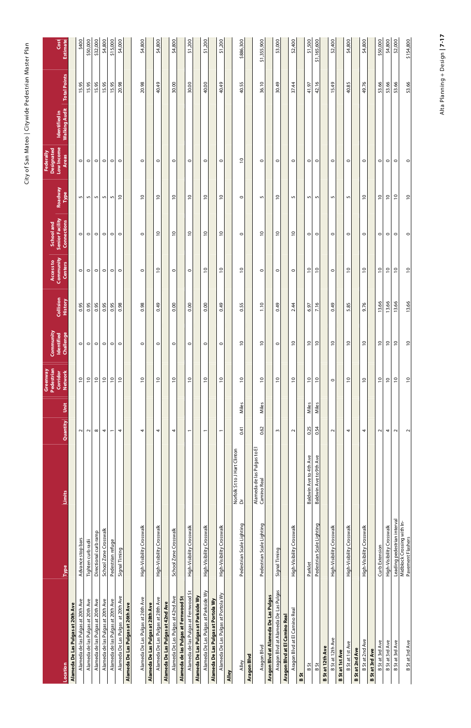| aster Plan                 |
|----------------------------|
|                            |
| <b>SIJMDJD I リフ</b><br>こくく |
| a d o p<br>í               |
| tan                        |
| City of San M              |
|                            |

Alta Planning + Design | 7-17 Alta Planning + Design **| 7-17** 

|                                      |                                                 |                                            |                          |             | Pedestrian<br>Greenway<br>Corridor | Community<br>Identified | Collision      | Community<br>Access to | Senior Facility<br>School and | Roadway          | Low Income<br><b>Designated</b><br>Federally | Identified in        |                     | Cost            |
|--------------------------------------|-------------------------------------------------|--------------------------------------------|--------------------------|-------------|------------------------------------|-------------------------|----------------|------------------------|-------------------------------|------------------|----------------------------------------------|----------------------|---------------------|-----------------|
| Location                             | Type                                            | Limits                                     | Quantity                 | <b>Unit</b> | <b>Network</b>                     | Challenge               | <b>History</b> | <b>Centers</b>         | Connections                   | <b>Type</b>      | <b>Areas</b>                                 | <b>Walking Audit</b> | <b>Total Points</b> | <b>Estimate</b> |
| Alameda De Las Pulgas at 20th Ave    |                                                 |                                            |                          |             |                                    |                         |                |                        |                               |                  |                                              |                      |                     |                 |
| Alameda de las Pulgas at 20th Ave    | Advance stop bars                               |                                            | $\sim$                   |             | $\overline{c}$                     | $\circ$                 | 0.95           | $\circ$                | $\circ$                       | 5                | $\circ$                                      |                      | 15.95               | \$400           |
| Alameda de las Pulgas at 20th Ave    | Tighten curb radii                              |                                            | $\sim$                   |             | $\overline{c}$                     | $\circ$                 | 0.95           | $\circ$                | $\circ$                       | 5                | $\circ$                                      |                      | 15.95               | \$50,000        |
| Alameda de las Pulgas at 20th Ave    | Directional curb ramp                           |                                            | $\infty$                 |             | $\overline{c}$                     | $\circ$                 | 0.95           | $\circ$                | $\circ$                       | 5                | $\circ$                                      |                      | 15.95               | \$32,000        |
| Alameda de las Pulgas at 20th Ave    | School Zone Crosswalk                           |                                            | 4                        |             | $\overline{c}$                     | $\circ$                 | 0.95           | $\circ$                | $\circ$                       | LO <sub>1</sub>  | $\circ$                                      |                      | 15.95               | \$4,800         |
| Alameda de las Pulgas at 20th Ave    | Pedestrian refuge                               |                                            | $\overline{\phantom{0}}$ |             | $\approx$                          | $\circ$                 | 0.95           | $\circ$                | $\circ$                       | $\mathsf{L}$     | $\circ$                                      |                      | 15.95               | \$15,000        |
| Alameda De Las Pulgas at 20th Ave    | Signal Timing                                   |                                            | 4                        |             | $\overline{c}$                     | $\circ$                 | 0.98           | $\circ$                | $\circ$                       | $\overline{0}$   | $\circ$                                      |                      | 20.98               | \$4,000         |
| Alameda De Las Pulgas at 26th Ave    |                                                 |                                            |                          |             |                                    |                         |                |                        |                               |                  |                                              |                      |                     |                 |
| Alameda De Las Pulgas at 26th Ave    | High-Visibility Crosswalk                       |                                            | 4                        |             | $\overline{c}$                     | $\circ$                 | 0.98           | $\circ$                | $\circ$                       | $\overline{0}$   | $\circ$                                      |                      | 20.98               | \$4,800         |
| Alameda De Las Pulgas at 28th Ave    |                                                 |                                            |                          |             |                                    |                         |                |                        |                               |                  |                                              |                      |                     |                 |
| Alameda De Las Pulgas at 28th Ave    | -Visibility Crosswalk<br>High                   |                                            | 4                        |             | $\overline{0}$                     | $\circ$                 | 0.49           | $\overline{c}$         | $\overline{c}$                | $\overline{c}$   | $\circ$                                      |                      | 40.49               | \$4,800         |
| Alameda De Las Pulgas at 42nd Ave    |                                                 |                                            |                          |             |                                    |                         |                |                        |                               |                  |                                              |                      |                     |                 |
| Alameda De Las Pulgas at 42nd Ave    | School Zone Crosswalk                           |                                            | 4                        |             | $\overline{c}$                     | $\circ$                 | 0.00           | $\circ$                | $\approx$                     | $\overline{c}$   | $\circ$                                      |                      | 30.00               | \$4,800         |
| Alameda de las Pulgas at Fernwood St |                                                 |                                            |                          |             |                                    |                         |                |                        |                               |                  |                                              |                      |                     |                 |
| Alameda de las Pulgas at Fernwood St | High-Visibility Crosswalk                       |                                            | $\overline{\phantom{m}}$ |             | $\overline{c}$                     | $\circ$                 | 0.00           | $\circ$                | $\overline{c}$                | $\overline{C}$   | $\circ$                                      |                      | 30.00               | \$1,200         |
| Alameda De Las Pulgas at Parkside Wy |                                                 |                                            |                          |             |                                    |                         |                |                        |                               |                  |                                              |                      |                     |                 |
| Alameda De Las Pulgas at Parkside Wy | High-Visibility Crosswalk                       |                                            | $\overline{ }$           |             | $\overline{0}$                     | $\circ$                 | 0.00           | $\overline{0}$         | $\overline{0}$                | $\overline{0}$   | $\circ$                                      |                      | 40.00               | \$1,200         |
| Alameda De Las Pulgas at Portola Wy  |                                                 |                                            |                          |             |                                    |                         |                |                        |                               |                  |                                              |                      |                     |                 |
| Alameda De Las Pulgas at Portola Wy  | High-Visibility Crosswalk                       |                                            | $\overline{ }$           |             | $\overline{c}$                     | $\circ$                 | 0.49           | $\overline{c}$         | $\overline{c}$                | $\overline{c}$   | $\circ$                                      |                      | 40.49               | \$1,200         |
| Alley                                |                                                 |                                            |                          |             |                                    |                         |                |                        |                               |                  |                                              |                      |                     |                 |
| Alley                                | Pedestrian Scale Lighting                       | Norfolk St to J Hart Clinton<br>ă          | 0.41                     | Miles       | $\overline{C}$                     | $\overline{0}$          | 0.55           | $\overline{c}$         | $\circ$                       | $\circ$          | $\overline{c}$                               |                      | 40.55               | \$886,300       |
| <b>Aragon Blvd</b>                   |                                                 |                                            |                          |             |                                    |                         |                |                        |                               |                  |                                              |                      |                     |                 |
| Aragon Blvd                          | Pedestrian Scale Lighting                       | Alameda de las Pulgas to El<br>Camino Real | 0.62                     | Miles       | $\overline{c}$                     | $\overline{0}$          | 1.10           | $\circ$                | $\overline{c}$                | 5                | $\circ$                                      |                      | 36.10               | \$1,355,900     |
| Aragon Blvd at Alameda De Las Pulgas |                                                 |                                            |                          |             |                                    |                         |                |                        |                               |                  |                                              |                      |                     |                 |
| Aragon Blvd at Alameda De Las Pulgas | Signal Timing                                   |                                            | S                        |             | $\overline{c}$                     | $\circ$                 | 0.49           | $\circ$                | $\overline{c}$                | $\overline{C}$   | $\circ$                                      |                      | 30.49               | \$3,000         |
| Aragon Blvd at El Camino Real        |                                                 |                                            |                          |             |                                    |                         |                |                        |                               |                  |                                              |                      |                     |                 |
| Aragon Blvd at El Camino Real        | High-Visibility Crosswalk                       |                                            | $\sim$                   |             | $\overline{c}$                     | $\overline{c}$          | 2.44           | $\circ$                | $\overline{c}$                | S                | $\circ$                                      |                      | 37.44               | \$2,400         |
| B St                                 |                                                 |                                            |                          |             |                                    |                         |                |                        |                               |                  |                                              |                      |                     |                 |
| B St                                 | Parklet                                         | Baldwin Ave to 4th Ave                     | 0.25                     | Miles       | $\overline{C}$                     | $\overline{c}$          | 6.97           | $\overline{C}$         | $\circ$                       | 5                | $\circ$                                      |                      | 41.97               | \$1,500         |
| B St                                 | Pedestrian Scale Lighting                       | Baldwin Ave to 9th Ave                     | 0.54                     | Miles       | $\overline{c}$                     | $\overline{C}$          | 7.16           | $\overline{c}$         | $\circ$                       | $\mathsf{L}\cap$ | $\circ$                                      |                      | 42.16               | \$1,165,600     |
| <b>B</b> St at 12th Ave              |                                                 |                                            |                          |             |                                    |                         |                |                        |                               |                  |                                              |                      |                     |                 |
| B St at 12th Ave                     | High-Visibility Crosswalk                       |                                            | $\sim$                   |             | $\circ$                            | $\overline{0}$          | 0.49           | $\circ$                | $\circ$                       | S                | $\circ$                                      |                      | 15.49               | \$2,400         |
| <b>B</b> St at 1st Ave               |                                                 |                                            |                          |             |                                    |                         |                |                        |                               |                  |                                              |                      |                     |                 |
| <b>B</b> St at 1st Ave               | -Visibility Crosswalk<br>High                   |                                            | 4                        |             | $\frac{0}{1}$                      | $\overline{c}$          | 5.85           | $\overline{0}$         | $\circ$                       | LO <sub>1</sub>  | $\circ$                                      |                      | 40.85               | \$4,800         |
| <b>B</b> St at 2nd Ave               |                                                 |                                            |                          |             |                                    |                         |                |                        |                               |                  |                                              |                      |                     |                 |
| B St at 2nd Ave                      | High-Visibility Crosswalk                       |                                            | 4                        |             | $\overline{c}$                     | $\overline{C}$          | 9.76           | $\overline{c}$         | $\circ$                       | $\overline{C}$   | $\circ$                                      |                      | 49.76               | \$4,800         |
| <b>B</b> St at 3rd Ave               |                                                 |                                            |                          |             |                                    |                         |                |                        |                               |                  |                                              |                      |                     |                 |
| B St at 3rd Ave                      | Curb Extension                                  |                                            | $\sim$                   |             | $\overline{c}$                     | $\overline{c}$          | 13.66          | $\overline{c}$         | $\circ$                       | $\overline{c}$   | $\circ$                                      |                      | 53.66               | \$50,000        |
| B St at 3rd Ave                      | High-Visibility Crosswalk                       |                                            | 4                        |             | $\overline{c}$                     | $\overline{c}$          | 13.66          | $\overline{0}$         | $\circ$                       | $\overline{c}$   | $\circ$                                      |                      | 53.66               | \$4,800         |
| B St at 3rd Ave                      | Leading pedestrian interval                     |                                            | $\sim$                   |             | $\overline{0}$                     | $\overline{0}$          | 13.66          | $\overline{c}$         | $\circ$                       | $\overline{0}$   | $\circ$                                      |                      | 53.66               | \$2,000         |
| B St at 3rd Ave                      | Midblock Crossing with In-<br>Pavement Flashers |                                            | $\sim$                   |             | $\overline{0}$                     | $\overline{c}$          | 13.66          | $\overline{c}$         | $\circ$                       | $\overline{c}$   | $\circ$                                      |                      | 53.66               | \$154,800       |
|                                      |                                                 |                                            |                          |             |                                    |                         |                |                        |                               |                  |                                              |                      |                     |                 |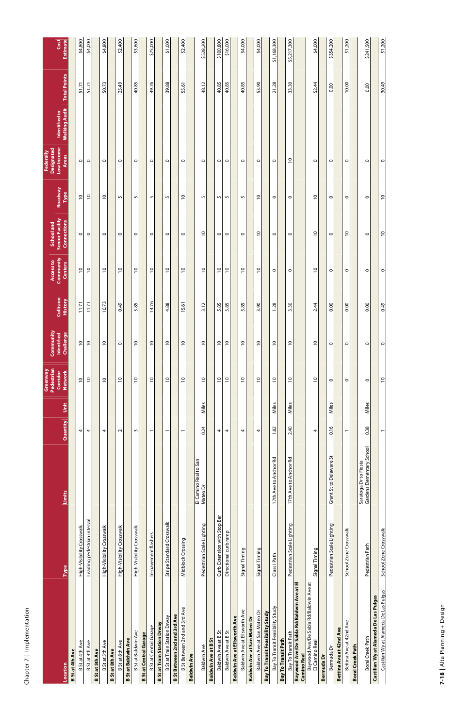|                                                                 |                              |                                                    |                          | Pedestrian<br>Greenway<br>Corridor | Community<br>Identified | Collision                                  | Community<br>Access to | Senior Facility<br><b>School and</b> | Roadway         | Low Income<br>Designated<br>Federally | Identified in |              | Cost            |
|-----------------------------------------------------------------|------------------------------|----------------------------------------------------|--------------------------|------------------------------------|-------------------------|--------------------------------------------|------------------------|--------------------------------------|-----------------|---------------------------------------|---------------|--------------|-----------------|
| Location                                                        | Type                         | Limits                                             | <b>Unit</b><br>Quantity  | <b>Network</b>                     | Challenge               | <b>History</b>                             | <b>Centers</b>         | <b>Connections</b>                   | Type            | <b>Areas</b>                          | Walking Audit | Total Points | <b>Estimate</b> |
| <b>B St at 4th Ave</b>                                          |                              |                                                    |                          |                                    |                         |                                            |                        |                                      |                 |                                       |               |              |                 |
| B St at 4th Ave                                                 | High-Visibility Crosswalk    |                                                    | 4                        | $\overline{0}$                     | $\overline{0}$          | $\overline{\phantom{m}}$<br>$\frac{7}{11}$ | $\overline{0}$         | $\circ$                              | $\overline{0}$  | $\circ$                               |               | 51.71        | \$4,800         |
| B St at 4th Ave                                                 | Leading pedestrian interval  |                                                    | 4                        | $\overline{0}$                     | $\overline{a}$          | $\overline{ }$<br>$\frac{1}{2}$            | $\overline{C}$         | $\circ$                              | $\tilde{0}$     | $\circ$                               |               | 51.71        | \$4,000         |
| <b>B</b> St at 5th Ave                                          |                              |                                                    |                          |                                    |                         |                                            |                        |                                      |                 |                                       |               |              |                 |
| B St at 5th Ave                                                 | High-Visibility Crosswalk    |                                                    | 4                        | $\overline{0}$                     | $\tilde{=}$             | $\sim$<br>10.7                             | $\tilde{=}$            | $\circ$                              | $\overline{0}$  | $\circ$                               |               | 50.73        | \$4,800         |
| <b>B</b> St at 8th Ave                                          |                              |                                                    |                          |                                    |                         |                                            |                        |                                      |                 |                                       |               |              |                 |
| B St at 8th Ave                                                 | High-Visibility Crosswalk    |                                                    | $\sim$                   | $\overline{0}$                     | $\circ$                 | $\frac{49}{5}$                             | $\overline{c}$         | $\circ$                              | 5               | $\circ$                               |               | 25.49        | \$2,400         |
| <b>B St at Baldwin Ave</b>                                      |                              |                                                    |                          |                                    |                         |                                            |                        |                                      |                 |                                       |               |              |                 |
| <b>B St at Baldwin Ave</b>                                      | High-Visibility Crosswalk    |                                                    | m                        | $\frac{0}{1}$                      | $\frac{0}{1}$           | 5.85                                       | $\overline{c}$         | $\circ$                              | 5               | $\circ$                               |               | 40.85        | \$3,600         |
| <b>B St at Central Garage</b>                                   |                              |                                                    |                          |                                    |                         |                                            |                        |                                      |                 |                                       |               |              |                 |
| <b>B St at Central Garage</b>                                   | In-pavement flashers         |                                                    | $\overline{ }$           | $\overline{0}$                     | $\overline{0}$          | $\mathbf \circ$<br>14.7                    | $\overline{0}$         | $\circ$                              | 5               | $\circ$                               |               | 49.76        | \$75,000        |
| <b>B St at Train Station Drway</b>                              |                              |                                                    |                          |                                    |                         |                                            |                        |                                      |                 |                                       |               |              |                 |
| <b>B</b> St at Train Station Drway                              | Stripe Standard Crosswalk    |                                                    | $\overline{\phantom{0}}$ | $\overline{0}$                     | $\overline{c}$          | 4.88                                       | $\overline{C}$         | $\circ$                              | LO <sub>1</sub> | $\circ$                               |               | 39.88        | \$1,000         |
| <b>B St Between 2nd and 3rd Ave</b>                             |                              |                                                    |                          |                                    |                         |                                            |                        |                                      |                 |                                       |               |              |                 |
| B St Between 2nd and 3rd Ave                                    | Midblock Crossing            |                                                    | $\overline{ }$           | $\tilde{=}$                        | $\overline{c}$          | 15.6                                       | $\overline{c}$         | $\circ$                              | $\overline{C}$  | $\circ$                               |               | 55.61        | \$2,400         |
| <b>Baldwin Ave</b>                                              |                              |                                                    |                          |                                    |                         |                                            |                        |                                      |                 |                                       |               |              |                 |
| Baldwin Ave                                                     | Pedestrian Scale Lighting    | El Camino Real to San<br>Mateo Dr                  | 0.24                     | $\overline{C}$<br>Miles            | $\overline{c}$          | $\frac{2}{3}$                              | $\overline{0}$         | $\overline{0}$                       | 5               | $\circ$                               |               | 48.12        | \$528,200       |
| <b>Baldwin Ave at B St</b>                                      |                              |                                                    |                          |                                    |                         |                                            |                        |                                      |                 |                                       |               |              |                 |
| Baldwin Ave at B St                                             | Curb Extension with Stop Bar |                                                    | 4                        | $\tilde{=}$                        | $\overline{0}$          | 5.85                                       | $\tilde{=}$            | $\circ$                              | 5               | $\circ$                               |               | 40.85        | \$100,800       |
| Baldwin Ave at B St                                             | Directional curb ramp        |                                                    | 4                        | $\overline{0}$                     | $\overline{0}$          | 5.85                                       | $\overline{0}$         | $\circ$                              | LO <sub>1</sub> | $\circ$                               |               | 40.85        | \$16,000        |
| <b>Baldwin Ave at Ellsworth Ave</b>                             |                              |                                                    |                          |                                    |                         |                                            |                        |                                      |                 |                                       |               |              |                 |
| Baldwin Ave at Ellsworth Ave                                    | Signal Timing                |                                                    | 4                        | $\overline{0}$                     | $\overline{0}$          | 5.85                                       | $\overline{0}$         | $\circ$                              | S               | $\circ$                               |               | 40.85        | \$4,000         |
| <b>Baldwin Ave at San Mateo Dr</b>                              |                              |                                                    |                          |                                    |                         |                                            |                        |                                      |                 |                                       |               |              |                 |
| Baldwin Ave at San Mateo Dr                                     | Signal Timing                |                                                    | 4                        | $\overline{C}$                     | $\overline{C}$          | 3.90                                       | $\overline{0}$         | $\overline{C}$                       | $\overline{C}$  | $\circ$                               |               | 53.90        | \$4,000         |
| Bay To Transit Feasibility Study                                |                              |                                                    |                          |                                    |                         |                                            |                        |                                      |                 |                                       |               |              |                 |
| Bay To Transit Feasibility Study                                | Class I Path                 | 17th Ave to Anchor Rd                              | 1.82                     | $\supseteq$<br>Miles               | $\overline{0}$          | 1.28                                       | $\circ$                | $\circ$                              | $\circ$         | $\circ$                               |               | 21.28        | \$1,168,300     |
| Bay To Transit Path                                             |                              |                                                    |                          |                                    |                         |                                            |                        |                                      |                 |                                       |               |              |                 |
| Bay To Transit Path                                             | Pedestrian Scale Lighting    | 17th Ave to Anchor Rd                              | 2.40                     | $\overline{c}$<br>Miles            | $\overline{c}$          | 3.30                                       | $\circ$                | $\circ$                              | $\circ$         | $\overline{0}$                        |               | 33.30        | \$5,217,300     |
| Baywood Ave/De Sabla Rd/Baldwin Ave at El<br><b>Camino Real</b> |                              |                                                    |                          |                                    |                         |                                            |                        |                                      |                 |                                       |               |              |                 |
| Baywood Ave/De Sabla Rd/Baldwin Ave at<br>El Camino Real        | Signal Timing                |                                                    | 4                        | $\overline{0}$                     | $\approx$               | 2.4<br>स                                   | $\approx$              | $\approx$                            | $\approx$       | $\circ$                               |               | 52.44        | \$4,000         |
| Bermuda Dr                                                      |                              |                                                    |                          |                                    |                         |                                            |                        |                                      |                 |                                       |               |              |                 |
| Bermuda Dr                                                      | Pedestrian Scale Lighting    | Grant St to Delaware St                            | 0.16                     | $\circ$<br>Miles                   | $\circ$                 | 0.00                                       | $\circ$                | $\circ$                              | $\circ$         | $\circ$                               |               | 0.00         | \$354,200       |
| Bettina Ave at 42nd Ave                                         |                              |                                                    |                          |                                    |                         |                                            |                        |                                      |                 |                                       |               |              |                 |
| Bettina Ave at 42nd Ave                                         | School Zone Crosswalk        |                                                    | $\overline{\phantom{0}}$ | 0                                  | 0                       | 0.00                                       | 0                      | $\overline{0}$                       | 0               | 0                                     |               | 10.00        | \$1,200         |
| <b>Boral Creek Path</b>                                         |                              |                                                    |                          |                                    |                         |                                            |                        |                                      |                 |                                       |               |              |                 |
| <b>Boral Creek Path</b>                                         | Pedestrian Path              | Gardens Elementary School<br>Saratoga Dr to Fiesta | 0.38                     | $\circ$<br>Miles                   | $\circ$                 | $\frac{8}{2}$                              | $\circ$                | $\circ$                              | $\circ$         | $\circ$                               |               | 0.00         | \$241,500       |
| Castilian Wy at Alameda De Las Pulgas                           |                              |                                                    |                          |                                    |                         |                                            |                        |                                      |                 |                                       |               |              |                 |
| Castilian Wy at Alameda De Las Pulgas                           | School Zone Crosswalk        |                                                    | $\overline{\phantom{0}}$ | $\overline{a}$                     | $\circ$                 | 0.49                                       | $\circ$                | $\overline{C}$                       | $\overline{c}$  | $\circ$                               |               | 30.49        | \$1,200         |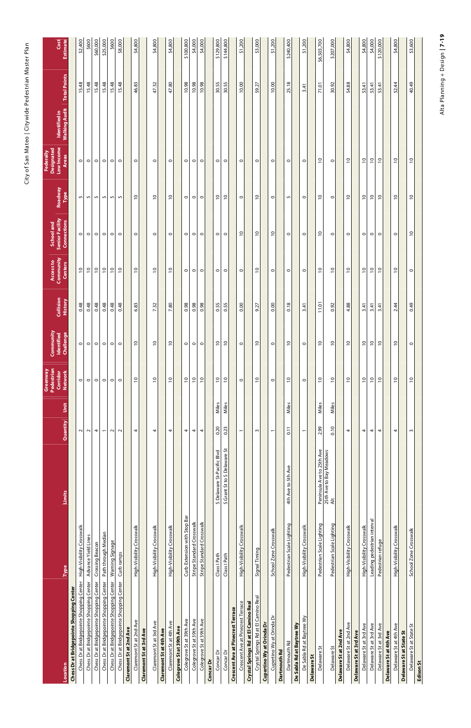| laster Plan                       |
|-----------------------------------|
| I ukilihada dan kiw<br>ロニュロコレー リマ |
|                                   |
|                                   |
| Lity of Sai.                      |

Alta Planning + Design | 7-19 Alta Planning + Design **| 7-19** 

|                                          |                                      |                                          |                          |       | Pedestrian<br>Greenway<br>Corridor | Community<br>Identified | Collision      | Community<br>Access to | <b>Senior Facility</b><br>School and | Roadway          | Low Income<br>Designated<br>Federally | Identified in        |                     | Cost            |
|------------------------------------------|--------------------------------------|------------------------------------------|--------------------------|-------|------------------------------------|-------------------------|----------------|------------------------|--------------------------------------|------------------|---------------------------------------|----------------------|---------------------|-----------------|
| Location                                 | Type                                 | Limits                                   | Quantity                 | Unit  | <b>Network</b>                     | Challenge               | <b>History</b> | <b>Centers</b>         | Connections                          | <b>Type</b>      | <b>Areas</b>                          | <b>Walking Audit</b> | <b>Total Points</b> | <b>Estimate</b> |
| Chess Dr at Bridgepointe Shopping Center |                                      |                                          |                          |       |                                    |                         |                |                        |                                      |                  |                                       |                      |                     |                 |
| Chess Dr at Bridgepointe Shopping Center | High-Visibility Crosswalk            |                                          | $\sim$                   |       | $\circ$                            | $\circ$                 | 0.48           | $\overline{0}$         | $\circ$                              | 5                | $\circ$                               |                      | 15.48               | \$2,400         |
| Chess Dr at Bridgepointe Shopping Center | Advance Yield Lines                  |                                          | $\sim$                   |       | $\circ$                            | $\circ$                 | 0.48           | $\overline{c}$         | $\circ$                              | 5                | $\circ$                               |                      | 15.48               | \$600           |
| Chess Dr at Bridgepointe Shopping Center | Crossing Beacon                      |                                          | 4                        |       | $\circ$                            | $\circ$                 | 0.48           | $\overline{c}$         | $\circ$                              | LN,              | $\circ$                               |                      | 15.48               | \$60,000        |
| Chess Dr at Bridgepointe Shopping Center | Path through Median                  |                                          | $\overline{ }$           |       | $\circ$                            | $\circ$                 | 0.48           | $\overline{c}$         | $\circ$                              | $\mathsf{L}\cap$ | $\circ$                               |                      | 15.48               | \$25,000        |
| Chess Dr at Bridgepointe Shopping Center | Warning Signage                      |                                          | $\sim$                   |       | $\circ$                            | $\circ$                 | 0.48           | $\overline{C}$         | $\circ$                              | 5                | $\circ$                               |                      | 15.48               | \$600           |
| Chess Dr at Bridgepointe Shopping Center | Curb ramps                           |                                          | $\sim$                   |       | $\circ$                            | $\circ$                 | 0.48           | $\approx$              | $\circ$                              | LO <sub>1</sub>  | $\circ$                               |                      | 15.48               | \$8,000         |
| Claremont St at 2nd Ave                  |                                      |                                          |                          |       |                                    |                         |                |                        |                                      |                  |                                       |                      |                     |                 |
| Claremont St at 2nd Ave                  | High-Visibility Crosswalk            |                                          | 4                        |       | $\overline{C}$                     | $\overline{c}$          | 6.83           | $\overline{c}$         | $\circ$                              | $\overline{C}$   | $\circ$                               |                      | 46.83               | \$4,800         |
| <b>Claremont St at 3rd Ave</b>           |                                      |                                          |                          |       |                                    |                         |                |                        |                                      |                  |                                       |                      |                     |                 |
| Claremont St at 3rd Ave                  | High-Visibility Crosswalk            |                                          | 4                        |       | $\overline{0}$                     | $\approx$               | 7.32           | $\approx$              | $\circ$                              | $\overline{0}$   | 0                                     |                      | 47.32               | \$4,800         |
| <b>Claremont St at 4th Ave</b>           |                                      |                                          |                          |       |                                    |                         |                |                        |                                      |                  |                                       |                      |                     |                 |
| Claremont St at 4th Ave                  | -Visibility Crosswalk<br><b>High</b> |                                          | 4                        |       | $\overline{c}$                     | $\approx$               | 7.80           | $\approx$              | $\circ$                              | $\approx$        | $\circ$                               |                      | 47.80               | \$4,800         |
| Colegrove Stat 39th Ave                  |                                      |                                          |                          |       |                                    |                         |                |                        |                                      |                  |                                       |                      |                     |                 |
| Colegrove St at 39th Ave                 | Curb Extension with Stop Bar         |                                          | 4                        |       | $\approx$                          | $\circ$                 | 0.98           | $\circ$                | $\circ$                              | $\circ$          | $\circ$                               |                      | 10.98               | \$100,800       |
| Colegrove St at 39th Ave                 | <b>Stripe Standard Crosswalk</b>     |                                          | 4                        |       | $\overline{c}$                     | $\circ$                 | 0.98           | $\circ$                | $\circ$                              | $\circ$          | $\circ$                               |                      | 10.98               | \$4,000         |
| Colegrove St at 39th Ave                 | Stripe Standard Crosswalk            |                                          | 4                        |       | $\overline{C}$                     | $\circ$                 | 0.98           | $\circ$                | $\circ$                              | $\circ$          | $\circ$                               |                      | 10.98               | \$4,000         |
| Concar Dr                                |                                      |                                          |                          |       |                                    |                         |                |                        |                                      |                  |                                       |                      |                     |                 |
| Concar Dr                                | Class I Path                         | S Delaware St-Pacific Blvd               | 0.20                     | Miles | $\overline{C}$                     | $\overline{C}$          | 0.55           | $\circ$                | $\circ$                              | $\overline{c}$   | $\circ$                               |                      | 30.55               | \$129,800       |
| Concar Dr                                | Class I Path                         | S Grant St to S Delaware St              | 0.23                     | Miles | $\overline{c}$                     | $\overline{c}$          | 0.55           | $\circ$                | $\circ$                              | $\overline{c}$   | $\circ$                               |                      | 30.55               | \$144,800       |
| Crescent Ave at Pinecrest Terrace        |                                      |                                          |                          |       |                                    |                         |                |                        |                                      |                  |                                       |                      |                     |                 |
| Crescent Ave at Pinecrest Terrace        | High-Visibility Crosswalk            |                                          | $\overline{\phantom{0}}$ |       | $\circ$                            | $\circ$                 | 0.00           | $\circ$                | $\overline{c}$                       | $\circ$          | $\circ$                               |                      | 10.00               | \$1,200         |
| Crystal Springs Rd at El Camino Real     |                                      |                                          |                          |       |                                    |                         |                |                        |                                      |                  |                                       |                      |                     |                 |
| Crystal Springs Rd at El Camino Real     | Signal Timing                        |                                          | w                        |       | $\approx$                          | $\approx$               | 9.27           | $\approx$              | $\approx$                            | $\approx$        | $\circ$                               |                      | 59.27               | \$3,000         |
| Cupertino Wy at Orinda Dr                |                                      |                                          |                          |       |                                    |                         |                |                        |                                      |                  |                                       |                      |                     |                 |
| Cupertino Wy at Orinda Dr                | School Zone Crosswalk                |                                          | $\overline{ }$           |       | $\circ$                            | $\circ$                 | 0.00           | $\circ$                | $\overline{c}$                       | $\circ$          | $\circ$                               |                      | 10.00               | \$1,200         |
| Dartmouth Rd                             |                                      |                                          |                          |       |                                    |                         |                |                        |                                      |                  |                                       |                      |                     |                 |
| Dartmouth Rd                             | Pedestrian Scale Lighting            | 4th Ave to 5th Ave                       | $\overline{11}$          | Miles | $\overline{c}$                     | $\overline{c}$          | 0.18           | $\circ$                | $\circ$                              | 5                | $\circ$                               |                      | 25.18               | \$240,400       |
| De Sabla Rd at Baytree Wy                |                                      |                                          |                          |       |                                    |                         |                |                        |                                      |                  |                                       |                      |                     |                 |
| De Sabla Rd at Baytree Wy                | -Visibility Crosswalk<br>High        |                                          |                          |       | $\circ$                            | $\circ$                 | 3.41           | $\circ$                | $\circ$                              | $\circ$          | $\circ$                               |                      | 3.41                | \$1,200         |
| Delaware St                              |                                      |                                          |                          |       |                                    |                         |                |                        |                                      |                  |                                       |                      |                     |                 |
| Delaware St                              | Pedestrian Scale Lighting            | Peninsula Ave to 25th Ave                | 2.99                     | Miles | $\overline{0}$                     | $\overline{0}$          | 11.01          | $\overline{0}$         | $\overline{C}$                       | $\overline{0}$   | $\overline{0}$                        |                      | 71.01               | \$6,503,700     |
| Delaware St                              | Pedestrian Scale Lighting            | 25th Ave to Bay Meadows<br>$\frac{1}{4}$ | 0.10                     | Miles | $\overline{C}$                     | $\overline{C}$          | 0.92           | $\overline{C}$         | $\circ$                              | $\circ$          | $\circ$                               |                      | 30.92               | \$207,000       |
| Delaware St at 2nd Ave                   |                                      |                                          |                          |       |                                    |                         |                |                        |                                      |                  |                                       |                      |                     |                 |
| Delaware St at 2nd Ave                   | High-Visibility Crosswalk            |                                          | 4                        |       | $\overline{C}$                     | $\overline{C}$          | 4.88           | $\overline{C}$         | $\circ$                              | $\overline{C}$   | $\overline{C}$                        |                      | 54.88               | \$4,800         |
| Delaware Stat 3rd Ave                    |                                      |                                          |                          |       |                                    |                         |                |                        |                                      |                  |                                       |                      |                     |                 |
| Delaware St at 3rd Ave                   | -Visibility Crosswalk<br>High        |                                          | 4                        |       | $\overline{0}$                     | $\overline{c}$          | 3.41           | $\overline{c}$         | $\circ$                              | $\overline{0}$   | $\overline{0}$                        |                      | 53.41               | \$4,800         |
| Delaware St at 3rd Ave                   | Leading pedestrian interval          |                                          | 4                        |       | $\approx$                          | $\overline{c}$          | 3.41           | $\approx$              | $\circ$                              | $\overline{c}$   | $\approx$                             |                      | 53.41               | \$4,000         |
| Delaware St at 3rd Ave                   | Pedestrian refuge                    |                                          | 4                        |       | $\overline{0}$                     | $\overline{0}$          | 3.41           | $\overline{0}$         | $\circ$                              | $\overline{0}$   | $\overline{0}$                        |                      | 53.41               | \$120,000       |
| Delaware St at 4th Ave                   |                                      |                                          |                          |       |                                    |                         |                |                        |                                      |                  |                                       |                      |                     |                 |
| Delaware St at 4th Ave                   | High-Visibility Crosswalk            |                                          | 4                        |       | $\overline{C}$                     | $\approx$               | 2.44           | $\overline{0}$         | $\circ$                              | $\approx$        | $\approx$                             |                      | 52.44               | \$4,800         |
| Delaware St at State St                  |                                      |                                          |                          |       |                                    |                         |                |                        |                                      |                  |                                       |                      |                     |                 |
| Delaware St at State St                  | School Zone Crosswalk                |                                          | $\mathsf{w}$             |       | $\overline{c}$                     | $\circ$                 | 0.49           | $\circ$                | $\overline{0}$                       | $\overline{0}$   | $\overline{c}$                        |                      | 40.49               | \$3,600         |
| Edison St                                |                                      |                                          |                          |       |                                    |                         |                |                        |                                      |                  |                                       |                      |                     |                 |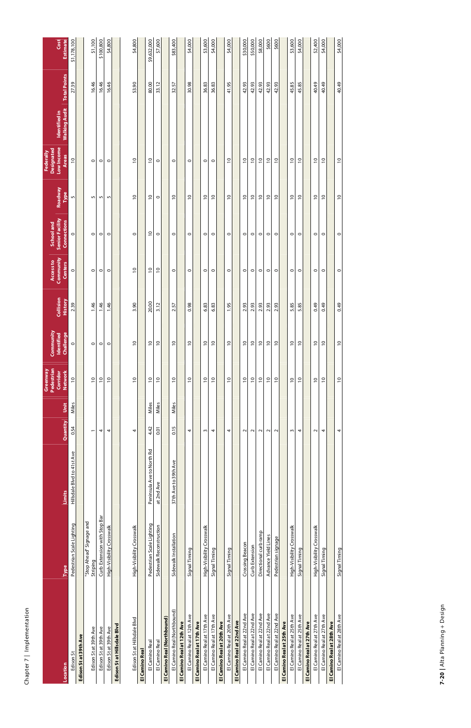|                             |                                      |                            |                          |       | Pedestrian<br>Greenway     | Community               |                             |                                   | School and                            |                 | Designated<br>Federally    |                                       |                     |                         |
|-----------------------------|--------------------------------------|----------------------------|--------------------------|-------|----------------------------|-------------------------|-----------------------------|-----------------------------------|---------------------------------------|-----------------|----------------------------|---------------------------------------|---------------------|-------------------------|
| Location                    | <b>Type</b>                          | Limits                     | Quantity                 | Unit  | Corridor<br><b>Network</b> | Challenge<br>Identified | Collision<br><b>History</b> | Community<br>Access to<br>Centers | <b>Senior Facility</b><br>Connections | Roadway<br>Type | Low Income<br><b>Areas</b> | <b>Walking Audit</b><br>Identified in | <b>Total Points</b> | Cost<br><b>Estimate</b> |
| Edison St                   | Pedestrian Scale Lighting            | Hillsdale Blvd to 41st Ave | 0.54                     | Miles | $\overline{a}$             | $\circ$                 | 2.39                        | $\circ$                           | $\circ$                               | 5               | $\overline{0}$             |                                       | 27.39               | \$1,178,100             |
| Edison St at 39th Ave       |                                      |                            |                          |       |                            |                         |                             |                                   |                                       |                 |                            |                                       |                     |                         |
| Edison St at 39th Ave       | "Stop Ahead" Signage and<br>Striping |                            | $\overline{\phantom{0}}$ |       | $\overline{0}$             | 0                       | 1.46                        | 0                                 | 0                                     | 5               | 0                          |                                       | 16.46               | \$1,100                 |
| Edison St at 39th Ave       | Curb Extension with Stop Bar         |                            | 4                        |       | $\overline{C}$             | $\circ$                 | 1.46                        | $\circ$                           | $\circ$                               | 5               | $\circ$                    |                                       | 16.46               | \$100,800               |
| Edison St at 39th Ave       | High-Visibility Crosswalk            |                            | 4                        |       | $\overline{0}$             | $\circ$                 | $\ddot{=}$                  | $\circ$                           | $\circ$                               | LO <sub>1</sub> | $\circ$                    |                                       | 16.46               | \$4,800                 |
| Edison St at Hillsdale Blvd |                                      |                            |                          |       |                            |                         |                             |                                   |                                       |                 |                            |                                       |                     |                         |
| Edison St at Hillsdale Blvd | High-Visibility Crosswalk            |                            | 4                        |       | $\overline{0}$             | $\overline{0}$          | 3.90                        | $\overline{0}$                    | $\circ$                               | $\overline{0}$  | $\overline{0}$             |                                       | 53.90               | \$4,800                 |
| El Camino Real              |                                      |                            |                          |       |                            |                         |                             |                                   |                                       |                 |                            |                                       |                     |                         |
| El Camino Real              | Pedestrian Scale Lighting            | Peninsula Ave to North Rd  | 4.42                     | Miles | $\overline{a}$             | $\overline{0}$          | 20.00                       | $\overline{0}$                    | $\overline{0}$                        | $\approx$       | $\overline{0}$             |                                       | 80.00               | \$9,632,000             |
| El Camino Real              | Sidewalk Reconstruction              | at 2nd Ave                 | 0.01                     | Miles | $\overline{0}$             | $\overline{C}$          | 3.12                        | $\overline{C}$                    | $\circ$                               | $\circ$         | $\circ$                    |                                       | 33.12               | \$7,600                 |
| El Camino Real (Northbound) |                                      |                            |                          |       |                            |                         |                             |                                   |                                       |                 |                            |                                       |                     |                         |
| El Camino Real (Northbound) | Sidewalk Installation                | 37th Ave to 39th Ave       | 0.15                     | Miles | $\overline{a}$             | $\overline{0}$          | 2.57                        | $\circ$                           | $\circ$                               | $\overline{0}$  | $\circ$                    |                                       | 32.57               | \$83,400                |
| El Camino Real at 12th Ave  |                                      |                            |                          |       |                            |                         |                             |                                   |                                       |                 |                            |                                       |                     |                         |
| El Camino Real at 12th Ave  | Signal Timing                        |                            | 4                        |       | $\overline{0}$             | $\overline{0}$          | 0.98                        | $\circ$                           | $\circ$                               | $\overline{0}$  | $\circ$                    |                                       | 30.98               | \$4,000                 |
| El Camino Real at 17th Ave  |                                      |                            |                          |       |                            |                         |                             |                                   |                                       |                 |                            |                                       |                     |                         |
| El Camino Real at 17th Ave  | High-Visibility Crosswalk            |                            | ω                        |       | $\overline{0}$             | $\overline{C}$          | 6.83                        | $\circ$                           | $\circ$                               | $\overline{C}$  | $\circ$                    |                                       | 36.83               | \$3,600                 |
| El Camino Real at 17th Ave  | Signal Timing                        |                            | 4                        |       | $\overline{0}$             | $\overline{0}$          | 6.83                        | $\circ$                           | $\circ$                               | $\overline{0}$  | $\circ$                    |                                       | 36.83               | \$4,000                 |
| El Camino Real at 20th Ave  |                                      |                            |                          |       |                            |                         |                             |                                   |                                       |                 |                            |                                       |                     |                         |
| El Camino Real at 20th Ave  | Signal Timing                        |                            | 4                        |       | $\overline{0}$             | $\overline{0}$          | 195                         | $\circ$                           | $\circ$                               | $\overline{0}$  | $\overline{0}$             |                                       | 41.95               | \$4,000                 |
| El Camino Real at 22nd Ave  |                                      |                            |                          |       |                            |                         |                             |                                   |                                       |                 |                            |                                       |                     |                         |
| El Camino Real at 22nd Ave  | Crossing Beacon                      |                            | $\sim$                   |       | $\overline{0}$             | $\overline{a}$          | 2.93                        | $\circ$                           | $\circ$                               | $\overline{0}$  | $\overline{0}$             |                                       | 42.93               | \$30,000                |
| El Camino Real at 22nd Ave  | Curb Extension                       |                            | $\sim$                   |       | $\overline{0}$             | $\overline{0}$          | 2.93                        | $\circ$                           | $\circ$                               | $\overline{0}$  | $\overline{0}$             |                                       | 42.93               | \$50,000                |
| El Camino Real at 22nd Ave  | Directional curb ramp                |                            | $\sim$                   |       | $\overline{C}$             | $\overline{0}$          | 2.93                        | $\circ$                           | $\circ$                               | $\overline{0}$  | $\frac{1}{2}$              |                                       | 42.93               | \$8,000                 |
| El Camino Real at 22nd Ave  | Advance Yield Lines                  |                            | $\sim$                   |       | $\overline{a}$             | $\overline{a}$          | 2.93                        | $\circ$                           | $\circ$                               | $\overline{0}$  | $\overline{0}$             |                                       | 42.93               | \$600                   |
| El Camino Real at 22nd Ave  | Pedestrian signage                   |                            | $\sim$                   |       | $\overline{C}$             | $\overline{C}$          | 2.93                        | $\circ$                           | $\circ$                               | $\overline{C}$  | $\approx$                  |                                       | 42.93               | \$600                   |
| El Camino Real at 25th Ave  |                                      |                            |                          |       |                            |                         |                             |                                   |                                       |                 |                            |                                       |                     |                         |
| El Camino Real at 25th Ave  | High-Visibility Crosswalk            |                            | w                        |       | $\overline{c}$             | $\overline{c}$          | 5.85                        | $\circ$                           | $\circ$                               | $\overline{c}$  | $\approx$                  |                                       | 45.85               | \$3,600                 |
| El Camino Real at 25th Ave  | Signal Timing                        |                            | 4                        |       | $\overline{0}$             | $\overline{0}$          | 5.85                        | $\circ$                           | $\circ$                               | $\overline{0}$  | $\overline{0}$             |                                       | 45.85               | \$4,000                 |
| El Camino Real at 27th Ave  |                                      |                            |                          |       |                            |                         |                             |                                   |                                       |                 |                            |                                       |                     |                         |
| El Camino Real at 27th Ave  | High-Visibility Crosswalk            |                            | $\sim$                   |       | $\overline{0}$             | $\overline{0}$          | $\frac{45}{3}$              | $\circ$                           | $\circ$                               | $\overline{0}$  | $\overline{0}$             |                                       | 40.49               | \$2,400                 |
| El Camino Real at 27th Ave  | Signal Timing                        |                            | 4                        |       | $\overline{0}$             | $\frac{0}{1}$           | 0.49                        | $\circ$                           | $\circ$                               | $\frac{0}{1}$   | $\overline{0}$             |                                       | 40.49               | \$4,000                 |
| El Camino Real at 28th Ave  |                                      |                            |                          |       |                            |                         |                             |                                   |                                       |                 |                            |                                       |                     |                         |
| El Camino Real at 28th Ave  | Signal Timing                        |                            | 4                        |       | $\overline{0}$             | $\overline{0}$          | 3.49                        | $\circ$                           | $\circ$                               | $\overline{0}$  | $\overline{0}$             |                                       | 40.49               | \$4,000                 |
|                             |                                      |                            |                          |       |                            |                         |                             |                                   |                                       |                 |                            |                                       |                     |                         |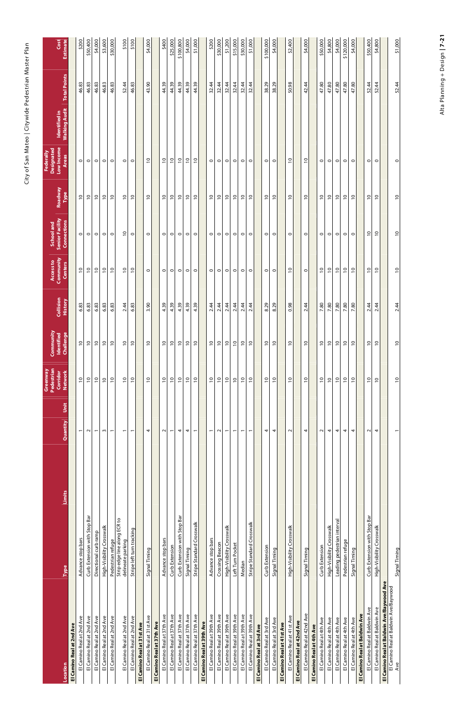| laster Plan           |
|-----------------------|
|                       |
| , Citywide Pedestrian |
|                       |
| Vateo                 |
| Tity of San           |
|                       |

Alta Planning + Design | 7-21 Alta Planning + Design **| 7-21** 

| Location                                                                                  | Type                                                 | Limits | Unit<br>Quantity         | Greenway<br>Pedestrian<br>Corridor<br><b>Network</b> | <b>Community</b><br>Identified<br>Challenge | Collision<br>History | Community<br>Access to<br><b>Centers</b> | <b>Senior Facility</b><br>Connections<br>School and | Roadway<br>Type | Low Income<br>Designated<br>Federally<br><b>Areas</b> | <b>Walking Audit</b>   Total Points<br>Identified in |       | <b>Estimate</b><br>Cost |
|-------------------------------------------------------------------------------------------|------------------------------------------------------|--------|--------------------------|------------------------------------------------------|---------------------------------------------|----------------------|------------------------------------------|-----------------------------------------------------|-----------------|-------------------------------------------------------|------------------------------------------------------|-------|-------------------------|
| El Camino Real at 2nd Ave                                                                 |                                                      |        |                          |                                                      |                                             |                      |                                          |                                                     |                 |                                                       |                                                      |       |                         |
| El Camino Real at 2nd Ave                                                                 | Advance stop bars                                    |        | $\overline{ }$           | $\overline{c}$                                       | $\overline{c}$                              | 6.83                 | $\overline{C}$                           | $\circ$                                             | $\approx$       | $\circ$                                               |                                                      | 46.83 | \$200                   |
| El Camino Real at 2nd Ave                                                                 | Extension with Stop Bar<br>Curb                      |        | $\sim$                   | $\approx$                                            | $\overline{c}$                              | 6.83                 | $\overline{c}$                           | $\circ$                                             | $\approx$       | $\circ$                                               |                                                      | 46.83 | \$50,400                |
| El Camino Real at 2nd Ave                                                                 | Directional curb ramp                                |        | $\overline{\phantom{0}}$ | $\overline{c}$                                       | $\frac{1}{2}$                               | 6.83                 | $\overline{c}$                           | $\circ$                                             | $\approx$       | $\circ$                                               |                                                      | 46.83 | \$4,000                 |
| El Camino Real at 2nd Ave                                                                 | High-Visibility Crosswalk                            |        | $\sim$                   | $\overline{0}$                                       | $\overline{c}$                              | 6.83                 | $\overline{0}$                           | $\circ$                                             | $\overline{0}$  | $\circ$                                               |                                                      | 46.83 | \$3,600                 |
| El Camino Real at 2nd Ave                                                                 | Pedestrian refuge                                    |        | $\overline{ }$           | $\overline{a}$                                       | $\overline{a}$                              | 6.83                 | $\overline{c}$                           | $\circ$                                             | $\overline{a}$  | $\circ$                                               |                                                      | 46.83 | \$30,000                |
| El Camino Real at 2nd Ave                                                                 | edge line along ECR to<br>delineate parking<br>Strip |        | $\overline{ }$           | $\overline{c}$                                       | $\approx$                                   | 2.4                  | $\overline{c}$                           | $\overline{c}$                                      | $\approx$       | $\circ$                                               |                                                      | 52.44 | \$100                   |
| El Camino Real at 2nd Ave                                                                 | Stripe left turn tracking                            |        | $\overline{\phantom{0}}$ | $\approx$                                            | $\approx$                                   | 6.83                 | $\approx$                                | $\circ$                                             | $\approx$       | $\circ$                                               |                                                      | 46.83 | 5100                    |
| El Camino Real at 31st Ave                                                                |                                                      |        |                          |                                                      |                                             |                      |                                          |                                                     |                 |                                                       |                                                      |       |                         |
| El Camino Real at 31st Ave                                                                | Signal Timing                                        |        | 4                        | $\frac{0}{1}$                                        | $\overline{c}$                              | 3.90                 | $\circ$                                  | $\circ$                                             | $\overline{c}$  | $\overline{c}$                                        |                                                      | 43.90 | \$4,000                 |
| El Camino Real at 37th Ave                                                                |                                                      |        |                          |                                                      |                                             |                      |                                          |                                                     |                 |                                                       |                                                      |       |                         |
| El Camino Real at 37th Ave                                                                | Advance stop bars                                    |        | $\sim$                   | $\approx$                                            | $\overline{c}$                              | 4.39                 | $\circ$                                  | $\circ$                                             | $\overline{c}$  | $\overline{c}$                                        |                                                      | 44.39 | \$400                   |
| El Camino Real at 37th Ave                                                                | Extension<br>Curb                                    |        | $\overline{ }$           | $\approx$                                            | $\approx$                                   | 4.39                 | $\circ$                                  | $\circ$                                             | $\overline{C}$  | $\approx$                                             |                                                      | 44.39 | \$25,000                |
| El Camino Real at 37th Ave                                                                | Extension with Stop Bar<br>Curb                      |        | 4                        | $\overline{c}$                                       | $\overline{c}$                              | 4.39                 | $\circ$                                  | $\circ$                                             | $\approx$       | $\overline{\phantom{0}}$                              |                                                      | 44.39 | \$100,800               |
| El Camino Real at 37th Ave                                                                | Signal Timing                                        |        | 4                        | $\overline{0}$                                       | $\overline{0}$                              | 4.39                 | $\circ$                                  | $\circ$                                             | $\overline{0}$  | $\overline{0}$                                        |                                                      | 44.39 | \$4,000                 |
| El Camino Real at 37th Ave                                                                | <b>Stripe Standard Crosswalk</b>                     |        | $\overline{ }$           | $\overline{0}$                                       | $\overline{C}$                              | 4.39                 | $\circ$                                  | $\circ$                                             | $\overline{C}$  | $\overline{C}$                                        |                                                      | 44.39 | \$1,000                 |
| El Camino Real at 39th Ave                                                                |                                                      |        |                          |                                                      |                                             |                      |                                          |                                                     |                 |                                                       |                                                      |       |                         |
| El Camino Real at 39th Ave                                                                | Advance stop bars                                    |        | $\overline{\phantom{0}}$ | $\overline{c}$                                       | $\overline{c}$                              | 2.44                 | $\circ$                                  | $\circ$                                             | $\overline{c}$  | $\circ$                                               |                                                      | 32.44 | \$200                   |
| El Camino Real at 39th Ave                                                                | Crossing Beacon                                      |        | $\sim$                   | $\overline{a}$                                       | $\overline{c}$                              | 2.44                 | $\circ$                                  | $\circ$                                             | $\overline{c}$  | $\circ$                                               |                                                      | 32.44 | \$30,000                |
| El Camino Real at 39th Ave                                                                | High-Visibility Crosswalk                            |        | $\overline{ }$           | $\overline{0}$                                       | $\overline{c}$                              | 2.44                 | $\circ$                                  | $\circ$                                             | $\overline{c}$  | $\circ$                                               |                                                      | 32.44 | \$1,200                 |
| El Camino Real at 39th Ave                                                                | Left Turn Pocket                                     |        | $\overline{ }$           | $\frac{1}{2}$                                        | $\overline{0}$                              | 2.44                 | $\circ$                                  | $\circ$                                             | $\overline{0}$  | $\circ$                                               |                                                      | 32.44 | \$15,000                |
| El Camino Real at 39th Ave                                                                | Median                                               |        | $\overline{ }$           | $\approx$                                            | $\approx$                                   | 2.44                 | $\circ$                                  | $\circ$                                             | $\approx$       | $\circ$                                               |                                                      | 32.44 | \$30,000                |
| El Camino Real at 39th Ave                                                                | Stripe Standard Crosswalk                            |        | $\overline{\phantom{0}}$ | $\overline{c}$                                       | $\overline{0}$                              | 2.44                 | $\circ$                                  | $\circ$                                             | $\overline{0}$  | $\circ$                                               |                                                      | 32.44 | \$1,000                 |
| El Camino Real at 3rd Ave                                                                 |                                                      |        |                          |                                                      |                                             |                      |                                          |                                                     |                 |                                                       |                                                      |       |                         |
| El Camino Real at 3rd Ave                                                                 | Extension<br>Curb                                    |        | 4                        | $\approx$                                            | $\approx$                                   | 8.29                 | $\circ$                                  | $\circ$                                             | $\approx$       | $\circ$                                               |                                                      | 38.29 | \$100,000               |
| El Camino Real at 3rd Ave                                                                 | Signal Timing                                        |        | 4                        | $\overline{0}$                                       | $\overline{0}$                              | 8.29                 | $\circ$                                  | $\circ$                                             | $\overline{0}$  | $\circ$                                               |                                                      | 38.29 | \$4,000                 |
| El Camino Real at 41st Ave                                                                |                                                      |        |                          |                                                      |                                             |                      |                                          |                                                     |                 |                                                       |                                                      |       |                         |
| El Camino Real at 41st Ave                                                                | High-Visibility Crosswalk                            |        | $\sim$                   | $\overline{c}$                                       | $\overline{c}$                              | 0.98                 | $\overline{c}$                           | $\circ$                                             | $\overline{c}$  | $\overline{C}$                                        |                                                      | 50.98 | \$2,400                 |
| El Camino Real at 42nd Ave                                                                |                                                      |        |                          |                                                      |                                             |                      |                                          |                                                     |                 |                                                       |                                                      |       |                         |
| El Camino Real at 42nd Ave                                                                | Signal Timing                                        |        | 4                        | $\overline{0}$                                       | $\overline{0}$                              | 2.44                 | $\circ$                                  | $\circ$                                             | $\overline{C}$  | $\overline{c}$                                        |                                                      | 42.44 | \$4,000                 |
| El Camino Real at 4th Ave                                                                 |                                                      |        |                          |                                                      |                                             |                      |                                          |                                                     |                 |                                                       |                                                      |       |                         |
| El Camino Real at 4th Ave                                                                 | Extension<br>Curb                                    |        | $\sim$                   | $\overline{c}$                                       | $\overline{c}$                              | 7.80                 | $\approx$                                | 0                                                   | $\overline{c}$  | $\circ$                                               |                                                      | 47.80 | \$50,000                |
| El Camino Real at 4th Ave                                                                 | High-Visibility Crosswalk                            |        | 4                        | $\overline{0}$                                       | $\overline{c}$                              | 7.80                 | $\overline{0}$                           | $\circ$                                             | $\overline{c}$  | $\circ$                                               |                                                      | 47.80 | \$4,800                 |
| El Camino Real at 4th Ave                                                                 | Leading pedestrian interval                          |        | 4                        | $\overline{0}$                                       | $\approx$                                   | 7.80                 | $\approx$                                | $\circ$                                             | $\overline{C}$  | $\circ$                                               |                                                      | 47.80 | \$4,000                 |
| El Camino Real at 4th Ave                                                                 | Pedestrian refuge                                    |        | 4                        | $\overline{0}$                                       | $\overline{0}$                              | 7.80                 | $\approx$                                | $\circ$                                             | $\approx$       | $\circ$                                               |                                                      | 47.80 | \$120,000               |
| El Camino Real at 4th Ave                                                                 | Signal Timing                                        |        | 4                        | $\overline{c}$                                       | $\overline{c}$                              | 7.80                 | $\overline{0}$                           | $\circ$                                             | $\overline{0}$  | $\circ$                                               |                                                      | 47.80 | \$4,000                 |
| El Camino Real at Baldwin Ave                                                             |                                                      |        |                          |                                                      |                                             |                      |                                          |                                                     |                 |                                                       |                                                      |       |                         |
| El Camino Real at Baldwin Ave                                                             | Extension with Stop Bar<br>Curb                      |        | $\sim$                   | $\overline{0}$                                       | $\overline{c}$                              | 2.44                 | $\overline{c}$                           | $\overline{0}$                                      | $\overline{c}$  | $\circ$                                               |                                                      | 52.44 | \$50,400                |
| El Camino Real at Baldwin Ave                                                             | High-Visibility Crosswalk                            |        | 4                        | $\overline{0}$                                       | $\overline{C}$                              | 2.44                 | $\overline{C}$                           | $\overline{0}$                                      | $\overline{C}$  | $\circ$                                               |                                                      | 52.44 | \$4,800                 |
| <b>El Camino Real at Baldwin Ave/Baywood Ave</b><br>El Camino Real at Baldwin Ave/Baywood |                                                      |        |                          |                                                      |                                             |                      |                                          |                                                     |                 |                                                       |                                                      |       |                         |
| Ave                                                                                       | Signal Timing                                        |        | $\overline{ }$           | $\overline{0}$                                       | $\overline{0}$                              | 2.44                 | $\overline{0}$                           | $\overline{0}$                                      | $\overline{0}$  | $\circ$                                               |                                                      | 52.44 | \$1,000                 |
|                                                                                           |                                                      |        |                          |                                                      |                                             |                      |                                          |                                                     |                 |                                                       |                                                      |       |                         |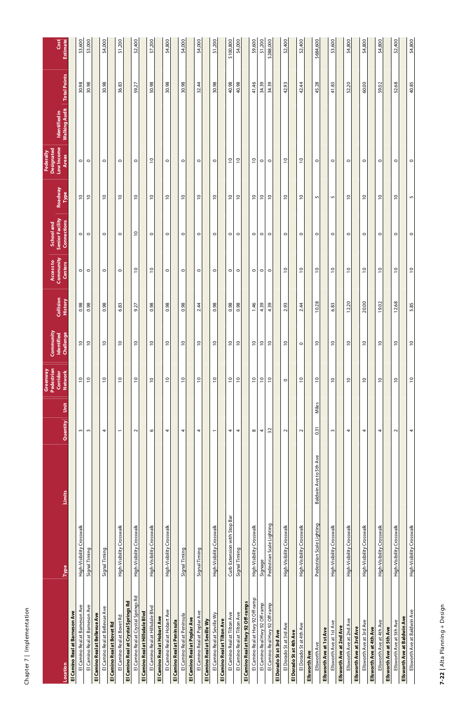| <b>School and</b><br>Access to<br>Community              | Roadway<br>Type<br>Senior Facility<br><b>Connections</b><br><b>Centers</b><br>Collision<br><b>History</b> |                                | $\overline{0}$<br>$\circ$<br>$\circ$<br>0.98                | $\overline{0}$<br>$\circ$<br>$\circ$<br>0.98    |                                | $\tilde{0}$<br>$\circ$<br>$\circ$<br>0.98       |                            | $\overline{0}$<br>$\circ$<br>$\circ$<br>6.83            |                                      | $\overline{c}$<br>$\overline{c}$<br>$\overline{c}$<br>9.2         |                                  | $\overline{c}$<br>$\circ$<br>$\overline{C}$<br>0.98           |                              | $\overline{C}$<br>$\circ$<br>$\circ$<br>0.98              |                             | $\approx$<br>$\circ$<br>$\circ$<br>0.98                                      | $\overline{C}$<br>$\circ$<br>$\circ$<br>2.44  |                              | $\overline{0}$<br>$\circ$<br>$\circ$<br>0.98                 |                              | $\overline{C}$<br>$\circ$<br>$\circ$<br>0.98                 | $\overline{c}$<br>$\circ$<br>$\circ$<br>0.98    |                                    | $\overline{0}$<br>$\circ$<br>$\circ$<br>1.46                   | $\overline{0}$<br>$\circ$<br>$\circ$<br>4.39 | $\tilde{0}$<br>$\circ$<br>$\circ$<br>$\sigma$<br>$\frac{1}{3}$ |                        | $\overline{\phantom{0}}$<br>$\circ$<br>$\overline{C}$<br>$\sim$<br>2.9 |                        | $\overline{C}$<br>$\circ$<br>$\overline{C}$<br>2.44  |               | LO <sub>1</sub><br>$\circ$<br>$\overline{c}$<br>10.28                |                          | LO <sub>1</sub><br>$\circ$<br>$\overline{0}$<br>6.83  |                          | $\overline{0}$<br>$\circ$<br>$\overline{0}$<br>20<br><u>isi</u> |                          | $\overline{\phantom{0}}$<br>$\circ$<br>$\overline{C}$<br>20.00 |                          | $\overline{0}$<br>$\circ$<br>$\overline{0}$<br>19.02  |                         | $\overline{\phantom{0}}$<br>$\circ$<br>$\overline{C}$<br>12.68 |                              | S<br>$\circ$<br>$\overline{C}$<br>5.85                    |
|----------------------------------------------------------|-----------------------------------------------------------------------------------------------------------|--------------------------------|-------------------------------------------------------------|-------------------------------------------------|--------------------------------|-------------------------------------------------|----------------------------|---------------------------------------------------------|--------------------------------------|-------------------------------------------------------------------|----------------------------------|---------------------------------------------------------------|------------------------------|-----------------------------------------------------------|-----------------------------|------------------------------------------------------------------------------|-----------------------------------------------|------------------------------|--------------------------------------------------------------|------------------------------|--------------------------------------------------------------|-------------------------------------------------|------------------------------------|----------------------------------------------------------------|----------------------------------------------|----------------------------------------------------------------|------------------------|------------------------------------------------------------------------|------------------------|------------------------------------------------------|---------------|----------------------------------------------------------------------|--------------------------|-------------------------------------------------------|--------------------------|-----------------------------------------------------------------|--------------------------|----------------------------------------------------------------|--------------------------|-------------------------------------------------------|-------------------------|----------------------------------------------------------------|------------------------------|-----------------------------------------------------------|
| <b>Community</b><br>Identified<br>Pedestrian<br>Greenway | Challenge<br>Corridor<br><b>Network</b><br>Unit<br>Quantity                                               |                                | $\overline{0}$<br>$\overline{0}$<br>ω                       | $\frac{0}{1}$<br>$\overline{a}$<br>ω            |                                | $\overline{c}$<br>$\tilde{=}$<br>4              |                            | $\overline{0}$<br>$\overline{0}$<br>$\overline{ }$      |                                      | $\frac{0}{1}$<br>$\overline{c}$<br>$\sim$                         |                                  | $\overline{c}$<br>$\overline{C}$<br>O                         |                              | $\overline{0}$<br>$\overline{c}$<br>4                     |                             | $\frac{0}{1}$<br>$\approx$<br>4                                              | $\approx$<br>$\approx$<br>4                   |                              | $\overline{0}$<br>$\overline{c}$<br>$\overline{\phantom{m}}$ |                              | $\overline{C}$<br>$\overline{0}$<br>4                        | $\overline{\phantom{0}}$<br>$\overline{0}$<br>4 |                                    | $\overline{0}$<br>$\overline{C}$<br>$\infty$                   | $\overline{0}$<br>$\overline{0}$<br>4        | $\overline{\phantom{0}}$<br>$\overline{c}$<br>32               |                        | $\overline{c}$<br>$\circ$<br>$\sim$                                    |                        | $\circ$<br>$\overline{C}$<br>$\sim$                  |               | $\overline{c}$<br>$\overline{c}$<br>Miles<br>0.31                    |                          | $\overline{0}$<br>$\overline{0}$<br>S                 |                          | $\overline{0}$<br>$\overline{c}$<br>4                           |                          | $\overline{\phantom{0}}$<br>$\overline{c}$<br>4                |                          | $\overline{0}$<br>$\overline{0}$<br>4                 |                         | $\overline{\phantom{0}}$<br>$\overline{\phantom{0}}$<br>$\sim$ |                              | $\overline{c}$<br>$\overline{0}$<br>4                     |
|                                                          | Limits<br><b>Type</b><br>Location                                                                         | El Camino Real at Barneson Ave | High-Visibility Crosswalk<br>El Camino Real at Barneson Ave | Signal Timing<br>El Camino Real at Barneson Ave | El Camino Real at Bellevue Ave | Signal Timing<br>El Camino Real at Bellevue Ave | El Camino Real at Bovet Rd | High-Visibility Crosswalk<br>El Camino Real at Bovet Rd | El Camino Real at Crystal Springs Rd | High-Visibility Crosswalk<br>El Camino Real at Crystal Springs Rd | El Camino Real at Hillsdale Blvd | High-Visibility Crosswalk<br>El Camino Real at Hillsdale Blvd | El Camino Real at Hobart Ave | High-Visibility Crosswalk<br>El Camino Real at Hobart Ave | El Camino Real at Peninsula | Signal Timing<br>El Camino Real at Peninsula<br>El Camino Real at Poplar Ave | Signal Timing<br>El Camino Real at Poplar Ave | El Camino Real at Seville Wy | High-Visibility Crosswalk<br>El Camino Real at Seville Wy    | El Camino Real at Tilton Ave | Curb Extension with Stop Bar<br>El Camino Real at Tilton Ave | Signal Timing<br>El Camino Real at Tilton Ave   | El Camino Real at Hwy 92 Off-ramps | High-Visibility Crosswalk<br>El Camino Real at Hwy 92 Off-ramp | Signage<br>El Camino Real Hwy 92 Off-ramp    | Pedestrian Scale Lighting<br>El Camino Real Hwy 92 Off-ramp    | El Dorado Stat 3rd Ave | High-Visibility Crosswalk<br>El Dorado St at 3rd Ave                   | El Dorado Stat 4th Ave | High-Visibility Crosswalk<br>El Dorado St at 4th Ave | Ellsworth Ave | Baldwin Ave to 5th Ave<br>Pedestrian Scale Lighting<br>Ellsworth Ave | Ellsworth Ave at 1st Ave | High-Visibility Crosswalk<br>Ellsworth Ave at 1st Ave | Ellsworth Ave at 2nd Ave | High-Visibility Crosswalk<br>Ellsworth Ave at 2nd Ave           | Ellsworth Ave at 3rd Ave | High-Visibility Crosswalk<br>Ellsworth Ave at 3rd Ave          | Ellsworth Ave at 4th Ave | High-Visibility Crosswalk<br>Ellsworth Ave at 4th Ave | Ellsworth Aveat 5th Ave | High-Visibility Crosswalk<br>Ellsworth Ave at 5th Ave          | Ellsworth Ave at Baldwin Ave | High-Visibility Crosswalk<br>Ellsworth Ave at Baldwin Ave |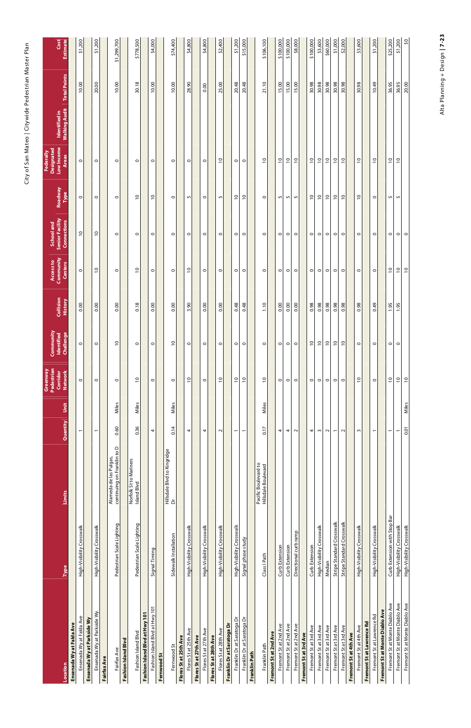| aster<br>Plan                          |
|----------------------------------------|
| w new partistics.<br>  19  1のレフリー レフニン |
|                                        |
|                                        |
| City of San Mateo                      |
|                                        |

Alta Planning + Design | 7-23 Alta Planning + Design **| 7-23** 

|                                |                              |                                                       |                          |       | Greenway<br>Pedestrian     | <b>Community</b><br>Identified |                      | Access to                   | School and                                   |                 | Designated<br>Federally    |                                       |              |                         |
|--------------------------------|------------------------------|-------------------------------------------------------|--------------------------|-------|----------------------------|--------------------------------|----------------------|-----------------------------|----------------------------------------------|-----------------|----------------------------|---------------------------------------|--------------|-------------------------|
| Location                       | <b>Type</b>                  | Limits                                                | Quantity                 | Unit  | Corridor<br><b>Network</b> | Challenge                      | Collision<br>History | Community<br><b>Centers</b> | <b>Senior Facility</b><br><b>Connections</b> | Roadway<br>Type | Low Income<br><b>Areas</b> | <b>Walking Audit</b><br>Identified in | Total Points | <b>Estimate</b><br>Cost |
| Ensenada Wy at Falda Ave       |                              |                                                       |                          |       |                            |                                |                      |                             |                                              |                 |                            |                                       |              |                         |
| Ensenada Wy at Falda Ave       | High-Visibility Crosswalk    |                                                       | $\overline{ }$           |       | $\circ$                    | $\circ$                        | 0.00                 | $\circ$                     | $\overline{0}$                               | $\circ$         | $\circ$                    |                                       | 10.00        | \$1,200                 |
| Ensenada Wy at Parkside Wy     |                              |                                                       |                          |       |                            |                                |                      |                             |                                              |                 |                            |                                       |              |                         |
| Ensenada Wy at Parkside Wy     | High-Visibility Crosswalk    |                                                       | $\overline{ }$           |       | $\circ$                    | $\circ$                        | 0.00                 | $\overline{C}$              | $\overline{C}$                               | $\circ$         | $\circ$                    |                                       | 20.00        | \$1,200                 |
| <b>Fairfax Ave</b>             |                              |                                                       |                          |       |                            |                                |                      |                             |                                              |                 |                            |                                       |              |                         |
| Fairfax Ave                    | Pedestrian Scale Lighting    | Alameda de las Pulgas,<br>continuing on Franklin to D | 0.60                     | Miles | $\circ$                    | $\overline{0}$                 | 0.00                 | $\circ$                     | $\circ$                                      | 0               | $\circ$                    |                                       | 10.00        | \$1,299,700             |
| Fashion Island Blvd            |                              |                                                       |                          |       |                            |                                |                      |                             |                                              |                 |                            |                                       |              |                         |
| Fashion Island Blvd            | Pedestrian Scale Lighting    | Norfolk St to Mariners<br>Island Blvd                 | 0.36                     | Miles | $\overline{c}$             | $\circ$                        | 0.18                 | $\overline{c}$              | $\circ$                                      | $\overline{c}$  | $\circ$                    |                                       | 30.18        | \$778,500               |
| Fashion Island Blvd at Hwy 101 |                              |                                                       |                          |       |                            |                                |                      |                             |                                              |                 |                            |                                       |              |                         |
| Fashion Island Blvd at Hwy 101 | Signal Timing                |                                                       | 4                        |       | $\circ$                    | $\circ$                        | 0.00                 | $\circ$                     | $\circ$                                      | $\overline{0}$  | $\circ$                    |                                       | 10.00        | \$4,000                 |
| Fernwood St                    |                              |                                                       |                          |       |                            |                                |                      |                             |                                              |                 |                            |                                       |              |                         |
| Fernwood St                    | Sidewalk Installation        | Hillsdale Blvd to Kingridge<br>ă                      | 0.14                     | Miles | $\circ$                    | $\approx$                      | 0.00                 | $\circ$                     | $\circ$                                      | $\circ$         | $\circ$                    |                                       | 10.00        | \$74,400                |
| Flores St at 25th Ave          |                              |                                                       |                          |       |                            |                                |                      |                             |                                              |                 |                            |                                       |              |                         |
| Flores St at 25th Ave          | High-Visibility Crosswalk    |                                                       | 4                        |       | $\overline{C}$             | $\circ$                        | 3.90                 | $\overline{C}$              | $\circ$                                      | S               | $\circ$                    |                                       | 28.90        | \$4,800                 |
| Flores St at 27th Ave          |                              |                                                       |                          |       |                            |                                |                      |                             |                                              |                 |                            |                                       |              |                         |
| Flores St at 27th Ave          | High-Visibility Crosswalk    |                                                       | 4                        |       | $\circ$                    | $\circ$                        | 0.00                 | $\circ$                     | $\circ$                                      | $\circ$         | $\circ$                    |                                       | 0.00         | \$4,800                 |
| Flores St at 28th Ave          |                              |                                                       |                          |       |                            |                                |                      |                             |                                              |                 |                            |                                       |              |                         |
| Flores St at 28th Ave          | High-Visibility Crosswalk    |                                                       | $\sim$                   |       | $\overline{0}$             | 0                              | 0.00                 | $\circ$                     | $\circ$                                      | 5               | $\overline{0}$             |                                       | 25.00        | \$2,400                 |
| Franklin Dr at Saratoga Dr     |                              |                                                       |                          |       |                            |                                |                      |                             |                                              |                 |                            |                                       |              |                         |
| Franklin Dr at Saratoga Dr     | High-Visibility Crosswalk    |                                                       | $\overline{\phantom{m}}$ |       | $\overline{c}$             | $\circ$                        | 0.48                 | $\circ$                     | $\circ$                                      | $\overline{c}$  | $\circ$                    |                                       | 20.48        | \$1,200                 |
| Franklin Dr at Saratoga Dr     | Signal phase study           |                                                       | $\overline{\phantom{0}}$ |       | $\overline{0}$             | $\circ$                        | 0.48                 | $\circ$                     | $\circ$                                      | $\overline{0}$  | $\circ$                    |                                       | 20.48        | \$15,000                |
| Franklin Path                  |                              |                                                       |                          |       |                            |                                |                      |                             |                                              |                 |                            |                                       |              |                         |
| Franklin Path                  | Class I Path                 | Pacific Boulevard to<br>Hillsdale Boulevard           | 0.17                     | Miles | $\overline{0}$             | $\circ$                        | 1.10                 | $\circ$                     | $\circ$                                      | $\circ$         | $\overline{0}$             |                                       | 21.10        | \$106,100               |
| Fremont Stat 2nd Ave           |                              |                                                       |                          |       |                            |                                |                      |                             |                                              |                 |                            |                                       |              |                         |
| Fremont St at 2nd Ave          | Curb Extension               |                                                       | 4                        |       | $\circ$                    | $\circ$                        | 0.00                 | $\circ$                     | $\circ$                                      | LO <sub>1</sub> | $\overline{c}$             |                                       | 15.00        | \$100,000               |
| Fremont St at 2nd Ave          | Curb Extension               |                                                       | 4                        |       | $\circ$                    | $\circ$                        | 0.00                 | $\circ$                     | $\circ$                                      | 5               | $\overline{c}$             |                                       | 15.00        | \$100,000               |
| Fremont St at 2nd Ave          | Directional curb ramp        |                                                       | $\sim$                   |       | $\circ$                    | $\circ$                        | 0.00                 | $\circ$                     | $\circ$                                      | S               | $\overline{0}$             |                                       | 15.00        | \$8,000                 |
| Fremont Stat 3rd Ave           |                              |                                                       |                          |       |                            |                                |                      |                             |                                              |                 |                            |                                       |              |                         |
| Fremont St at 3rd Ave          | Curb Extension               |                                                       | 4                        |       | $\circ$                    | $\overline{0}$                 | 0.98                 | $\circ$                     | $\circ$                                      | $\overline{0}$  | $\overline{0}$             |                                       | 30.98        | \$100,000               |
| Fremont St at 3rd Ave          | High-Visibility Crosswalk    |                                                       | $\sim$                   |       | $\circ$                    | $\overline{C}$                 | 0.98                 | $\circ$                     | $\circ$                                      | $\overline{0}$  | $\overline{0}$             |                                       | 30.98        | \$3,600                 |
| Fremont St at 3rd Ave          | Median                       |                                                       | $\sim$                   |       | $\circ$                    | $\overline{0}$                 | 0.98                 | $\circ$                     | $\circ$                                      | $\overline{0}$  | $\overline{0}$             |                                       | 30.98        | \$60,000                |
| Fremont St at 3rd Ave          | Stripe Standard Crosswalk    |                                                       | $\overline{\phantom{m}}$ |       | $\circ$                    | $\overline{0}$                 | 0.98                 | $\circ$                     | $\circ$                                      | $\overline{0}$  | $\overline{\phantom{0}}$   |                                       | 30.98        | \$1,000                 |
| Fremont St at 3rd Ave          | Stripe Standard Crosswalk    |                                                       | $\sim$                   |       | $\circ$                    | $\overline{c}$                 | 0.98                 | $\circ$                     | $\circ$                                      | $\overline{c}$  | $\overline{c}$             |                                       | 30.98        | \$2,000                 |
| Fremont Stat 4th Ave           |                              |                                                       |                          |       |                            |                                |                      |                             |                                              |                 |                            |                                       |              |                         |
| Fremont St at 4th Ave          | High-Visibility Crosswalk    |                                                       | $\sim$                   |       | $\overline{0}$             | $\circ$                        | 0.98                 | $\circ$                     | $\circ$                                      | $\overline{0}$  | $\overline{0}$             |                                       | 30.98        | \$3,600                 |
| Fremont Stat Lawrence Rd       |                              |                                                       |                          |       |                            |                                |                      |                             |                                              |                 |                            |                                       |              |                         |
| Fremont St at Lawrence Rd      | High-Visibility Crosswalk    |                                                       | $\overline{\phantom{0}}$ |       | $\circ$                    | $\circ$                        | 0.49                 | $\circ$                     | $\circ$                                      | $\circ$         | $\overline{0}$             |                                       | 10.49        | \$1,200                 |
| Fremont Stat Monte Diablo Ave  |                              |                                                       |                          |       |                            |                                |                      |                             |                                              |                 |                            |                                       |              |                         |
| Fremont St at Monte Diablo Ave | Curb Extension with Stop Bar |                                                       | $\overline{\phantom{m}}$ |       | $\overline{c}$             | $\circ$                        | 1.95                 | $\overline{C}$              | $\circ$                                      | 5               | $\overline{c}$             |                                       | 36.95        | \$25,200                |
| Fremont St at Monte Diablo Ave | High-Visibility Crosswalk    |                                                       | $\overline{ }$           |       | $\overline{0}$             | $\circ$                        | 1.95                 | $\overline{\phantom{0}}$    | $\circ$                                      | LO <sub>1</sub> | $\overline{0}$             |                                       | 36.95        | \$1,200                 |
| Fremont St at Monte Diablo Ave | High-Visibility Crosswalk    |                                                       | 0.01                     | Miles | $\overline{0}$             |                                |                      | $\overline{0}$              | $\circ$                                      |                 |                            |                                       | 20.00        | $\zeta$                 |
|                                |                              |                                                       |                          |       |                            |                                |                      |                             |                                              |                 |                            |                                       |              |                         |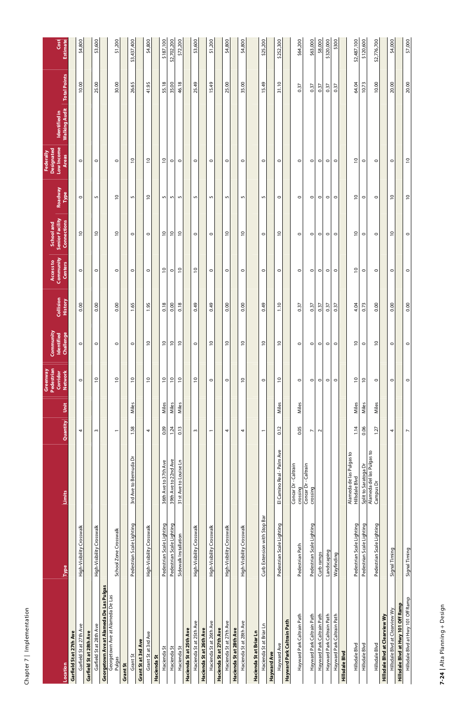|                                            |                               |                                            |                          |       | Pedestrian<br>Greenway     | <b>Community</b><br>Identified |                             | Access to            | School and                                   |                        | <b>Designated</b><br>Federally |                                       |                     |                  |
|--------------------------------------------|-------------------------------|--------------------------------------------|--------------------------|-------|----------------------------|--------------------------------|-----------------------------|----------------------|----------------------------------------------|------------------------|--------------------------------|---------------------------------------|---------------------|------------------|
| Location                                   | ype<br>F                      | Limits                                     | Quantity                 | Unit  | Corridor<br><b>Network</b> | Challenge                      | Collision<br><b>History</b> | Community<br>Centers | <b>Senior Facility</b><br><b>Connections</b> | Roadway<br><b>Type</b> | Low Income<br><b>Areas</b>     | <b>Walking Audit</b><br>Identified in | <b>Total Points</b> | Cost<br>Estimate |
| Garfield St at 27th Ave                    |                               |                                            |                          |       |                            |                                |                             |                      |                                              |                        |                                |                                       |                     |                  |
| Garfield St at 27th Ave                    | High-Visibility Crosswalk     |                                            | 4                        |       | $\circ$                    | $\circ$                        | 0.00                        | $\circ$              | $\overline{C}$                               | $\circ$                | $\circ$                        |                                       | 10.00               | \$4,800          |
| Garfield St at 28th Ave                    |                               |                                            |                          |       |                            |                                |                             |                      |                                              |                        |                                |                                       |                     |                  |
| Garfield St at 28th Ave                    | gh-Visibility Crosswalk<br>王  |                                            | $\mathsf{w}$             |       | $\overline{c}$             | $\circ$                        | $\frac{0.00}{2}$            | $\circ$              | $\overline{\phantom{0}}$                     | S                      | $\circ$                        |                                       | 25.00               | \$3,600          |
| Georgetown Ave at Alameda De Las Pulgas    |                               |                                            |                          |       |                            |                                |                             |                      |                                              |                        |                                |                                       |                     |                  |
| Georgetown Ave at Alameda De Las<br>Pulgas | School Zone Crosswalk         |                                            | $\overline{ }$           |       | $\overline{c}$             | $\circ$                        | 0.00                        | $\circ$              | $\overline{C}$                               | $\overline{C}$         | $\circ$                        |                                       | 30.00               | \$1,200          |
| Grant St                                   |                               |                                            |                          |       |                            |                                |                             |                      |                                              |                        |                                |                                       |                     |                  |
| Grant St                                   | Pedestrian Scale Lighting     | 3rd Ave to Bermuda Dr                      | 1.58                     | Miles | $\overline{0}$             | $\circ$                        | 1.65                        | $\circ$              | $\circ$                                      | S                      | $\overline{0}$                 |                                       | 26.65               | \$3,437,400      |
| <b>Grant Stat 3rd Ave</b>                  |                               |                                            |                          |       |                            |                                |                             |                      |                                              |                        |                                |                                       |                     |                  |
| Grant St at 3rd Ave                        | High-Visibility Crosswalk     |                                            | 4                        |       | $\overline{c}$             | $\overline{C}$                 | 1.95                        | $\circ$              | $\circ$                                      | $\overline{C}$         | $\overline{C}$                 |                                       | 41.95               | \$4,800          |
| Hacienda St                                |                               |                                            |                          |       |                            |                                |                             |                      |                                              |                        |                                |                                       |                     |                  |
| Hacienda St                                | Pedestrian Scale Lighting     | 36th Ave to 37th Ave                       | 0.09                     | Miles | $\overline{c}$             | $\overline{c}$                 | 0.18                        | $\overline{C}$       | $\overline{C}$                               | S                      | $\overline{C}$                 |                                       | 55.18               | \$187,100        |
| Hacienda St                                | Pedestrian Scale Lighting     | 39th Ave to 22nd Ave                       | 1.24                     | Miles | $\overline{c}$             | $\overline{C}$                 | $rac{0.00}{\pi}$            | $\circ$              | $\overline{C}$                               | 5                      | $\circ$                        |                                       | 35.00               | \$2,702,200      |
| Hacienda St                                | Sidewalk Installation         | 31st Ave to Louise Ln                      | 0.13                     | Miles | $\overline{0}$             | $\overline{0}$                 | $\infty$<br>$\overline{C}$  | $\overline{C}$       | $\overline{c}$                               | S                      | $\circ$                        |                                       | 46.18               | \$72,200         |
| Hacienda St at 25th Ave                    |                               |                                            |                          |       |                            |                                |                             |                      |                                              |                        |                                |                                       |                     |                  |
| Hacienda St at 25th Ave                    | High-Visibility Crosswalk     |                                            | $\sim$                   |       | $\overline{c}$             | $\circ$                        | 0.49                        | $\overline{c}$       | $\circ$                                      | 5                      | $\circ$                        |                                       | 25.49               | \$3,600          |
| Hacienda St at 26th Ave                    |                               |                                            |                          |       |                            |                                |                             |                      |                                              |                        |                                |                                       |                     |                  |
| Hacienda St at 26th Ave                    | High-Visibility Crosswalk     |                                            | $\overline{\phantom{0}}$ |       | $\circ$                    | $\overline{c}$                 | 0.49                        | $\circ$              | $\circ$                                      | 5                      | $\circ$                        |                                       | 15.49               | \$1,200          |
| Hacienda St at 27th Ave                    |                               |                                            |                          |       |                            |                                |                             |                      |                                              |                        |                                |                                       |                     |                  |
| Hacienda St at 27th Ave                    | High-Visibility Crosswalk     |                                            | 4                        |       | $\circ$                    | $\overline{C}$                 | 0.00                        | $\circ$              | $\overline{0}$                               | LO <sub>1</sub>        | $\circ$                        |                                       | 25.00               | \$4,800          |
| Hacienda St at 28th Ave                    |                               |                                            |                          |       |                            |                                |                             |                      |                                              |                        |                                |                                       |                     |                  |
| Hacienda St at 28th Ave                    | igh-Visibility Crosswalk<br>Ξ |                                            | 4                        |       | $\overline{0}$             | $\tilde{=}$                    | 0.00                        | $\circ$              | $\tilde{=}$                                  | 5                      | $\circ$                        |                                       | 35.00               | \$4,800          |
| Hacienda Stat Briar Ln                     |                               |                                            |                          |       |                            |                                |                             |                      |                                              |                        |                                |                                       |                     |                  |
| Hacienda St at Briar Ln                    | Curb Extension with Stop Bar  |                                            | $\overline{\phantom{0}}$ |       | $\circ$                    | $\overline{0}$                 | 0.49                        | $\circ$              | $\circ$                                      | S                      | $\circ$                        |                                       | 15.49               | \$25,200         |
| <b>Hayward Ave</b>                         |                               |                                            |                          |       |                            |                                |                             |                      |                                              |                        |                                |                                       |                     |                  |
| Hayward Ave                                | Pedestrian Scale Lighting     | El Camino Real - Palm Ave                  | 0.12                     | Miles | $\overline{0}$             | $\overline{0}$                 | $\circ$<br>$\Xi$            | $\circ$              | $\overline{0}$                               | $\circ$                | $\circ$                        |                                       | 31.10               | \$252,300        |
| Hayward Park Caltrain Path                 |                               |                                            |                          |       |                            |                                |                             |                      |                                              |                        |                                |                                       |                     |                  |
| Hayward Park Caltrain Path                 | Pedestrian Path               | Concar Dr - Caltrain<br>crossing           | 0.05                     | Miles | $\circ$                    | $\circ$                        | 0.37                        | $\circ$              | $\circ$                                      | $\circ$                | $\circ$                        |                                       | 0.37                | \$64,200         |
| Hayward Park Caltrain Path                 | Pedestrian Scale Lighting     | Concar Dr - Caltrain<br>crossing           | $\overline{ }$           |       | $\circ$                    | $\circ$                        | 0.37                        | $\circ$              | $\circ$                                      | $\circ$                | $\circ$                        |                                       | 0.37                | \$63,000         |
| Hayward Park Caltrain Path                 | Curb ramps                    |                                            | $\sim$                   |       | $\circ$                    | $\circ$                        | 0.37                        | $\circ$              | $\circ$                                      | $\circ$                | $\circ$                        |                                       | 0.37                | \$8,000          |
| Hayward Park Caltrain Path                 | Landscaping                   |                                            |                          |       | $\circ$                    | $\circ$                        | 0.37                        | $\circ$              | $\circ$                                      | $\circ$                | $\circ$                        |                                       | 0.37                | \$320,000        |
| Hayward Park Caltrain Path                 | Wayfinding                    |                                            |                          |       | $\circ$                    | $\circ$                        | 0.37                        | $\circ$              | $\circ$                                      | $\circ$                | $\circ$                        |                                       | 0.37                | \$300            |
| <b>Hillsdale Blvd</b>                      |                               |                                            |                          |       |                            |                                |                             |                      |                                              |                        |                                |                                       |                     |                  |
| Hillsdale Blvd                             | Pedestrian Scale Lighting     | Alameda de las Pulgas to<br>Hillsdale Blvd | 1.14                     | Miles | $\overline{0}$             | $\overline{0}$                 | 4.04                        | $\overline{0}$       | $\overline{c}$                               | $\overline{0}$         | $\overline{c}$                 |                                       | 64.04               | \$2,487,100      |
| Hillsdale Blvd                             | Pedestrian Scale Lighting     | Split to Saratoga Dr                       | 0.06                     | Miles | $\overline{c}$             | $\circ$                        | 0.73                        | $\circ$              | $\circ$                                      | $\circ$                | $\circ$                        |                                       | 10.73               | \$120,600        |
| Hillsdale Blvd                             | Pedestrian Scale Lighting     | Alameda del las Pulgas to<br>Campus Dr     | 1.27                     | Miles | $\circ$                    | $\overline{\phantom{0}}$       | 0.00                        | $\circ$              | $\circ$                                      | $\circ$                | $\circ$                        |                                       | 10.00               | \$2,776,700      |
| Hillsdale Blvd at Clearview Wy             |                               |                                            |                          |       |                            |                                |                             |                      |                                              |                        |                                |                                       |                     |                  |
| Hillsdale Blvd at Clearview Wy             | Signal Timing                 |                                            | 4                        |       | $\circ$                    | $\circ$                        | 0.00                        | $\circ$              | $\overline{c}$                               | $\overline{C}$         | $\circ$                        |                                       | 20.00               | \$4,000          |
| Hillsdale Blvd at Hwy 101 Off Ramp         |                               |                                            |                          |       |                            |                                |                             |                      |                                              |                        |                                |                                       |                     |                  |
| Hillsdale Blvd at Hwy 101 Off Ramp         | Signal Timing                 |                                            | L                        |       | $\circ$                    | $\circ$                        | 0.00                        | $\circ$              | $\circ$                                      | $\frac{0}{1}$          | $\overline{c}$                 |                                       | 20.00               | \$7,000          |
|                                            |                               |                                            |                          |       |                            |                                |                             |                      |                                              |                        |                                |                                       |                     |                  |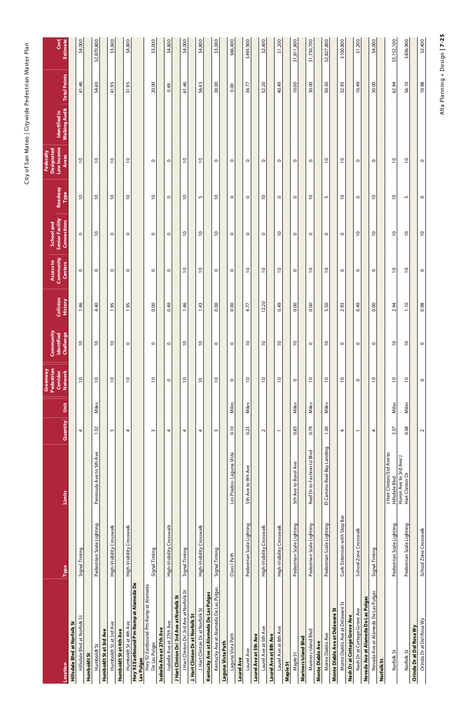| aster<br>Plan<br>Ó                           |
|----------------------------------------------|
| wide Pedestrian N<br>ı                       |
|                                              |
| )<br>2)<br>2<br>- הרם.                       |
| Τ<br> <br> <br> <br> <br> <br> <br>こうせい<br>I |

Alta Planning + Design | 7-25 Alta Planning + Design **| 7-25** 

|                                                      |                                 |                                             |                          |       | Pedestrian<br>Greenway<br>Corridor | <b>Community</b><br>Identified | Collision      | Community<br>Access to | Senior Facility<br><b>School and</b> | Roadway                  | Low Income<br>Designated<br>Federally | Identified in        |              | Cost            |
|------------------------------------------------------|---------------------------------|---------------------------------------------|--------------------------|-------|------------------------------------|--------------------------------|----------------|------------------------|--------------------------------------|--------------------------|---------------------------------------|----------------------|--------------|-----------------|
| Hillsdale Blvd at Norfolk St<br>Location             | Type                            | Limits                                      | Quantity                 | Š     | <b>Network</b>                     | Challenge                      | <b>History</b> | <b>Centers</b>         | Connections                          | Type                     | <b>Areas</b>                          | <b>Walking Audit</b> | Total Points | <b>Estimate</b> |
| Hillsdale Blvd at Norfolk St                         | Signal Timing                   |                                             | 4                        |       | $\overline{0}$                     | $\overline{c}$                 | 1.46           | $\circ$                | $\circ$                              | $\overline{\phantom{0}}$ | $\overline{c}$                        |                      | 41.46        | \$4,000         |
| Humboldt St                                          |                                 |                                             |                          |       |                                    |                                |                |                        |                                      |                          |                                       |                      |              |                 |
| Humboldt St                                          | strian Scale Lighting<br>Pede:  | Peninsula Ave to 5th Ave                    | 1.32                     | Miles | $\overline{0}$                     | $\overline{0}$                 | 4.40           | $\circ$                | $\overline{0}$                       | $\overline{0}$           | $\overline{0}$                        |                      | 54.40        | \$2,870,800     |
| Humboldt St at 3rd Ave                               |                                 |                                             |                          |       |                                    |                                |                |                        |                                      |                          |                                       |                      |              |                 |
| Humboldt St at 3rd Ave                               | High-Visibility Crosswalk       |                                             | $\sim$                   |       | $\overline{0}$                     | $\overline{0}$                 | 1.95           | $\circ$                | $\circ$                              | $\overline{0}$           | $\overline{0}$                        |                      | 41.95        | \$3,600         |
| Humboldt St at 4th Ave                               |                                 |                                             |                          |       |                                    |                                |                |                        |                                      |                          |                                       |                      |              |                 |
| Humboldt St at 4th Ave                               | High-Visibility Crosswalk       |                                             | 4                        |       | $\overline{0}$                     | $\circ$                        | 1.95           | $\circ$                | $\circ$                              | $\overline{0}$           | $\overline{0}$                        |                      | 31.95        | \$4,800         |
| Hwy 92 Eastbound Pm-Ramp at Alameda De<br>Las Pulgas |                                 |                                             |                          |       |                                    |                                |                |                        |                                      |                          |                                       |                      |              |                 |
| Hwy 92 Eastbound Pm-Ramp at Alameda                  |                                 |                                             |                          |       |                                    |                                |                |                        |                                      |                          |                                       |                      |              |                 |
| Isabelle Ave at 27th Ave<br>De Las Pulgas            | Signal Timing                   |                                             | $\sim$                   |       | $\overline{C}$                     | $\circ$                        | 0.00           | $\circ$                | $\circ$                              | $\overline{C}$           | $\circ$                               |                      | 20.00        | \$3,000         |
| Isabelle Ave at 27th Ave                             | High-Visibility Crosswalk       |                                             | 4                        |       | $\circ$                            | $\circ$                        | 0.49           | $\circ$                | $\circ$                              | $\circ$                  | $\circ$                               |                      | 0.49         | \$4,800         |
| J Hart Clinton Dr/3rd Ave at Norfolk St              |                                 |                                             |                          |       |                                    |                                |                |                        |                                      |                          |                                       |                      |              |                 |
| J Hart Clinton Dr/ 3rd Ave at Norfolk St             | Signal Timing                   |                                             | 4                        |       | $\overline{c}$                     | $\overline{c}$                 | 1.46           | $\overline{C}$         | $\overline{c}$                       | $\overline{c}$           | $\overline{C}$                        |                      | 61.46        | \$4,000         |
| J. Hart Clinton Dr at Norfolk St                     |                                 |                                             |                          |       |                                    |                                |                |                        |                                      |                          |                                       |                      |              |                 |
| J. Hart Clinton Dr at Norfolk St                     | High-Visibility Crosswalk       |                                             | 4                        |       | $\overline{0}$                     | $\frac{1}{2}$                  | 1.43           | $\overline{c}$         | $\frac{1}{2}$                        | LN,                      | $\overline{c}$                        |                      | 56.43        | \$4,800         |
| Kentucky Ave at Alameda De Las Pulgas                |                                 |                                             |                          |       |                                    |                                |                |                        |                                      |                          |                                       |                      |              |                 |
| Kentucky Ave at Alameda De Las Pulgas                | Signal Timing                   |                                             | $\sim$                   |       | $\overline{0}$                     | $\circ$                        | 0.00           | $\circ$                | $\overline{0}$                       | $\overline{0}$           | $\circ$                               |                      | 30.00        | \$3,000         |
| Laguna Vista Path                                    |                                 |                                             |                          |       |                                    |                                |                |                        |                                      |                          |                                       |                      |              |                 |
| Laguna Vista Path                                    | Class I Path                    | Los Prados-Laguna Vista                     | 0.10                     | Miles | $\circ$                            | $\circ$                        | 0.00           | $\circ$                | $\circ$                              | $\circ$                  | $\circ$                               |                      | 0.00         | \$66,400        |
| <b>Laurel Ave</b>                                    |                                 |                                             |                          |       |                                    |                                |                |                        |                                      |                          |                                       |                      |              |                 |
| Laurel Ave                                           | Pedestrian Scale Lighting       | 5th Ave to 9th Ave                          | 0.23                     | Miles | $\approx$                          | $\overline{a}$                 | 4.77           | $\overline{a}$         | $\circ$                              | $\circ$                  | $\circ$                               |                      | 34.77        | \$495,900       |
| Laurel Ave at 5th Ave                                |                                 |                                             |                          |       |                                    |                                |                |                        |                                      |                          |                                       |                      |              |                 |
| Laurel Ave at 5th Ave                                | Visibility Crosswalk<br>High-   |                                             | $\sim$                   |       | $\overline{0}$                     | $\approx$                      | 12.20          | $\approx$              | $\circ$                              | $\overline{0}$           | $\circ$                               |                      | 52.20        | \$2,400         |
| Laurel Ave at 8th Ave                                |                                 |                                             |                          |       |                                    |                                |                |                        |                                      |                          |                                       |                      |              |                 |
| Laurel Ave at 8th Ave                                | High-Visibility Crosswalk       |                                             | $\overline{ }$           |       | $\overline{0}$                     | $\approx$                      | 0.49           | $\overline{c}$         | $\overline{0}$                       | $\circ$                  | $\circ$                               |                      | 40.49        | \$1,200         |
| <b>Maple St</b>                                      |                                 |                                             |                          |       |                                    |                                |                |                        |                                      |                          |                                       |                      |              |                 |
| Maple St                                             | Pedestrian Scale Lighting       | 5th Ave to Borel Ave                        | 0.83                     | Miles | $\circ$                            | $\overline{c}$                 | 0.00           | $\circ$                | $\circ$                              | $\circ$                  | $\circ$                               |                      | 10.00        | \$1,811,800     |
| <b>Mariners Island Blvd</b>                          |                                 |                                             |                          |       |                                    |                                |                |                        |                                      |                          |                                       |                      |              |                 |
| Mariners Island Blvd                                 | Pedestrian Scale Lighting       | Reef Dr to Fashion Isl Blvd                 | 0.79                     | Miles | $\overline{C}$                     | $\circ$                        | 0.00           | $\overline{C}$         | $\circ$                              | $\overline{C}$           | $\circ$                               |                      | 30.00        | \$1,730,700     |
| Monte Diablo Ave                                     |                                 |                                             |                          |       |                                    |                                |                |                        |                                      |                          |                                       |                      |              |                 |
| Monte Diablo Ave                                     | Pedestrian Scale Lighting       | El Camino Real-Bay Landing                  | 1.30                     | Miles | $\overline{0}$                     | $\overline{c}$                 | 5.50           | $\overline{c}$         | $\circ$                              | LO <sub>1</sub>          | $\overline{C}$                        |                      | 50.50        | \$2,827,800     |
| Monte Diablo Ave at Delaware St                      |                                 |                                             |                          |       |                                    |                                |                |                        |                                      |                          |                                       |                      |              |                 |
| Monte Diablo Ave at Delaware St                      | Extension with Stop Bar<br>Curb |                                             | 4                        |       | $\overline{C}$                     | $\circ$                        | 2.93           | $\circ$                | $\circ$                              | $\overline{c}$           | $\overline{C}$                        |                      | 32.93        | \$100,800       |
| Nash Dr at Cottage Grove Ave                         |                                 |                                             |                          |       |                                    |                                |                |                        |                                      |                          |                                       |                      |              |                 |
| Nash Dr at Cottage Grove Ave                         | School Zone Crosswalk           |                                             | $\overline{\phantom{0}}$ |       | $\circ$                            | $\circ$                        | 0.49           | $\circ$                | $\overline{c}$                       | $\circ$                  | $\circ$                               |                      | 10.49        | \$1,200         |
| Nevada Ave at Alameda De Las Pulgas                  |                                 |                                             |                          |       |                                    |                                |                |                        |                                      |                          |                                       |                      |              |                 |
| Nevada Ave at Alameda De Las Pulgas                  | Signal Timing                   |                                             | 4                        |       | $\overline{c}$                     | $\circ$                        | 0.00           | $\circ$                | $\overline{c}$                       | $\overline{c}$           | $\circ$                               |                      | 30.00        | \$4,000         |
| Norfolk St                                           |                                 |                                             |                          |       |                                    |                                |                |                        |                                      |                          |                                       |                      |              |                 |
| Norfolk St                                           | Pedestrian Scale Lighting       | J Hart Clinton/3rd Ave to<br>Hillsdale Blvd | 2.37                     | Miles | $\overline{C}$                     | $\overline{c}$                 | 2.94           | $\overline{c}$         | $\overline{C}$                       | $\overline{c}$           | $\overline{C}$                        |                      | 62.94        | \$5,152,100     |
| Norfolk St                                           | Pedestrian Scale Lighting       | Huron Ave to 3rd Ave/J<br>Hart Clinton Dr   | 0.38                     | Miles | $\overline{c}$                     | $\approx$                      | 1.10           | $\overline{c}$         | $\overline{c}$                       | S                        | $\tilde{0}$                           |                      | 56.10        | \$836,900       |
| Orinda Dr at Del Rosa Wy                             |                                 |                                             |                          |       |                                    |                                |                |                        |                                      |                          |                                       |                      |              |                 |
| Orinda Dr at Del Rosa Wy                             | School Zone Crosswalk           |                                             | $\sim$                   |       | $\circ$                            | $\circ$                        | 0.98           | $\circ$                | $\overline{c}$                       | $\circ$                  | $\circ$                               |                      | 10.98        | \$2,400         |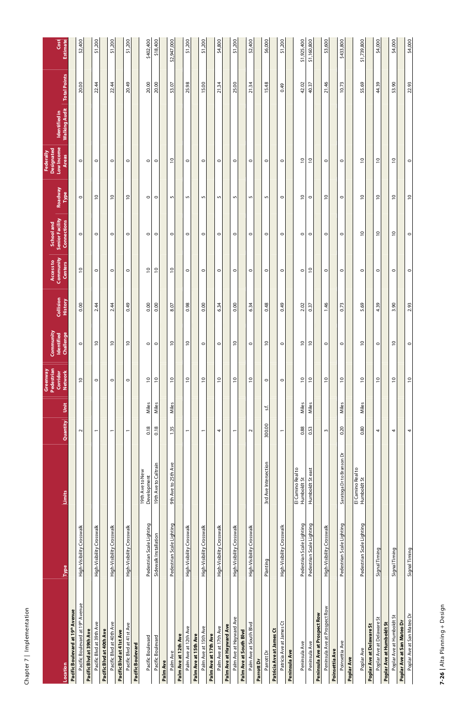|                                                          |                               |                                  |                          |       | Pedestrian<br>Greenway<br>Corridor | <b>Community</b><br>Identified | <b>Collision</b> | Community<br>Access to | <b>Senior Facility</b><br>School and | Roadway         | Low Income<br>Designated<br>Federally | Identified in        |                     | Cost            |
|----------------------------------------------------------|-------------------------------|----------------------------------|--------------------------|-------|------------------------------------|--------------------------------|------------------|------------------------|--------------------------------------|-----------------|---------------------------------------|----------------------|---------------------|-----------------|
| Pacific Boulevard at 19 <sup>th</sup> Avenue<br>Location | ω<br>Fyp                      | Limits                           | Quantity                 | Jnit  | <b>Network</b>                     | Challenge                      |                  | <b>Centers</b>         | <b>Connections</b>                   | Type            | <b>Areas</b>                          | <b>Walking Audit</b> | <b>Total Points</b> | <b>Estimate</b> |
| Pacific Boulevard at 19 <sup>th</sup> Avenue             | High-Visibility Crosswalk     |                                  | $\sim$                   |       | $\overline{C}$                     | $\circ$                        | 0.00             | $\overline{C}$         | $\circ$                              | $\circ$         | $\circ$                               |                      | 20.00               | \$2,400         |
| Pacific Blvd at 39th Ave                                 |                               |                                  |                          |       |                                    |                                |                  |                        |                                      |                 |                                       |                      |                     |                 |
| Pacific Blvd at 39th Ave                                 | High-Visibility Crosswalk     |                                  | $\overline{\phantom{m}}$ |       | $\circ$                            | $\overline{0}$                 | 2.44             | $\circ$                | $\circ$                              | $\overline{c}$  | $\circ$                               |                      | 22.44               | \$1,200         |
| Pacific Blvd at 40th Ave                                 |                               |                                  |                          |       |                                    |                                |                  |                        |                                      |                 |                                       |                      |                     |                 |
| Pacific Blvd at 40th Ave                                 | High-Visibility Crosswalk     |                                  | $\overline{ }$           |       | $\circ$                            | $\overline{0}$                 | 2.44             | $\circ$                | $\circ$                              | $\overline{0}$  | $\circ$                               |                      | 22.44               | \$1,200         |
| Pacific Blvd at 41st Ave                                 |                               |                                  |                          |       |                                    |                                |                  |                        |                                      |                 |                                       |                      |                     |                 |
| Pacific Blvd at 41st Ave                                 | High-Visibility Crosswalk     |                                  | $\overline{ }$           |       | $\circ$                            | $\overline{c}$                 | 0.49             | $\circ$                | $\circ$                              | $\overline{c}$  | $\circ$                               |                      | 20.49               | \$1,200         |
| Pacific Boulevard                                        |                               |                                  |                          |       |                                    |                                |                  |                        |                                      |                 |                                       |                      |                     |                 |
| Pacific Boulevard                                        | estrian Scale Lighting<br>Ped | 19th Ave to New<br>Development   | 0.18                     | Miles | $\overline{c}$                     | $\circ$                        | 0.00             | $\overline{c}$         | $\circ$                              | $\circ$         | $\circ$                               |                      | 20.00               | \$402,400       |
| Pacific Boulevard                                        | Sidewalk Installation         | 19th Ave to Caltrain             | 0.18                     | Miles | $\overline{0}$                     | $\circ$                        | 0.00             | $\overline{c}$         | $\circ$                              | $\circ$         | $\circ$                               |                      | 20.00               | \$18,400        |
| Palm Ave                                                 |                               |                                  |                          |       |                                    |                                |                  |                        |                                      |                 |                                       |                      |                     |                 |
| Palm Ave                                                 | Pedestrian Scale Lighting     | 9th Ave to 25th Ave              | 1.35                     | Miles | $\overline{0}$                     | $\overline{0}$                 | 8.07             | $\overline{0}$         | $\circ$                              | LN,             | $\overline{C}$                        |                      | 53.07               | \$2,947,000     |
| Palm Ave at 12th Ave                                     |                               |                                  |                          |       |                                    |                                |                  |                        |                                      |                 |                                       |                      |                     |                 |
| Palm Ave at 12th Ave                                     | High-Visibility Crosswalk     |                                  | $\overline{ }$           |       | $\overline{0}$                     | $\frac{1}{2}$                  | 0.98             | $\circ$                | $\circ$                              | 5               | $\circ$                               |                      | 25.98               | \$1,200         |
| Palm Ave at 15th Ave                                     |                               |                                  |                          |       |                                    |                                |                  |                        |                                      |                 |                                       |                      |                     |                 |
| Palm Ave at 15th Ave                                     | High-Visibility Crosswalk     |                                  | $\overline{\phantom{0}}$ |       | $\overline{c}$                     | $\circ$                        | 0.00             | $\circ$                | 0                                    | 5               | $\circ$                               |                      | 15.00               | \$1,200         |
| Palm Ave at 17th Ave                                     |                               |                                  |                          |       |                                    |                                |                  |                        |                                      |                 |                                       |                      |                     |                 |
| Palm Ave at 17th Ave                                     | High-Visibility Crosswalk     |                                  | 4                        |       | $\overline{0}$                     | $\circ$                        | 6.34             | $\circ$                | $\circ$                              | 5               | $\circ$                               |                      | 21.34               | \$4,800         |
| Palm Ave at Hayward Ave                                  |                               |                                  |                          |       |                                    |                                |                  |                        |                                      |                 |                                       |                      |                     |                 |
| Palm Ave at Hayward Ave                                  | High-Visibility Crosswalk     |                                  | $\overline{ }$           |       | $\overline{0}$                     | $\overline{c}$                 | 0.00             | $\circ$                | $\circ$                              | LO <sub>1</sub> | $\circ$                               |                      | 25.00               | \$1,200         |
| Palm Ave at South Blvd                                   |                               |                                  |                          |       |                                    |                                |                  |                        |                                      |                 |                                       |                      |                     |                 |
| Palm Ave at South Blvd                                   | High-Visibility Crosswalk     |                                  | $\sim$                   |       | $\overline{C}$                     | $\circ$                        | 6.34             | $\circ$                | $\circ$                              | S               | $\circ$                               |                      | 21.34               | \$2,400         |
| Parrott Dr                                               |                               |                                  |                          |       |                                    |                                |                  |                        |                                      |                 |                                       |                      |                     |                 |
| Parrott Dr                                               | Planting                      | 3rd Ave Intersection             | 300.00                   | ڹ     | $\circ$                            | $\overline{0}$                 | 0.48             | $\circ$                | $\circ$                              | LO <sub>1</sub> | $\circ$                               |                      | 15.48               | \$6,000         |
| Patricia Ave at James Ct                                 |                               |                                  |                          |       |                                    |                                |                  |                        |                                      |                 |                                       |                      |                     |                 |
| Patricia Ave at James Ct                                 | High-Visibility Crosswalk     |                                  | $\overline{ }$           |       | $\circ$                            | $\circ$                        | 0.49             | $\circ$                | $\circ$                              | $\circ$         | $\circ$                               |                      | 0.49                | \$1,200         |
| Peninsula Ave                                            |                               |                                  |                          |       |                                    |                                |                  |                        |                                      |                 |                                       |                      |                     |                 |
| Peninsula Ave                                            | estrian Scale Lighting<br>Ped | El Camino Real to<br>Humboldt St | 0.88                     | Miles | $\overline{c}$                     | $\overline{c}$                 | 2.02             | $\circ$                | $\circ$                              | $\overline{c}$  | $\overline{0}$                        |                      | 42.02               | \$1,925,400     |
| Peninsula Ave                                            | Pedestrian Scale Lighting     | Humboldt St east                 | 0.53                     | Miles | $\overline{c}$                     | $\overline{c}$                 | 0.37             | $\overline{c}$         | $\circ$                              | $\circ$         | $\overline{C}$                        |                      | 40.37               | \$1,160,800     |
| Peninsula Ave at Prospect Row                            |                               |                                  |                          |       |                                    |                                |                  |                        |                                      |                 |                                       |                      |                     |                 |
| Peninsula Ave at Prospect Row                            | High-Visibility Crosswalk     |                                  | $\sim$                   |       | $\tilde{0}$                        | $\circ$                        | 1.46             | $\circ$                | $\circ$                              | $\overline{0}$  | $\circ$                               |                      | 21.46               | \$3,600         |
| Poinsettia Ave                                           |                               |                                  |                          |       |                                    |                                |                  |                        |                                      |                 |                                       |                      |                     |                 |
| Poinsettia Ave                                           | Pedestrian Scale Lighting     | Saratoga Dr to Branson Dr        | 0.20                     | Miles | $\overline{0}$                     | $\circ$                        | 0.73             | $\circ$                | $\circ$                              | $\circ$         | $\circ$                               |                      | 10.73               | \$433,800       |
| Poplar Ave                                               |                               |                                  |                          |       |                                    |                                |                  |                        |                                      |                 |                                       |                      |                     |                 |
| Poplar Ave                                               | estrian Scale Lighting<br>Ped | El Camino Real to<br>Humboldt St | 0.80                     | Miles | $\overline{c}$                     | $\overline{c}$                 | 5.69             | $\circ$                | $\overline{c}$                       | $\overline{c}$  | $\overline{c}$                        |                      | 55.69               | \$1,739,800     |
| Poplar Ave at Delaware St                                |                               |                                  |                          |       |                                    |                                |                  |                        |                                      |                 |                                       |                      |                     |                 |
| Poplar Ave at Delaware St                                | Signal Timing                 |                                  | 4                        |       | $\overline{c}$                     | $\circ$                        | 4.39             | $\circ$                | $\overline{c}$                       | $\overline{c}$  | $\overline{c}$                        |                      | 44.39               | \$4,000         |
| Poplar Ave at Humboldt St                                |                               |                                  |                          |       |                                    |                                |                  |                        |                                      |                 |                                       |                      |                     |                 |
| Poplar Ave at Humboldt St                                | Signal Timing                 |                                  | 4                        |       | $\overline{c}$                     | $\overline{c}$                 | 3.90             | $\circ$                | $\overline{c}$                       | $\overline{c}$  | $\overline{c}$                        |                      | 53.90               | \$4,000         |
| Poplar Ave at San Mateo Dr                               |                               |                                  |                          |       |                                    |                                |                  |                        |                                      |                 |                                       |                      |                     |                 |
| Poplar Ave at San Mateo Dr                               | Signal Timing                 |                                  | 4                        |       | $\overline{0}$                     | $\circ$                        | 2.93             | $\circ$                | $\circ$                              | $\overline{0}$  | $\circ$                               |                      | 22.93               | \$4,000         |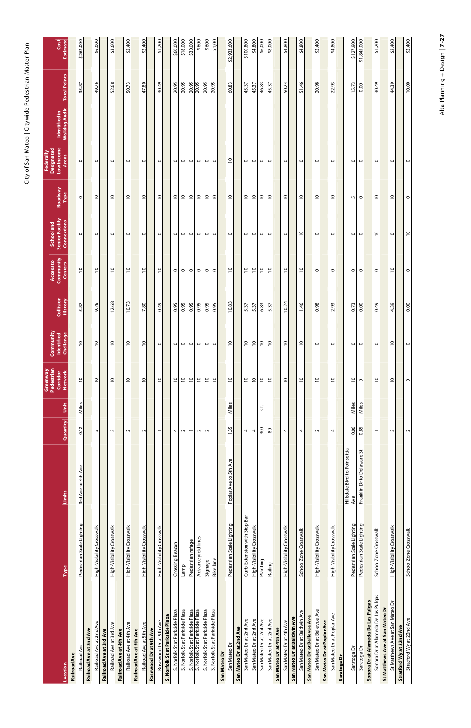| r Plan<br>)<br> }<br>             |
|-----------------------------------|
| served Dod of Niv.<br>  DISCIPLIN |
|                                   |
| lateo                             |
| ∠<br>ספ<br>l and to y             |
| $\frac{2}{3}$                     |

Alta Planning + Design | 7-27 Alta Planning + Design **| 7-27** 

|                                    |                                 |                                     |                          |       | Pedestrian<br>Greenway     | Community               |                      | Access to                   | <b>School and</b>                            |                 | <b>Designated</b><br>Federally |                                       |                     |                         |
|------------------------------------|---------------------------------|-------------------------------------|--------------------------|-------|----------------------------|-------------------------|----------------------|-----------------------------|----------------------------------------------|-----------------|--------------------------------|---------------------------------------|---------------------|-------------------------|
| Location                           | <b>Type</b>                     | Limits                              | Quantity                 | Unit  | Corridor<br><b>Network</b> | Challenge<br>Identified | Collision<br>History | Community<br><b>Centers</b> | <b>Senior Facility</b><br><b>Connections</b> | Roadway<br>Type | Low Income<br><b>Areas</b>     | <b>Walking Audit</b><br>Identified in | <b>Total Points</b> | <b>Estimate</b><br>Cost |
| <b>Railroad Ave</b>                |                                 |                                     |                          |       |                            |                         |                      |                             |                                              |                 |                                |                                       |                     |                         |
| Railroad Ave                       | Pedestrian Scale Lighting       | 3rd Ave to 4th Ave                  | 0.12                     | Miles | $\overline{0}$             | $\overline{0}$          | 5.87                 | $\overline{0}$              | $\circ$                                      | $\circ$         | $\circ$                        |                                       | 35.87               | \$262,000               |
| <b>Railroad Ave at 2nd Ave</b>     |                                 |                                     |                          |       |                            |                         |                      |                             |                                              |                 |                                |                                       |                     |                         |
| Railroad Ave at 2nd Ave            | -Visibility Crosswalk<br>High   |                                     | 5                        |       | $\overline{0}$             | $\overline{c}$          | 9.76                 | $\overline{c}$              | $\circ$                                      | $\overline{c}$  | $\circ$                        |                                       | 49.76               | \$6,000                 |
| Railroad Ave at 3rd Ave            |                                 |                                     |                          |       |                            |                         |                      |                             |                                              |                 |                                |                                       |                     |                         |
| Railroad Ave at 3rd Ave            | High-Visibility Crosswalk       |                                     | $\sim$                   |       | $\overline{C}$             | $\overline{C}$          | 12.68                | $\overline{C}$              | $\circ$                                      | $\overline{C}$  | $\circ$                        |                                       | 52.68               | \$3,600                 |
| <b>Railroad Ave at 4th Ave</b>     |                                 |                                     |                          |       |                            |                         |                      |                             |                                              |                 |                                |                                       |                     |                         |
| Railroad Ave at 4th Ave            | High-Visibility Crosswalk       |                                     | $\sim$                   |       | $\approx$                  | $\approx$               | 10.73                | $\overline{C}$              | $\circ$                                      | $\overline{C}$  | $\circ$                        |                                       | 50.73               | \$2,400                 |
| Railroad Ave at 5th Ave            |                                 |                                     |                          |       |                            |                         |                      |                             |                                              |                 |                                |                                       |                     |                         |
| Railroad Ave at 5th Ave            | High-Visibility Crosswalk       |                                     | $\sim$                   |       | $\overline{c}$             | $\overline{c}$          | 7.80                 | $\overline{0}$              | $\circ$                                      | $\overline{c}$  | $\circ$                        |                                       | 47.80               | \$2,400                 |
| Rosewood Dr at 9th Ave             |                                 |                                     |                          |       |                            |                         |                      |                             |                                              |                 |                                |                                       |                     |                         |
| Rosewood Dr at 9th Ave             | High-Visibility Crosswalk       |                                     | $\overline{\phantom{0}}$ |       | $\overline{0}$             | $\circ$                 | 0.49                 | $\overline{c}$              | $\circ$                                      | $\overline{c}$  | $\circ$                        |                                       | 30.49               | \$1,200                 |
| S. Norfolk St at Parkside Plaza    |                                 |                                     |                          |       |                            |                         |                      |                             |                                              |                 |                                |                                       |                     |                         |
| S. Norfolk St at Parkside Plaza    | Crossing Beacon                 |                                     | 4                        |       | $\approx$                  | $\circ$                 | 0.95                 | $\circ$                     | $\circ$                                      | $\overline{C}$  | $\circ$                        |                                       | 20.95               | \$60,000                |
| S. Norfolk St at Parkside Plaza    | Lamp                            |                                     | $\sim$                   |       | $\overline{0}$             | $\circ$                 | 0.95                 | $\circ$                     | $\circ$                                      | $\overline{0}$  | $\circ$                        |                                       | 20.95               | \$18,000                |
| S. Norfolk St at Parkside Plaza    | Pedestrian refuge               |                                     | $\overline{ }$           |       | $\overline{c}$             | $\circ$                 | 0.95                 | $\circ$                     | $\circ$                                      | $\overline{c}$  | $\circ$                        |                                       | 20.95               | \$30,000                |
| S. Norfolk St at Parkside Plaza    | Advance yield lines             |                                     | $\sim$                   |       | $\overline{c}$             | $\circ$                 | 0.95                 | $\circ$                     | $\circ$                                      | $\overline{c}$  | $\circ$                        |                                       | 20.95               | \$600                   |
| S. Norfolk St at Parkside Plaza    | Signage                         |                                     | $\sim$                   |       | $\overline{c}$             | $\circ$                 | 0.95                 | $\circ$                     | $\circ$                                      | $\overline{c}$  | $\circ$                        |                                       | 20.95               | \$600                   |
| S. Norfolk St at Parkside Plaza    | Bike lane                       |                                     |                          |       | $\overline{c}$             | $\circ$                 | 0.95                 | $\circ$                     | $\circ$                                      | $\overline{0}$  | $\circ$                        |                                       | 20.95               | \$1,00                  |
| San Mateo Dr                       |                                 |                                     |                          |       |                            |                         |                      |                             |                                              |                 |                                |                                       |                     |                         |
| San Mateo Dr                       | Pedestrian Scale Lighting       | Poplar Ave to 5th Ave               | 1.35                     | Miles | $\approx$                  | $\overline{C}$          | 10.83                | $\overline{C}$              | $\circ$                                      | $\overline{C}$  | $\overline{C}$                 |                                       | 60.83               | \$2,933,600             |
| San Mateo Dr at 2nd Ave            |                                 |                                     |                          |       |                            |                         |                      |                             |                                              |                 |                                |                                       |                     |                         |
| San Mateo Dr at 2nd Ave            | Extension with Stop Bar<br>Curb |                                     | 4                        |       | $\tilde{c}$                | $\overline{c}$          | 5.37                 | $\overline{c}$              | $\circ$                                      | $\overline{c}$  | $\circ$                        |                                       | 45.37               | \$100,800               |
| San Mateo Dr at 2nd Ave            | High-Visibility Crosswalk       |                                     | 4                        |       | $\approx$                  | $\overline{C}$          | 5.37                 | $\overline{c}$              | $\circ$                                      | $\overline{c}$  | $\circ$                        |                                       | 45.37               | \$4,800                 |
| San Mateo Dr at 2nd Ave            | Planting                        |                                     | 300                      | غ.    | $\overline{0}$             | $\overline{0}$          | 6.83                 | $\overline{0}$              | $\circ$                                      | $\overline{0}$  | $\circ$                        |                                       | 46.83               | \$6,000                 |
| San Mateo Dr at 2nd Ave            | Railing                         |                                     | 80                       |       | $\overline{c}$             | $\overline{0}$          | 5.37                 | $\overline{0}$              | $\circ$                                      | $\overline{0}$  | $\circ$                        |                                       | 45.37               | \$8,000                 |
| San Mateo Dr at 4th Ave            |                                 |                                     |                          |       |                            |                         |                      |                             |                                              |                 |                                |                                       |                     |                         |
| San Mateo Dr at 4th Ave            | High-Visibility Crosswalk       |                                     | 4                        |       | $\overline{0}$             | $\overline{0}$          | 10.24                | $\overline{0}$              | $\circ$                                      | $\overline{0}$  | $\circ$                        |                                       | 50.24               | \$4,800                 |
| San Mateo Dr at Baldwin Ave        |                                 |                                     |                          |       |                            |                         |                      |                             |                                              |                 |                                |                                       |                     |                         |
| San Mateo Dr at Baldwin Ave        | School Zone Crosswalk           |                                     | 4                        |       | $\overline{0}$             | $\overline{0}$          | 1.46                 | $\overline{0}$              | $\overline{0}$                               | $\overline{0}$  | $\circ$                        |                                       | 51.46               | \$4,800                 |
| San Mateo Dr at Bellevue Ave       |                                 |                                     |                          |       |                            |                         |                      |                             |                                              |                 |                                |                                       |                     |                         |
| San Mateo Dr at Bellevue Ave       | High-Visibility Crosswalk       |                                     | $\sim$                   |       | $\approx$                  | $\circ$                 | 0.98                 | $\circ$                     | $\circ$                                      | $\overline{0}$  | $\circ$                        |                                       | 20.98               | \$2,400                 |
| San Mateo Dr at Poplar Ave         |                                 |                                     |                          |       |                            |                         |                      |                             |                                              |                 |                                |                                       |                     |                         |
| San Mateo Dr at Poplar Ave         | High-Visibility Crosswalk       |                                     | 4                        |       | $\overline{0}$             | $\circ$                 | 2.93                 | $\circ$                     | $\circ$                                      | $\overline{0}$  | $\circ$                        |                                       | 22.93               | \$4,800                 |
| Saratoga Dr                        |                                 |                                     |                          |       |                            |                         |                      |                             |                                              |                 |                                |                                       |                     |                         |
| Saratoga Dr                        | Pedestrian Scale Lighting       | Hillsdale Blvd to Poinsettia<br>Ave | 0.06                     | Miles | $\overline{c}$             | $\circ$                 | 0.73                 | $\circ$                     | $\circ$                                      | $\mathsf{L}$    | $\circ$                        |                                       | 15.73               | \$127,900               |
| Saratoga Dr                        | Pedestrian Scale Lighting       | Franklin Dr to Delaware St          | 0.85                     | Miles | $\circ$                    | $\circ$                 | 0.00                 | $\circ$                     | $\circ$                                      | $\circ$         | $\circ$                        |                                       | 0.00                | \$1,845,000             |
| Sonora Dr at Alameda De Las Pulgas |                                 |                                     |                          |       |                            |                         |                      |                             |                                              |                 |                                |                                       |                     |                         |
| Sonora Dr at Alameda De Las Pulgas | School Zone Crosswalk           |                                     | $\overline{\phantom{0}}$ |       | $\overline{\phantom{0}}$   | $\circ$                 | 0.49                 | $\circ$                     | $\overline{c}$                               | $\overline{c}$  | $\circ$                        |                                       | 30.49               | \$1,200                 |
| St Matthews Ave at San Mateo D     |                                 |                                     |                          |       |                            |                         |                      |                             |                                              |                 |                                |                                       |                     |                         |
| St Matthews Ave at San Mateo Dr    | High-Visibility Crosswalk       |                                     | $\sim$                   |       | $\overline{c}$             | $\overline{c}$          | 4.39                 | $\overline{0}$              | $\circ$                                      | $\overline{c}$  | $\circ$                        |                                       | 44.39               | \$2,400                 |
| Stratford Wy at 22nd Ave           |                                 |                                     |                          |       |                            |                         |                      |                             |                                              |                 |                                |                                       |                     |                         |
| Stratford Wy at 22nd Ave           | School Zone Crosswalk           |                                     | $\sim$                   |       | $\circ$                    | $\circ$                 | 0.00                 | $\circ$                     | $\overline{0}$                               | $\circ$         | $\circ$                        |                                       | 10.00               | \$2,400                 |
|                                    |                                 |                                     |                          |       |                            |                         |                      |                             |                                              |                 |                                |                                       |                     |                         |